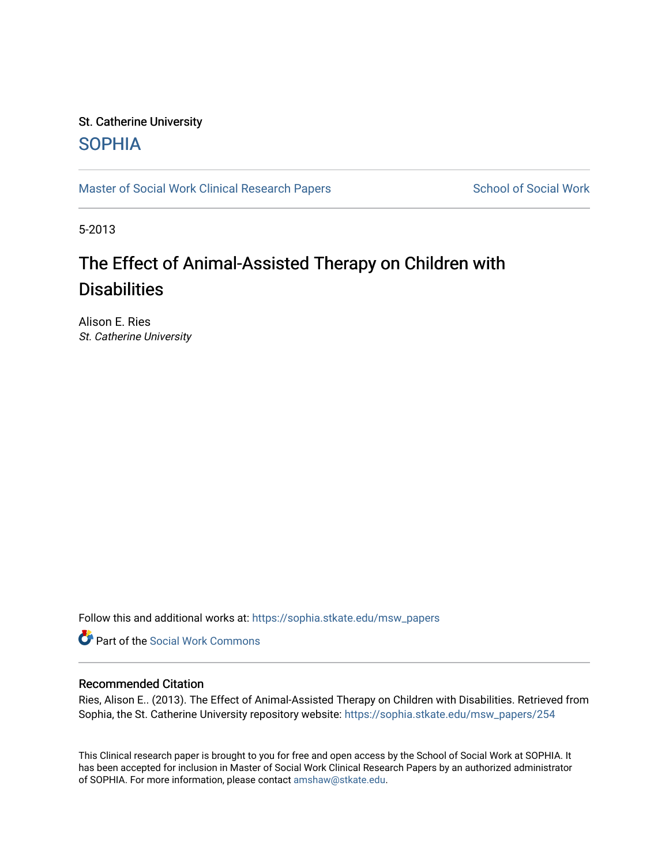# St. Catherine University **SOPHIA**

[Master of Social Work Clinical Research Papers](https://sophia.stkate.edu/msw_papers) School of Social Work

5-2013

# The Effect of Animal-Assisted Therapy on Children with **Disabilities**

Alison E. Ries St. Catherine University

Follow this and additional works at: [https://sophia.stkate.edu/msw\\_papers](https://sophia.stkate.edu/msw_papers?utm_source=sophia.stkate.edu%2Fmsw_papers%2F254&utm_medium=PDF&utm_campaign=PDFCoverPages) 

Part of the [Social Work Commons](http://network.bepress.com/hgg/discipline/713?utm_source=sophia.stkate.edu%2Fmsw_papers%2F254&utm_medium=PDF&utm_campaign=PDFCoverPages)

# Recommended Citation

Ries, Alison E.. (2013). The Effect of Animal-Assisted Therapy on Children with Disabilities. Retrieved from Sophia, the St. Catherine University repository website: [https://sophia.stkate.edu/msw\\_papers/254](https://sophia.stkate.edu/msw_papers/254?utm_source=sophia.stkate.edu%2Fmsw_papers%2F254&utm_medium=PDF&utm_campaign=PDFCoverPages)

This Clinical research paper is brought to you for free and open access by the School of Social Work at SOPHIA. It has been accepted for inclusion in Master of Social Work Clinical Research Papers by an authorized administrator of SOPHIA. For more information, please contact [amshaw@stkate.edu.](mailto:amshaw@stkate.edu)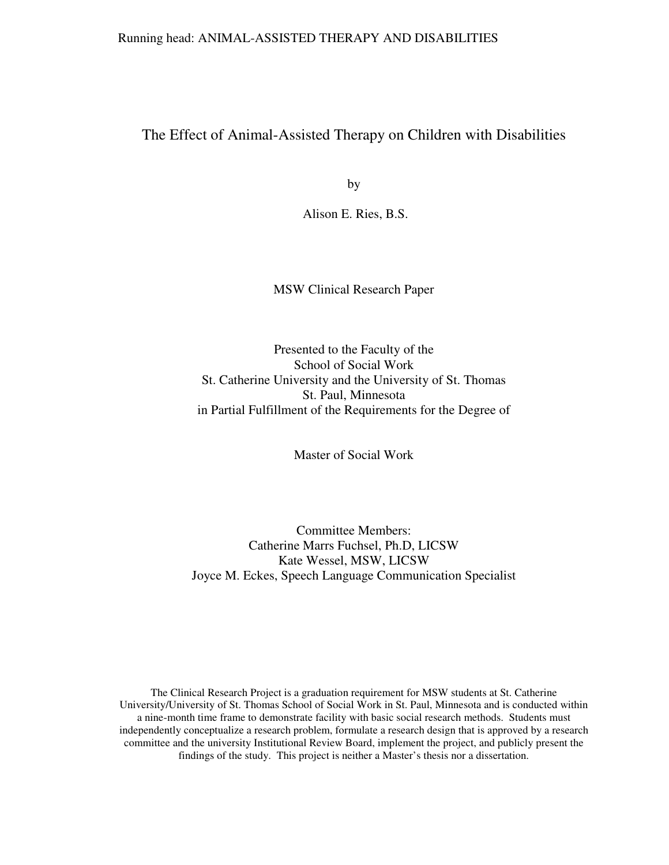# The Effect of Animal-Assisted Therapy on Children with Disabilities

by

Alison E. Ries, B.S.

MSW Clinical Research Paper

Presented to the Faculty of the School of Social Work St. Catherine University and the University of St. Thomas St. Paul, Minnesota in Partial Fulfillment of the Requirements for the Degree of

Master of Social Work

Committee Members: Catherine Marrs Fuchsel, Ph.D, LICSW Kate Wessel, MSW, LICSW Joyce M. Eckes, Speech Language Communication Specialist

The Clinical Research Project is a graduation requirement for MSW students at St. Catherine University/University of St. Thomas School of Social Work in St. Paul, Minnesota and is conducted within a nine-month time frame to demonstrate facility with basic social research methods. Students must independently conceptualize a research problem, formulate a research design that is approved by a research committee and the university Institutional Review Board, implement the project, and publicly present the findings of the study. This project is neither a Master's thesis nor a dissertation.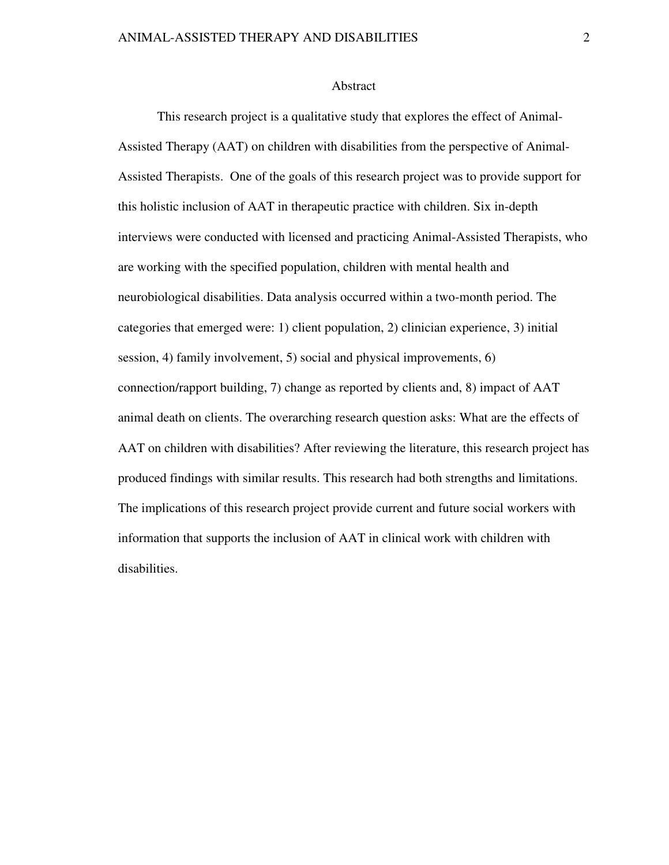#### Abstract

 This research project is a qualitative study that explores the effect of Animal-Assisted Therapy (AAT) on children with disabilities from the perspective of Animal-Assisted Therapists. One of the goals of this research project was to provide support for this holistic inclusion of AAT in therapeutic practice with children. Six in-depth interviews were conducted with licensed and practicing Animal-Assisted Therapists, who are working with the specified population, children with mental health and neurobiological disabilities. Data analysis occurred within a two-month period. The categories that emerged were: 1) client population, 2) clinician experience, 3) initial session, 4) family involvement, 5) social and physical improvements, 6) connection/rapport building, 7) change as reported by clients and, 8) impact of AAT animal death on clients. The overarching research question asks: What are the effects of AAT on children with disabilities? After reviewing the literature, this research project has produced findings with similar results. This research had both strengths and limitations. The implications of this research project provide current and future social workers with information that supports the inclusion of AAT in clinical work with children with disabilities.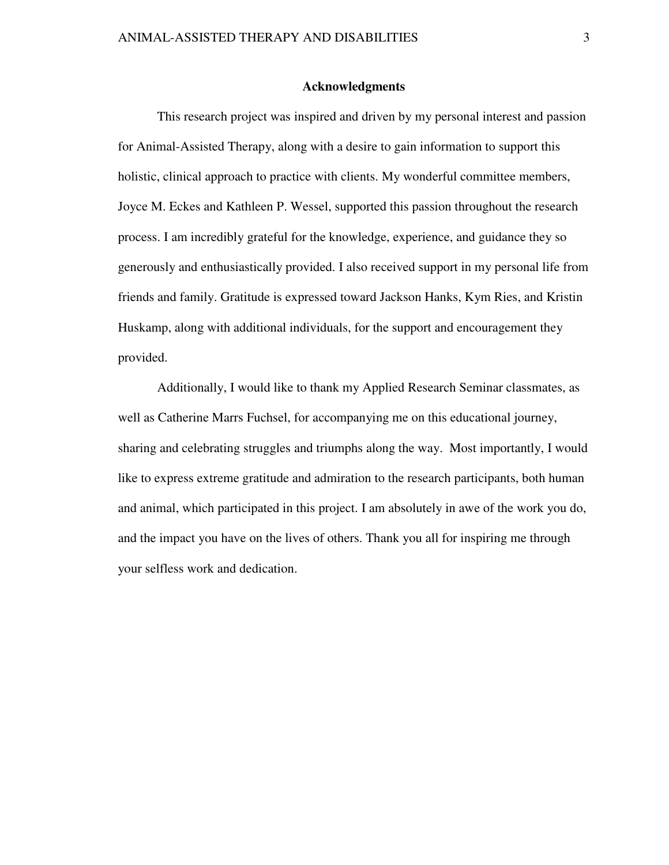#### **Acknowledgments**

 This research project was inspired and driven by my personal interest and passion for Animal-Assisted Therapy, along with a desire to gain information to support this holistic, clinical approach to practice with clients. My wonderful committee members, Joyce M. Eckes and Kathleen P. Wessel, supported this passion throughout the research process. I am incredibly grateful for the knowledge, experience, and guidance they so generously and enthusiastically provided. I also received support in my personal life from friends and family. Gratitude is expressed toward Jackson Hanks, Kym Ries, and Kristin Huskamp, along with additional individuals, for the support and encouragement they provided.

Additionally, I would like to thank my Applied Research Seminar classmates, as well as Catherine Marrs Fuchsel, for accompanying me on this educational journey, sharing and celebrating struggles and triumphs along the way. Most importantly, I would like to express extreme gratitude and admiration to the research participants, both human and animal, which participated in this project. I am absolutely in awe of the work you do, and the impact you have on the lives of others. Thank you all for inspiring me through your selfless work and dedication.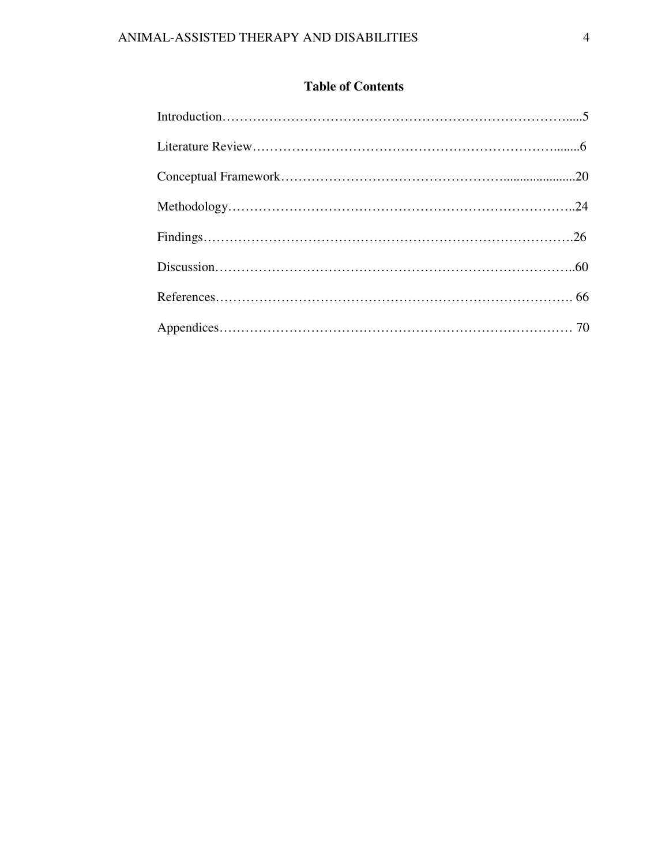# **Table of Contents**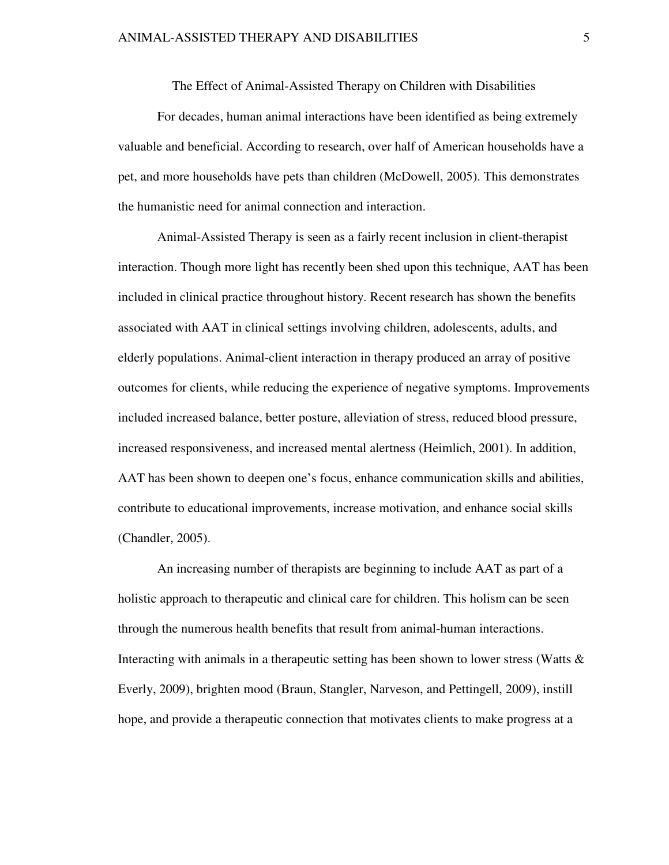The Effect of Animal-Assisted Therapy on Children with Disabilities

For decades, human animal interactions have been identified as being extremely valuable and beneficial. According to research, over half of American households have a pet, and more households have pets than children (McDowell, 2005). This demonstrates the humanistic need for animal connection and interaction.

Animal-Assisted Therapy is seen as a fairly recent inclusion in client-therapist interaction. Though more light has recently been shed upon this technique, AAT has been included in clinical practice throughout history. Recent research has shown the benefits associated with AAT in clinical settings involving children, adolescents, adults, and elderly populations. Animal-client interaction in therapy produced an array of positive outcomes for clients, while reducing the experience of negative symptoms. Improvements included increased balance, better posture, alleviation of stress, reduced blood pressure, increased responsiveness, and increased mental alertness (Heimlich, 2001). In addition, AAT has been shown to deepen one's focus, enhance communication skills and abilities, contribute to educational improvements, increase motivation, and enhance social skills (Chandler, 2005).

An increasing number of therapists are beginning to include AAT as part of a holistic approach to therapeutic and clinical care for children. This holism can be seen through the numerous health benefits that result from animal-human interactions. Interacting with animals in a therapeutic setting has been shown to lower stress (Watts  $\&$ Everly, 2009), brighten mood (Braun, Stangler, Narveson, and Pettingell, 2009), instill hope, and provide a therapeutic connection that motivates clients to make progress at a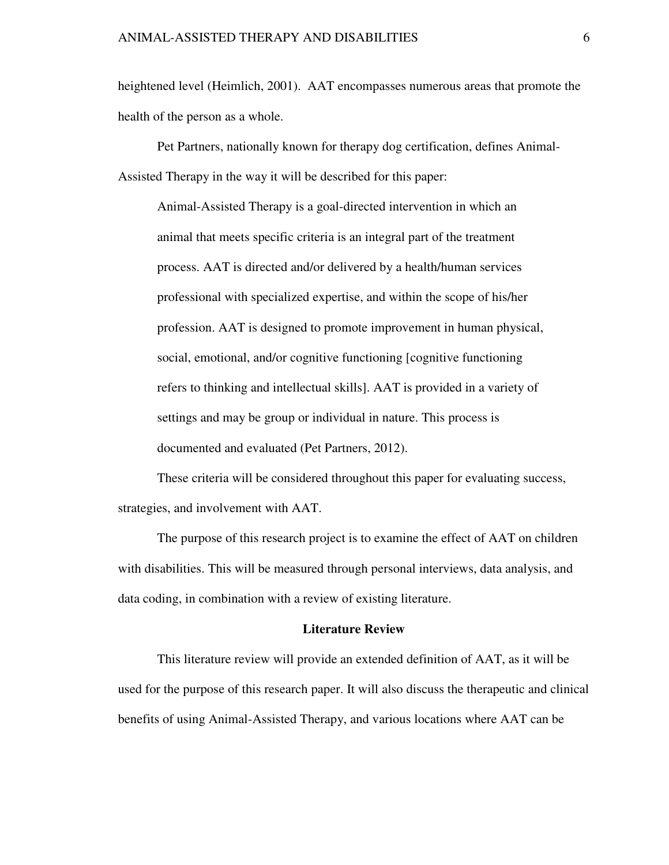heightened level (Heimlich, 2001). AAT encompasses numerous areas that promote the health of the person as a whole.

 Pet Partners, nationally known for therapy dog certification, defines Animal-Assisted Therapy in the way it will be described for this paper:

Animal-Assisted Therapy is a goal-directed intervention in which an animal that meets specific criteria is an integral part of the treatment process. AAT is directed and/or delivered by a health/human services professional with specialized expertise, and within the scope of his/her profession. AAT is designed to promote improvement in human physical, social, emotional, and/or cognitive functioning [cognitive functioning refers to thinking and intellectual skills]. AAT is provided in a variety of settings and may be group or individual in nature. This process is documented and evaluated (Pet Partners, 2012).

These criteria will be considered throughout this paper for evaluating success, strategies, and involvement with AAT.

 The purpose of this research project is to examine the effect of AAT on children with disabilities. This will be measured through personal interviews, data analysis, and data coding, in combination with a review of existing literature.

#### **Literature Review**

This literature review will provide an extended definition of AAT, as it will be used for the purpose of this research paper. It will also discuss the therapeutic and clinical benefits of using Animal-Assisted Therapy, and various locations where AAT can be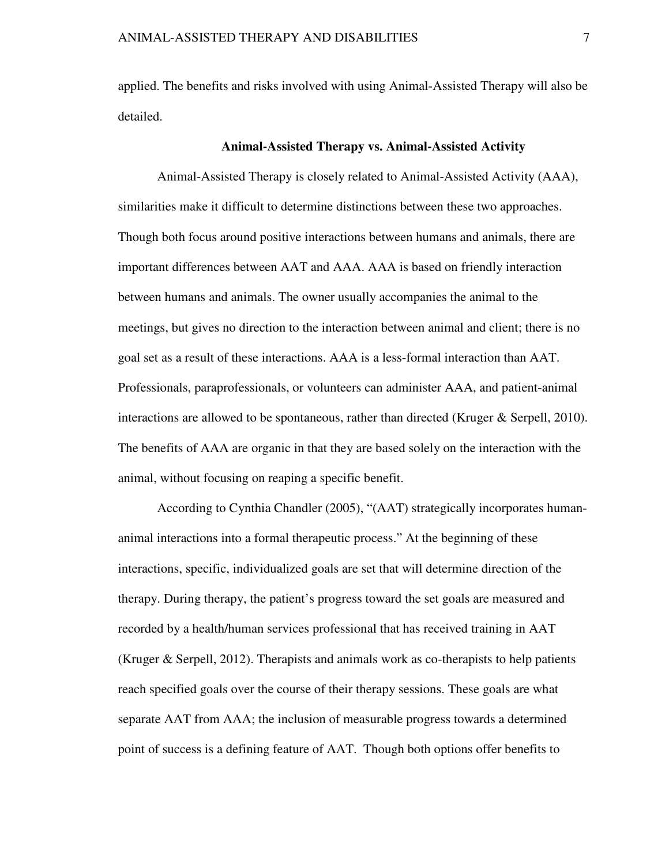applied. The benefits and risks involved with using Animal-Assisted Therapy will also be detailed.

#### **Animal-Assisted Therapy vs. Animal-Assisted Activity**

Animal-Assisted Therapy is closely related to Animal-Assisted Activity (AAA), similarities make it difficult to determine distinctions between these two approaches. Though both focus around positive interactions between humans and animals, there are important differences between AAT and AAA. AAA is based on friendly interaction between humans and animals. The owner usually accompanies the animal to the meetings, but gives no direction to the interaction between animal and client; there is no goal set as a result of these interactions. AAA is a less-formal interaction than AAT. Professionals, paraprofessionals, or volunteers can administer AAA, and patient-animal interactions are allowed to be spontaneous, rather than directed (Kruger  $\&$  Serpell, 2010). The benefits of AAA are organic in that they are based solely on the interaction with the animal, without focusing on reaping a specific benefit.

According to Cynthia Chandler (2005), "(AAT) strategically incorporates humananimal interactions into a formal therapeutic process." At the beginning of these interactions, specific, individualized goals are set that will determine direction of the therapy. During therapy, the patient's progress toward the set goals are measured and recorded by a health/human services professional that has received training in AAT (Kruger & Serpell, 2012). Therapists and animals work as co-therapists to help patients reach specified goals over the course of their therapy sessions. These goals are what separate AAT from AAA; the inclusion of measurable progress towards a determined point of success is a defining feature of AAT. Though both options offer benefits to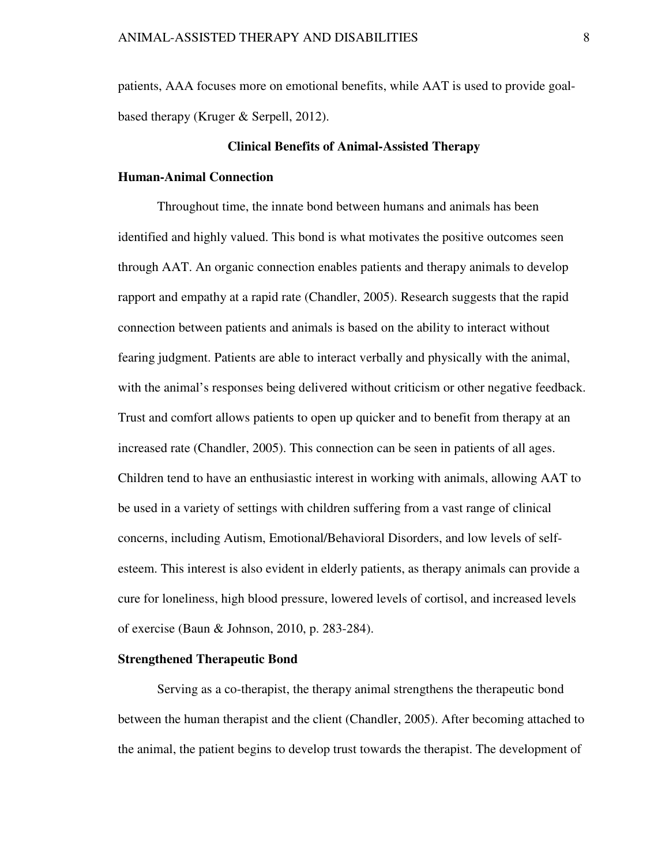patients, AAA focuses more on emotional benefits, while AAT is used to provide goalbased therapy (Kruger & Serpell, 2012).

# **Clinical Benefits of Animal-Assisted Therapy**

# **Human-Animal Connection**

Throughout time, the innate bond between humans and animals has been identified and highly valued. This bond is what motivates the positive outcomes seen through AAT. An organic connection enables patients and therapy animals to develop rapport and empathy at a rapid rate (Chandler, 2005). Research suggests that the rapid connection between patients and animals is based on the ability to interact without fearing judgment. Patients are able to interact verbally and physically with the animal, with the animal's responses being delivered without criticism or other negative feedback. Trust and comfort allows patients to open up quicker and to benefit from therapy at an increased rate (Chandler, 2005). This connection can be seen in patients of all ages. Children tend to have an enthusiastic interest in working with animals, allowing AAT to be used in a variety of settings with children suffering from a vast range of clinical concerns, including Autism, Emotional/Behavioral Disorders, and low levels of selfesteem. This interest is also evident in elderly patients, as therapy animals can provide a cure for loneliness, high blood pressure, lowered levels of cortisol, and increased levels of exercise (Baun & Johnson, 2010, p. 283-284).

#### **Strengthened Therapeutic Bond**

Serving as a co-therapist, the therapy animal strengthens the therapeutic bond between the human therapist and the client (Chandler, 2005). After becoming attached to the animal, the patient begins to develop trust towards the therapist. The development of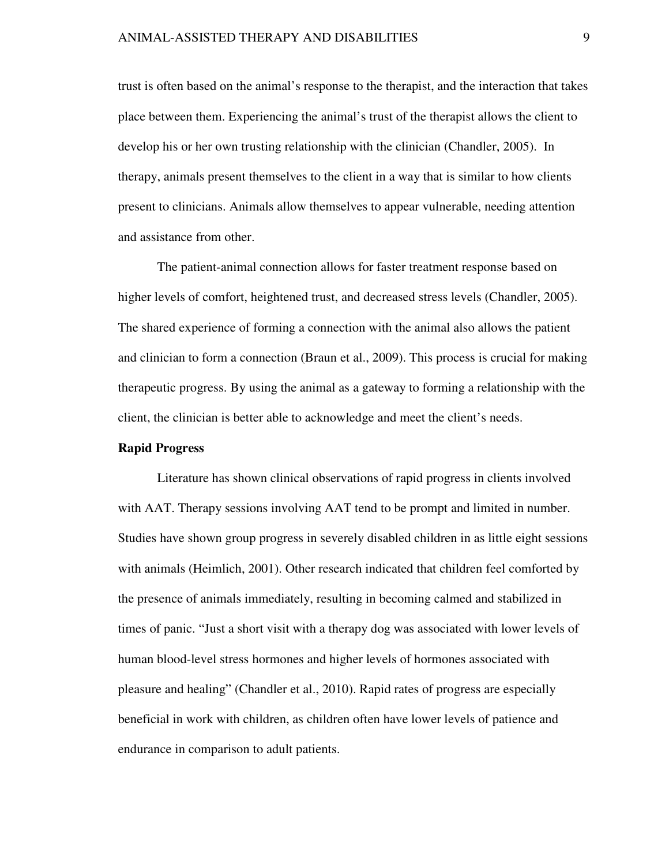trust is often based on the animal's response to the therapist, and the interaction that takes place between them. Experiencing the animal's trust of the therapist allows the client to develop his or her own trusting relationship with the clinician (Chandler, 2005). In therapy, animals present themselves to the client in a way that is similar to how clients present to clinicians. Animals allow themselves to appear vulnerable, needing attention and assistance from other.

The patient-animal connection allows for faster treatment response based on higher levels of comfort, heightened trust, and decreased stress levels (Chandler, 2005). The shared experience of forming a connection with the animal also allows the patient and clinician to form a connection (Braun et al., 2009). This process is crucial for making therapeutic progress. By using the animal as a gateway to forming a relationship with the client, the clinician is better able to acknowledge and meet the client's needs.

# **Rapid Progress**

Literature has shown clinical observations of rapid progress in clients involved with AAT. Therapy sessions involving AAT tend to be prompt and limited in number. Studies have shown group progress in severely disabled children in as little eight sessions with animals (Heimlich, 2001). Other research indicated that children feel comforted by the presence of animals immediately, resulting in becoming calmed and stabilized in times of panic. "Just a short visit with a therapy dog was associated with lower levels of human blood-level stress hormones and higher levels of hormones associated with pleasure and healing" (Chandler et al., 2010). Rapid rates of progress are especially beneficial in work with children, as children often have lower levels of patience and endurance in comparison to adult patients.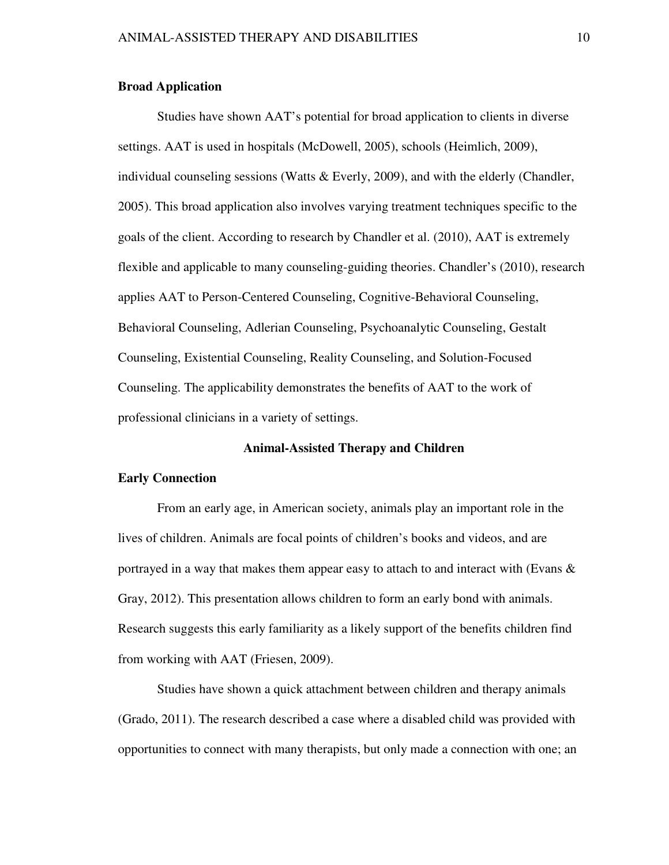# **Broad Application**

Studies have shown AAT's potential for broad application to clients in diverse settings. AAT is used in hospitals (McDowell, 2005), schools (Heimlich, 2009), individual counseling sessions (Watts  $&$  Everly, 2009), and with the elderly (Chandler, 2005). This broad application also involves varying treatment techniques specific to the goals of the client. According to research by Chandler et al. (2010), AAT is extremely flexible and applicable to many counseling-guiding theories. Chandler's (2010), research applies AAT to Person-Centered Counseling, Cognitive-Behavioral Counseling, Behavioral Counseling, Adlerian Counseling, Psychoanalytic Counseling, Gestalt Counseling, Existential Counseling, Reality Counseling, and Solution-Focused Counseling. The applicability demonstrates the benefits of AAT to the work of professional clinicians in a variety of settings.

#### **Animal-Assisted Therapy and Children**

# **Early Connection**

From an early age, in American society, animals play an important role in the lives of children. Animals are focal points of children's books and videos, and are portrayed in a way that makes them appear easy to attach to and interact with (Evans  $\&$ Gray, 2012). This presentation allows children to form an early bond with animals. Research suggests this early familiarity as a likely support of the benefits children find from working with AAT (Friesen, 2009).

Studies have shown a quick attachment between children and therapy animals (Grado, 2011). The research described a case where a disabled child was provided with opportunities to connect with many therapists, but only made a connection with one; an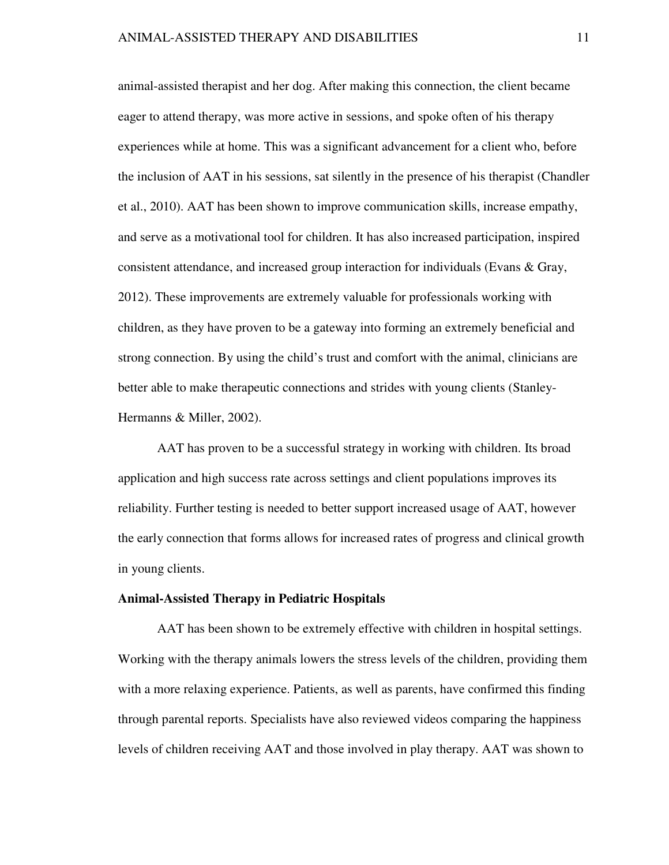animal-assisted therapist and her dog. After making this connection, the client became eager to attend therapy, was more active in sessions, and spoke often of his therapy experiences while at home. This was a significant advancement for a client who, before the inclusion of AAT in his sessions, sat silently in the presence of his therapist (Chandler et al., 2010). AAT has been shown to improve communication skills, increase empathy, and serve as a motivational tool for children. It has also increased participation, inspired consistent attendance, and increased group interaction for individuals (Evans & Gray, 2012). These improvements are extremely valuable for professionals working with children, as they have proven to be a gateway into forming an extremely beneficial and strong connection. By using the child's trust and comfort with the animal, clinicians are better able to make therapeutic connections and strides with young clients (Stanley-Hermanns & Miller, 2002).

AAT has proven to be a successful strategy in working with children. Its broad application and high success rate across settings and client populations improves its reliability. Further testing is needed to better support increased usage of AAT, however the early connection that forms allows for increased rates of progress and clinical growth in young clients.

#### **Animal-Assisted Therapy in Pediatric Hospitals**

AAT has been shown to be extremely effective with children in hospital settings. Working with the therapy animals lowers the stress levels of the children, providing them with a more relaxing experience. Patients, as well as parents, have confirmed this finding through parental reports. Specialists have also reviewed videos comparing the happiness levels of children receiving AAT and those involved in play therapy. AAT was shown to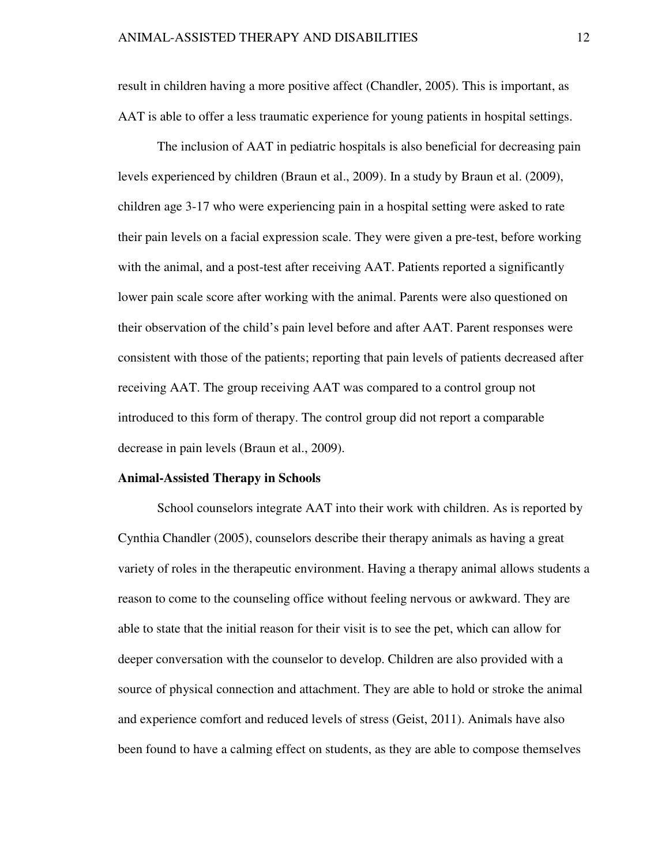result in children having a more positive affect (Chandler, 2005). This is important, as AAT is able to offer a less traumatic experience for young patients in hospital settings.

The inclusion of AAT in pediatric hospitals is also beneficial for decreasing pain levels experienced by children (Braun et al., 2009). In a study by Braun et al. (2009), children age 3-17 who were experiencing pain in a hospital setting were asked to rate their pain levels on a facial expression scale. They were given a pre-test, before working with the animal, and a post-test after receiving AAT. Patients reported a significantly lower pain scale score after working with the animal. Parents were also questioned on their observation of the child's pain level before and after AAT. Parent responses were consistent with those of the patients; reporting that pain levels of patients decreased after receiving AAT. The group receiving AAT was compared to a control group not introduced to this form of therapy. The control group did not report a comparable decrease in pain levels (Braun et al., 2009).

#### **Animal-Assisted Therapy in Schools**

School counselors integrate AAT into their work with children. As is reported by Cynthia Chandler (2005), counselors describe their therapy animals as having a great variety of roles in the therapeutic environment. Having a therapy animal allows students a reason to come to the counseling office without feeling nervous or awkward. They are able to state that the initial reason for their visit is to see the pet, which can allow for deeper conversation with the counselor to develop. Children are also provided with a source of physical connection and attachment. They are able to hold or stroke the animal and experience comfort and reduced levels of stress (Geist, 2011). Animals have also been found to have a calming effect on students, as they are able to compose themselves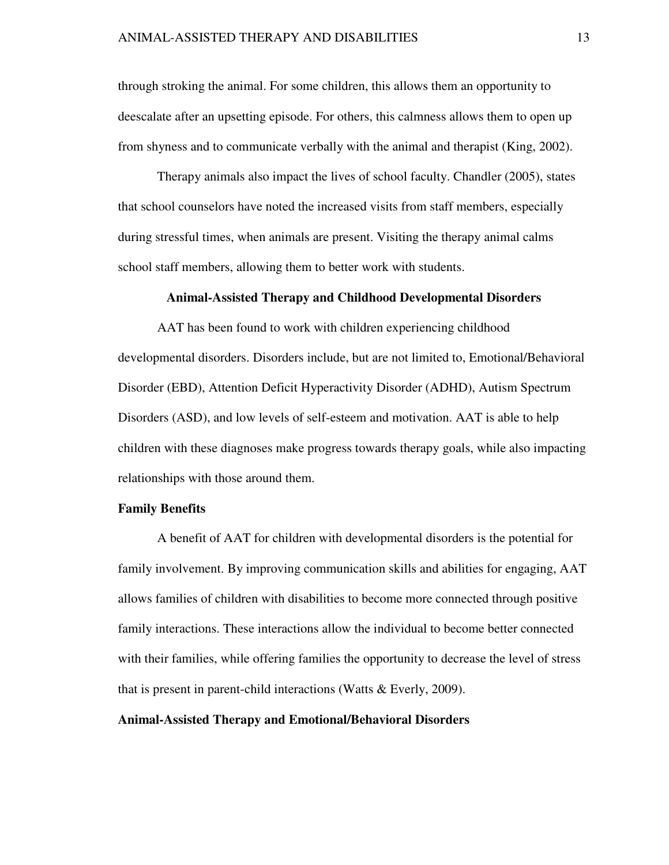#### ANIMAL-ASSISTED THERAPY AND DISABILITIES 13

through stroking the animal. For some children, this allows them an opportunity to deescalate after an upsetting episode. For others, this calmness allows them to open up from shyness and to communicate verbally with the animal and therapist (King, 2002).

Therapy animals also impact the lives of school faculty. Chandler (2005), states that school counselors have noted the increased visits from staff members, especially during stressful times, when animals are present. Visiting the therapy animal calms school staff members, allowing them to better work with students.

#### **Animal-Assisted Therapy and Childhood Developmental Disorders**

AAT has been found to work with children experiencing childhood developmental disorders. Disorders include, but are not limited to, Emotional/Behavioral Disorder (EBD), Attention Deficit Hyperactivity Disorder (ADHD), Autism Spectrum Disorders (ASD), and low levels of self-esteem and motivation. AAT is able to help children with these diagnoses make progress towards therapy goals, while also impacting relationships with those around them.

#### **Family Benefits**

A benefit of AAT for children with developmental disorders is the potential for family involvement. By improving communication skills and abilities for engaging, AAT allows families of children with disabilities to become more connected through positive family interactions. These interactions allow the individual to become better connected with their families, while offering families the opportunity to decrease the level of stress that is present in parent-child interactions (Watts  $\&$  Everly, 2009).

# **Animal-Assisted Therapy and Emotional/Behavioral Disorders**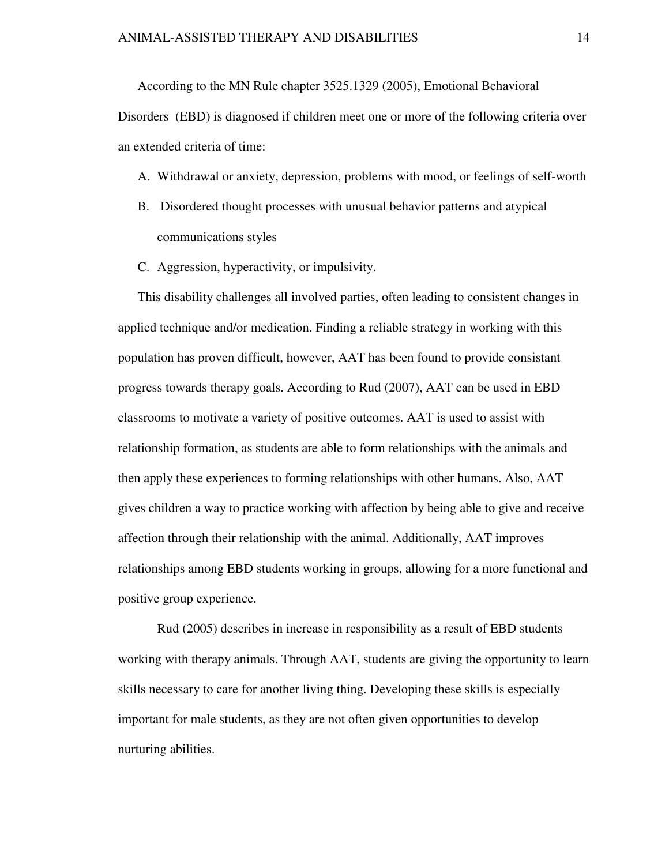According to the MN Rule chapter 3525.1329 (2005), Emotional Behavioral Disorders (EBD) is diagnosed if children meet one or more of the following criteria over an extended criteria of time:

# A. Withdrawal or anxiety, depression, problems with mood, or feelings of self-worth

- B. Disordered thought processes with unusual behavior patterns and atypical communications styles
- C. Aggression, hyperactivity, or impulsivity.

This disability challenges all involved parties, often leading to consistent changes in applied technique and/or medication. Finding a reliable strategy in working with this population has proven difficult, however, AAT has been found to provide consistant progress towards therapy goals. According to Rud (2007), AAT can be used in EBD classrooms to motivate a variety of positive outcomes. AAT is used to assist with relationship formation, as students are able to form relationships with the animals and then apply these experiences to forming relationships with other humans. Also, AAT gives children a way to practice working with affection by being able to give and receive affection through their relationship with the animal. Additionally, AAT improves relationships among EBD students working in groups, allowing for a more functional and positive group experience.

 Rud (2005) describes in increase in responsibility as a result of EBD students working with therapy animals. Through AAT, students are giving the opportunity to learn skills necessary to care for another living thing. Developing these skills is especially important for male students, as they are not often given opportunities to develop nurturing abilities.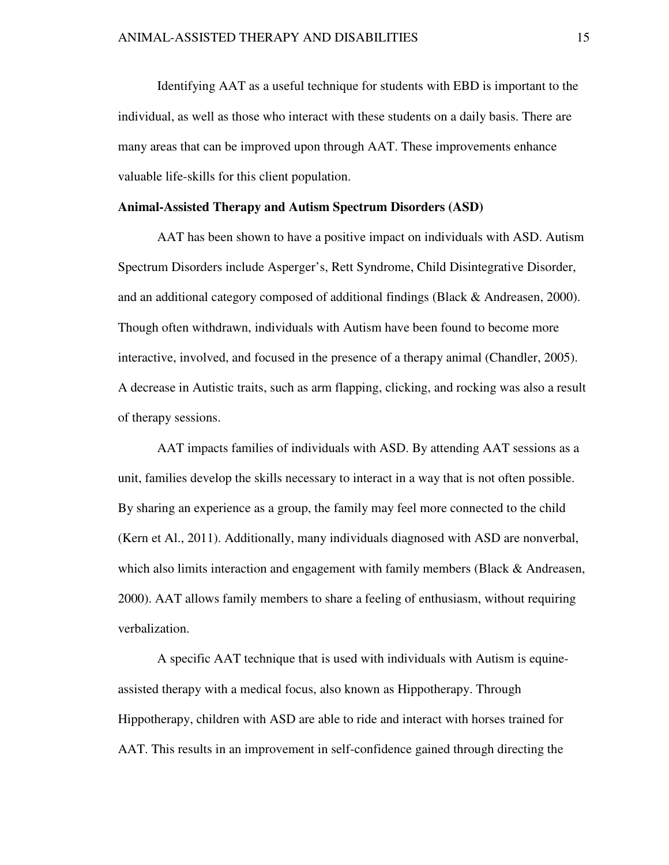Identifying AAT as a useful technique for students with EBD is important to the individual, as well as those who interact with these students on a daily basis. There are many areas that can be improved upon through AAT. These improvements enhance valuable life-skills for this client population.

#### **Animal-Assisted Therapy and Autism Spectrum Disorders (ASD)**

AAT has been shown to have a positive impact on individuals with ASD. Autism Spectrum Disorders include Asperger's, Rett Syndrome, Child Disintegrative Disorder, and an additional category composed of additional findings (Black & Andreasen, 2000). Though often withdrawn, individuals with Autism have been found to become more interactive, involved, and focused in the presence of a therapy animal (Chandler, 2005). A decrease in Autistic traits, such as arm flapping, clicking, and rocking was also a result of therapy sessions.

AAT impacts families of individuals with ASD. By attending AAT sessions as a unit, families develop the skills necessary to interact in a way that is not often possible. By sharing an experience as a group, the family may feel more connected to the child (Kern et Al., 2011). Additionally, many individuals diagnosed with ASD are nonverbal, which also limits interaction and engagement with family members (Black & Andreasen, 2000). AAT allows family members to share a feeling of enthusiasm, without requiring verbalization.

A specific AAT technique that is used with individuals with Autism is equineassisted therapy with a medical focus, also known as Hippotherapy. Through Hippotherapy, children with ASD are able to ride and interact with horses trained for AAT. This results in an improvement in self-confidence gained through directing the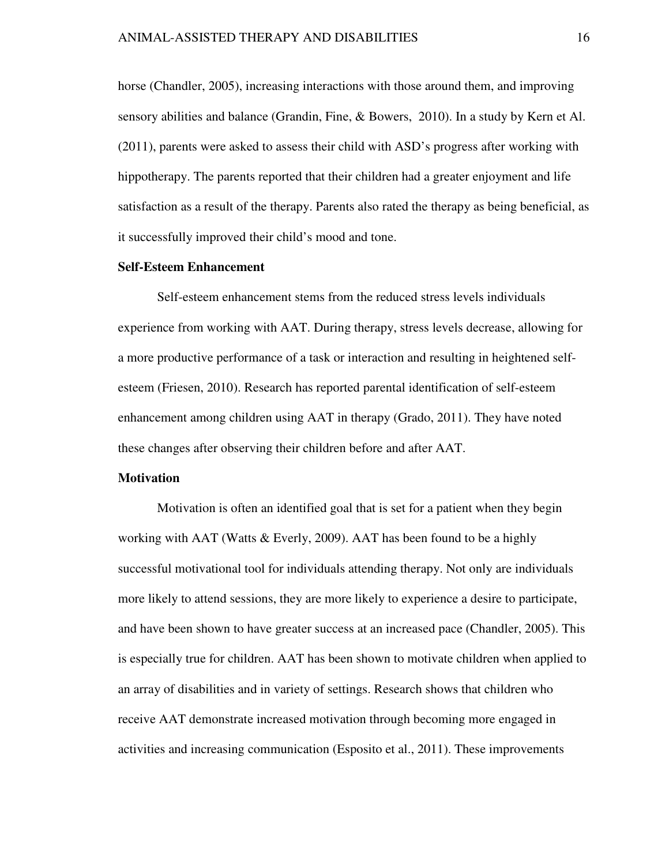horse (Chandler, 2005), increasing interactions with those around them, and improving sensory abilities and balance (Grandin, Fine, & Bowers, 2010). In a study by Kern et Al. (2011), parents were asked to assess their child with ASD's progress after working with hippotherapy. The parents reported that their children had a greater enjoyment and life satisfaction as a result of the therapy. Parents also rated the therapy as being beneficial, as it successfully improved their child's mood and tone.

#### **Self-Esteem Enhancement**

Self-esteem enhancement stems from the reduced stress levels individuals experience from working with AAT. During therapy, stress levels decrease, allowing for a more productive performance of a task or interaction and resulting in heightened selfesteem (Friesen, 2010). Research has reported parental identification of self-esteem enhancement among children using AAT in therapy (Grado, 2011). They have noted these changes after observing their children before and after AAT.

#### **Motivation**

Motivation is often an identified goal that is set for a patient when they begin working with AAT (Watts & Everly, 2009). AAT has been found to be a highly successful motivational tool for individuals attending therapy. Not only are individuals more likely to attend sessions, they are more likely to experience a desire to participate, and have been shown to have greater success at an increased pace (Chandler, 2005). This is especially true for children. AAT has been shown to motivate children when applied to an array of disabilities and in variety of settings. Research shows that children who receive AAT demonstrate increased motivation through becoming more engaged in activities and increasing communication (Esposito et al., 2011). These improvements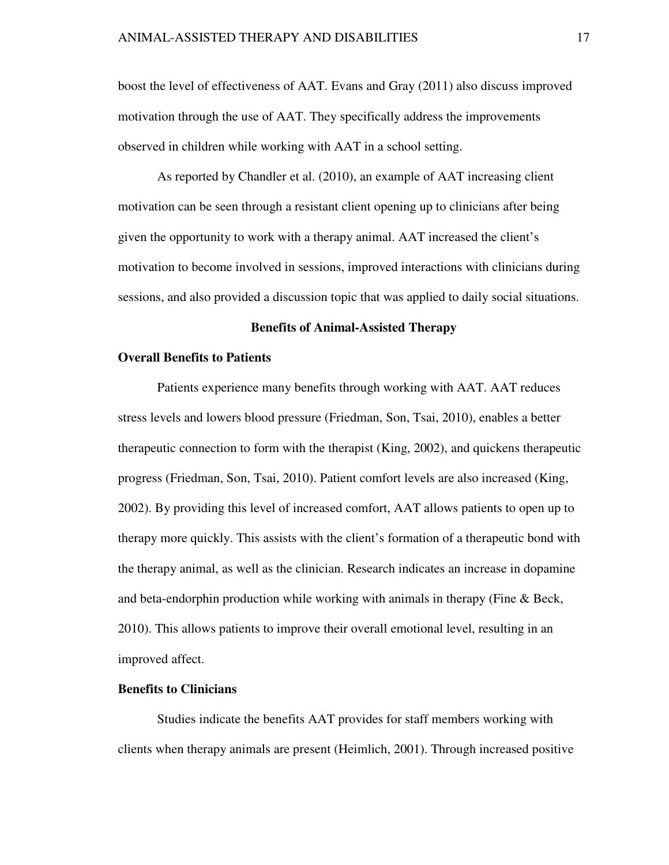boost the level of effectiveness of AAT. Evans and Gray (2011) also discuss improved motivation through the use of AAT. They specifically address the improvements observed in children while working with AAT in a school setting.

As reported by Chandler et al. (2010), an example of AAT increasing client motivation can be seen through a resistant client opening up to clinicians after being given the opportunity to work with a therapy animal. AAT increased the client's motivation to become involved in sessions, improved interactions with clinicians during sessions, and also provided a discussion topic that was applied to daily social situations.

#### **Benefits of Animal-Assisted Therapy**

#### **Overall Benefits to Patients**

Patients experience many benefits through working with AAT. AAT reduces stress levels and lowers blood pressure (Friedman, Son, Tsai, 2010), enables a better therapeutic connection to form with the therapist (King, 2002), and quickens therapeutic progress (Friedman, Son, Tsai, 2010). Patient comfort levels are also increased (King, 2002). By providing this level of increased comfort, AAT allows patients to open up to therapy more quickly. This assists with the client's formation of a therapeutic bond with the therapy animal, as well as the clinician. Research indicates an increase in dopamine and beta-endorphin production while working with animals in therapy (Fine & Beck, 2010). This allows patients to improve their overall emotional level, resulting in an improved affect.

#### **Benefits to Clinicians**

Studies indicate the benefits AAT provides for staff members working with clients when therapy animals are present (Heimlich, 2001). Through increased positive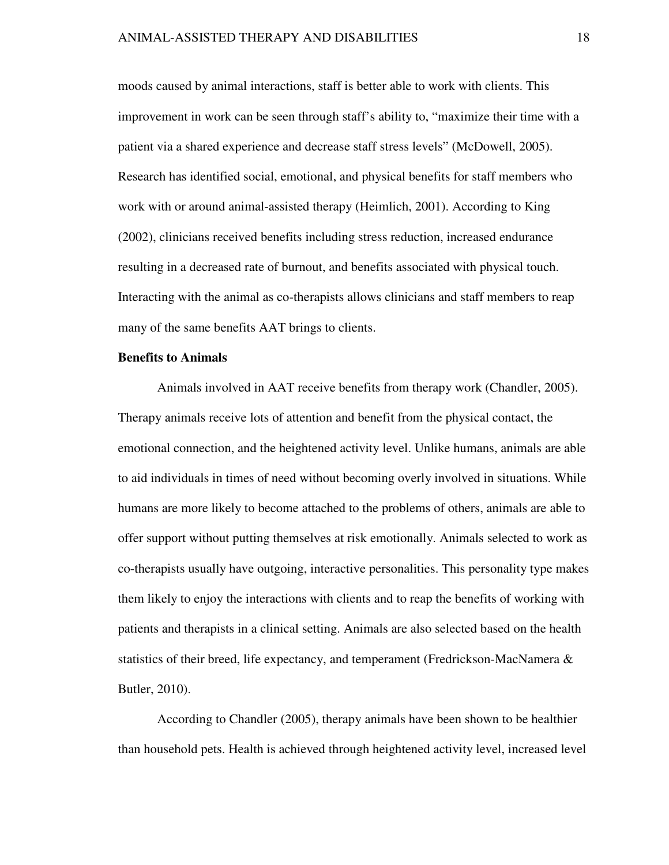moods caused by animal interactions, staff is better able to work with clients. This improvement in work can be seen through staff's ability to, "maximize their time with a patient via a shared experience and decrease staff stress levels" (McDowell, 2005). Research has identified social, emotional, and physical benefits for staff members who work with or around animal-assisted therapy (Heimlich, 2001). According to King (2002), clinicians received benefits including stress reduction, increased endurance resulting in a decreased rate of burnout, and benefits associated with physical touch. Interacting with the animal as co-therapists allows clinicians and staff members to reap many of the same benefits AAT brings to clients.

# **Benefits to Animals**

Animals involved in AAT receive benefits from therapy work (Chandler, 2005). Therapy animals receive lots of attention and benefit from the physical contact, the emotional connection, and the heightened activity level. Unlike humans, animals are able to aid individuals in times of need without becoming overly involved in situations. While humans are more likely to become attached to the problems of others, animals are able to offer support without putting themselves at risk emotionally. Animals selected to work as co-therapists usually have outgoing, interactive personalities. This personality type makes them likely to enjoy the interactions with clients and to reap the benefits of working with patients and therapists in a clinical setting. Animals are also selected based on the health statistics of their breed, life expectancy, and temperament (Fredrickson-MacNamera & Butler, 2010).

According to Chandler (2005), therapy animals have been shown to be healthier than household pets. Health is achieved through heightened activity level, increased level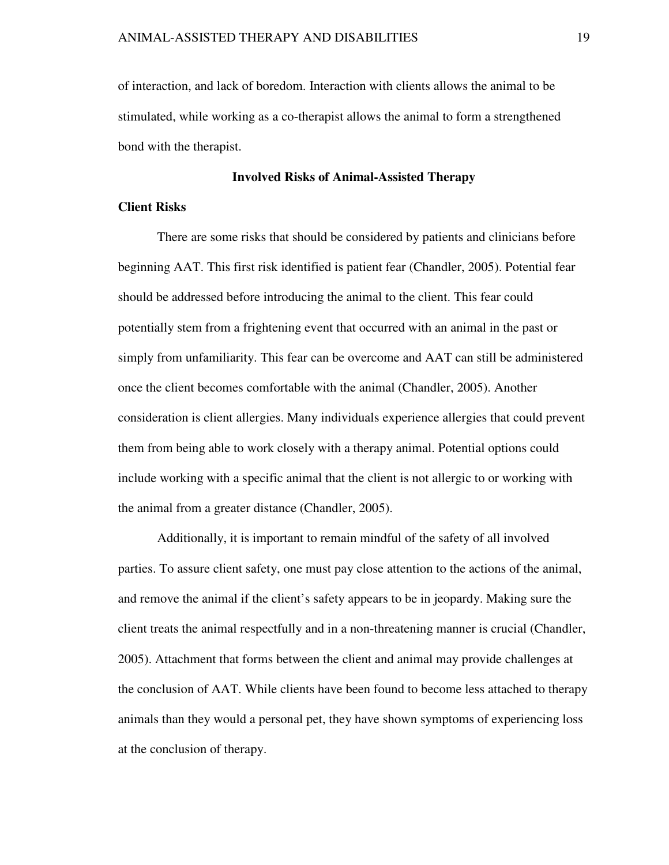of interaction, and lack of boredom. Interaction with clients allows the animal to be stimulated, while working as a co-therapist allows the animal to form a strengthened bond with the therapist.

# **Involved Risks of Animal-Assisted Therapy**

# **Client Risks**

There are some risks that should be considered by patients and clinicians before beginning AAT. This first risk identified is patient fear (Chandler, 2005). Potential fear should be addressed before introducing the animal to the client. This fear could potentially stem from a frightening event that occurred with an animal in the past or simply from unfamiliarity. This fear can be overcome and AAT can still be administered once the client becomes comfortable with the animal (Chandler, 2005). Another consideration is client allergies. Many individuals experience allergies that could prevent them from being able to work closely with a therapy animal. Potential options could include working with a specific animal that the client is not allergic to or working with the animal from a greater distance (Chandler, 2005).

Additionally, it is important to remain mindful of the safety of all involved parties. To assure client safety, one must pay close attention to the actions of the animal, and remove the animal if the client's safety appears to be in jeopardy. Making sure the client treats the animal respectfully and in a non-threatening manner is crucial (Chandler, 2005). Attachment that forms between the client and animal may provide challenges at the conclusion of AAT. While clients have been found to become less attached to therapy animals than they would a personal pet, they have shown symptoms of experiencing loss at the conclusion of therapy.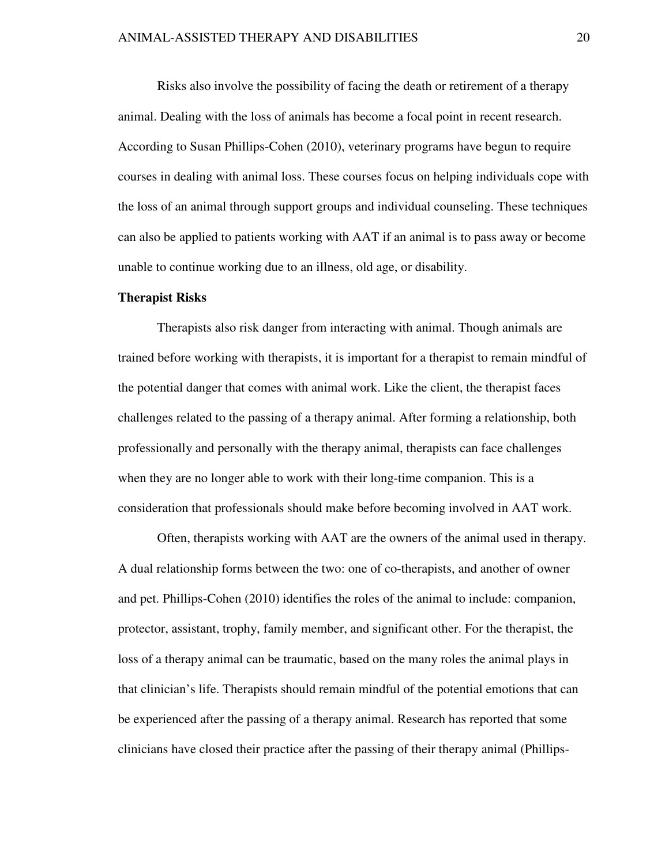Risks also involve the possibility of facing the death or retirement of a therapy animal. Dealing with the loss of animals has become a focal point in recent research. According to Susan Phillips-Cohen (2010), veterinary programs have begun to require courses in dealing with animal loss. These courses focus on helping individuals cope with the loss of an animal through support groups and individual counseling. These techniques can also be applied to patients working with AAT if an animal is to pass away or become unable to continue working due to an illness, old age, or disability.

#### **Therapist Risks**

Therapists also risk danger from interacting with animal. Though animals are trained before working with therapists, it is important for a therapist to remain mindful of the potential danger that comes with animal work. Like the client, the therapist faces challenges related to the passing of a therapy animal. After forming a relationship, both professionally and personally with the therapy animal, therapists can face challenges when they are no longer able to work with their long-time companion. This is a consideration that professionals should make before becoming involved in AAT work.

Often, therapists working with AAT are the owners of the animal used in therapy. A dual relationship forms between the two: one of co-therapists, and another of owner and pet. Phillips-Cohen (2010) identifies the roles of the animal to include: companion, protector, assistant, trophy, family member, and significant other. For the therapist, the loss of a therapy animal can be traumatic, based on the many roles the animal plays in that clinician's life. Therapists should remain mindful of the potential emotions that can be experienced after the passing of a therapy animal. Research has reported that some clinicians have closed their practice after the passing of their therapy animal (Phillips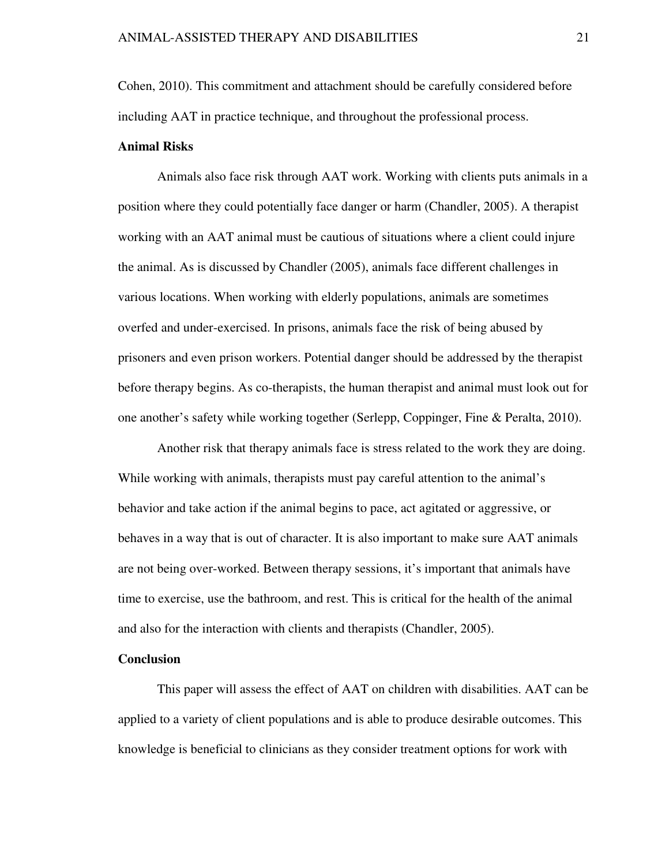Cohen, 2010). This commitment and attachment should be carefully considered before including AAT in practice technique, and throughout the professional process.

# **Animal Risks**

Animals also face risk through AAT work. Working with clients puts animals in a position where they could potentially face danger or harm (Chandler, 2005). A therapist working with an AAT animal must be cautious of situations where a client could injure the animal. As is discussed by Chandler (2005), animals face different challenges in various locations. When working with elderly populations, animals are sometimes overfed and under-exercised. In prisons, animals face the risk of being abused by prisoners and even prison workers. Potential danger should be addressed by the therapist before therapy begins. As co-therapists, the human therapist and animal must look out for one another's safety while working together (Serlepp, Coppinger, Fine & Peralta, 2010).

Another risk that therapy animals face is stress related to the work they are doing. While working with animals, therapists must pay careful attention to the animal's behavior and take action if the animal begins to pace, act agitated or aggressive, or behaves in a way that is out of character. It is also important to make sure AAT animals are not being over-worked. Between therapy sessions, it's important that animals have time to exercise, use the bathroom, and rest. This is critical for the health of the animal and also for the interaction with clients and therapists (Chandler, 2005).

# **Conclusion**

This paper will assess the effect of AAT on children with disabilities. AAT can be applied to a variety of client populations and is able to produce desirable outcomes. This knowledge is beneficial to clinicians as they consider treatment options for work with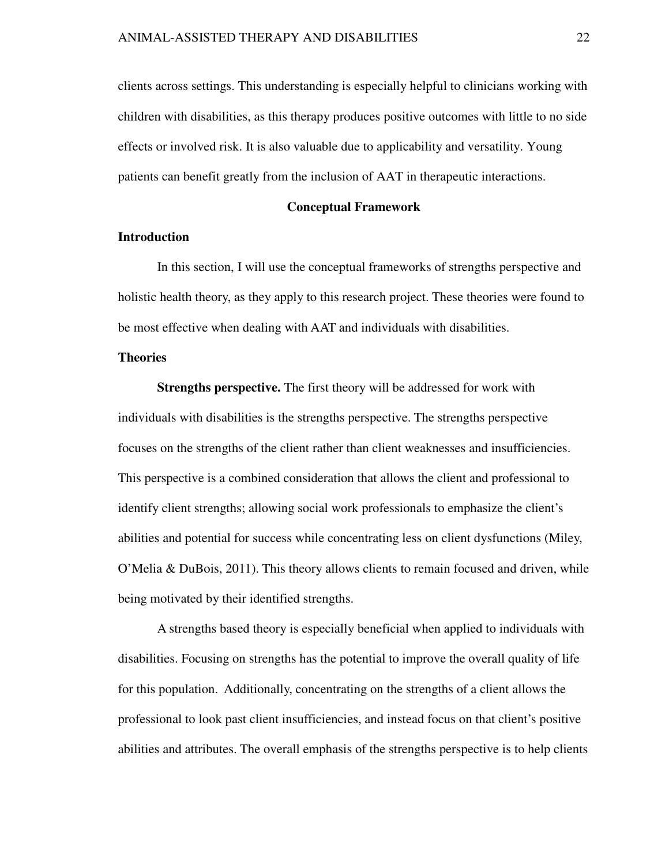clients across settings. This understanding is especially helpful to clinicians working with children with disabilities, as this therapy produces positive outcomes with little to no side effects or involved risk. It is also valuable due to applicability and versatility. Young patients can benefit greatly from the inclusion of AAT in therapeutic interactions.

#### **Conceptual Framework**

#### **Introduction**

In this section, I will use the conceptual frameworks of strengths perspective and holistic health theory, as they apply to this research project. These theories were found to be most effective when dealing with AAT and individuals with disabilities.

# **Theories**

**Strengths perspective.** The first theory will be addressed for work with individuals with disabilities is the strengths perspective. The strengths perspective focuses on the strengths of the client rather than client weaknesses and insufficiencies. This perspective is a combined consideration that allows the client and professional to identify client strengths; allowing social work professionals to emphasize the client's abilities and potential for success while concentrating less on client dysfunctions (Miley, O'Melia & DuBois, 2011). This theory allows clients to remain focused and driven, while being motivated by their identified strengths.

A strengths based theory is especially beneficial when applied to individuals with disabilities. Focusing on strengths has the potential to improve the overall quality of life for this population. Additionally, concentrating on the strengths of a client allows the professional to look past client insufficiencies, and instead focus on that client's positive abilities and attributes. The overall emphasis of the strengths perspective is to help clients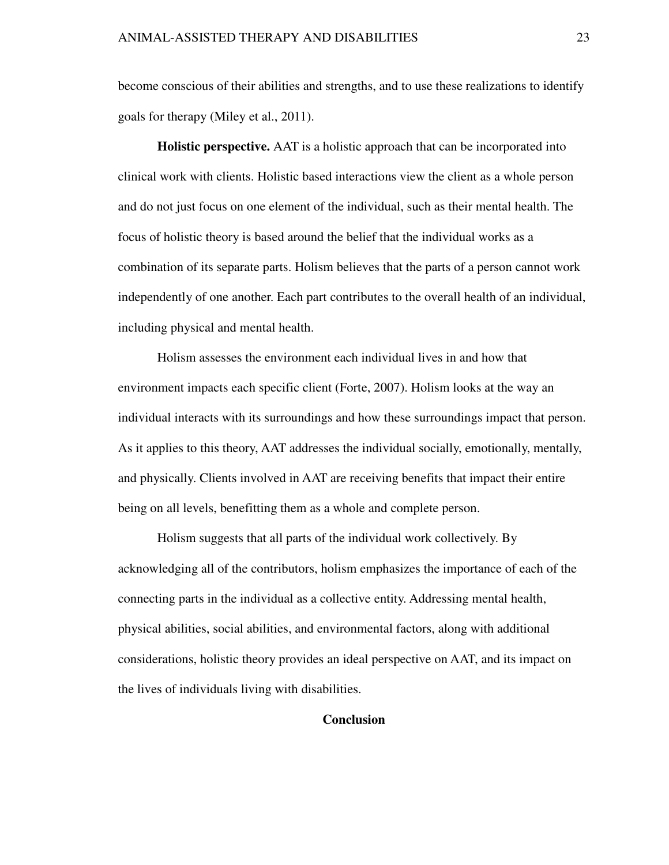become conscious of their abilities and strengths, and to use these realizations to identify goals for therapy (Miley et al., 2011).

 **Holistic perspective.** AAT is a holistic approach that can be incorporated into clinical work with clients. Holistic based interactions view the client as a whole person and do not just focus on one element of the individual, such as their mental health. The focus of holistic theory is based around the belief that the individual works as a combination of its separate parts. Holism believes that the parts of a person cannot work independently of one another. Each part contributes to the overall health of an individual, including physical and mental health.

 Holism assesses the environment each individual lives in and how that environment impacts each specific client (Forte, 2007). Holism looks at the way an individual interacts with its surroundings and how these surroundings impact that person. As it applies to this theory, AAT addresses the individual socially, emotionally, mentally, and physically. Clients involved in AAT are receiving benefits that impact their entire being on all levels, benefitting them as a whole and complete person.

 Holism suggests that all parts of the individual work collectively. By acknowledging all of the contributors, holism emphasizes the importance of each of the connecting parts in the individual as a collective entity. Addressing mental health, physical abilities, social abilities, and environmental factors, along with additional considerations, holistic theory provides an ideal perspective on AAT, and its impact on the lives of individuals living with disabilities.

# **Conclusion**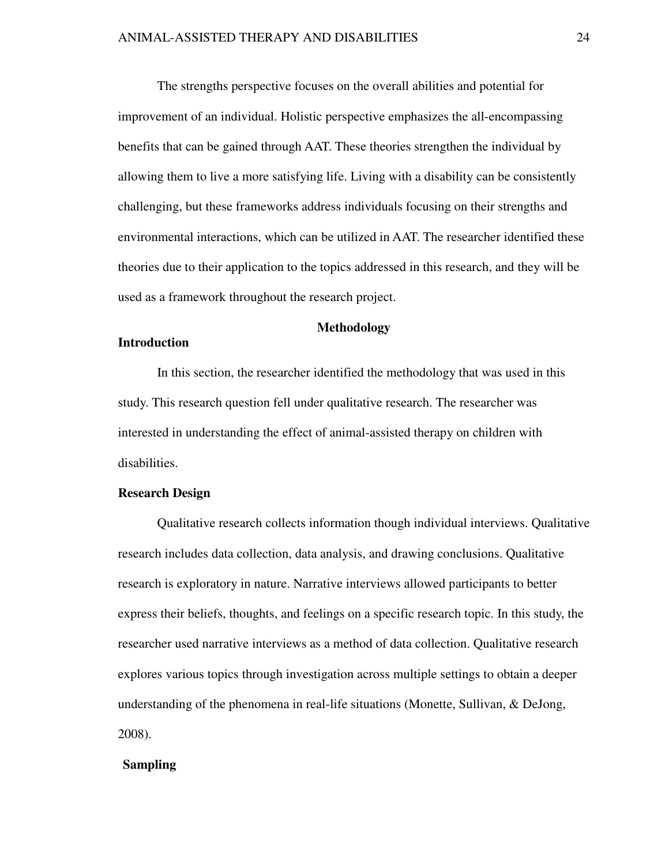The strengths perspective focuses on the overall abilities and potential for improvement of an individual. Holistic perspective emphasizes the all-encompassing benefits that can be gained through AAT. These theories strengthen the individual by allowing them to live a more satisfying life. Living with a disability can be consistently challenging, but these frameworks address individuals focusing on their strengths and environmental interactions, which can be utilized in AAT. The researcher identified these theories due to their application to the topics addressed in this research, and they will be used as a framework throughout the research project.

# **Methodology**

#### **Introduction**

 In this section, the researcher identified the methodology that was used in this study. This research question fell under qualitative research. The researcher was interested in understanding the effect of animal-assisted therapy on children with disabilities.

#### **Research Design**

Qualitative research collects information though individual interviews. Qualitative research includes data collection, data analysis, and drawing conclusions. Qualitative research is exploratory in nature. Narrative interviews allowed participants to better express their beliefs, thoughts, and feelings on a specific research topic. In this study, the researcher used narrative interviews as a method of data collection. Qualitative research explores various topics through investigation across multiple settings to obtain a deeper understanding of the phenomena in real-life situations (Monette, Sullivan, & DeJong, 2008).

#### **Sampling**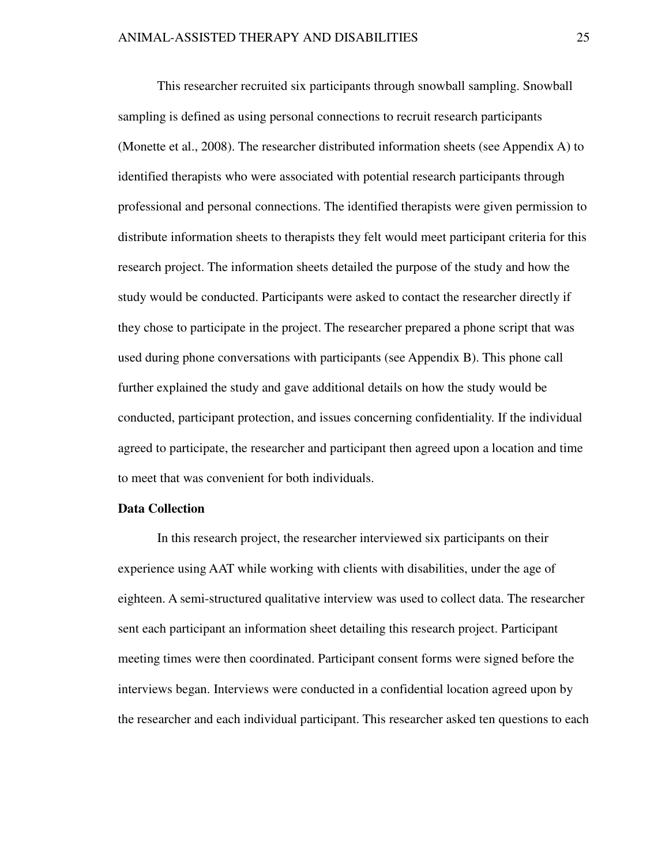This researcher recruited six participants through snowball sampling. Snowball sampling is defined as using personal connections to recruit research participants (Monette et al., 2008). The researcher distributed information sheets (see Appendix A) to identified therapists who were associated with potential research participants through professional and personal connections. The identified therapists were given permission to distribute information sheets to therapists they felt would meet participant criteria for this research project. The information sheets detailed the purpose of the study and how the study would be conducted. Participants were asked to contact the researcher directly if they chose to participate in the project. The researcher prepared a phone script that was used during phone conversations with participants (see Appendix B). This phone call further explained the study and gave additional details on how the study would be conducted, participant protection, and issues concerning confidentiality. If the individual agreed to participate, the researcher and participant then agreed upon a location and time to meet that was convenient for both individuals.

#### **Data Collection**

 In this research project, the researcher interviewed six participants on their experience using AAT while working with clients with disabilities, under the age of eighteen. A semi-structured qualitative interview was used to collect data. The researcher sent each participant an information sheet detailing this research project. Participant meeting times were then coordinated. Participant consent forms were signed before the interviews began. Interviews were conducted in a confidential location agreed upon by the researcher and each individual participant. This researcher asked ten questions to each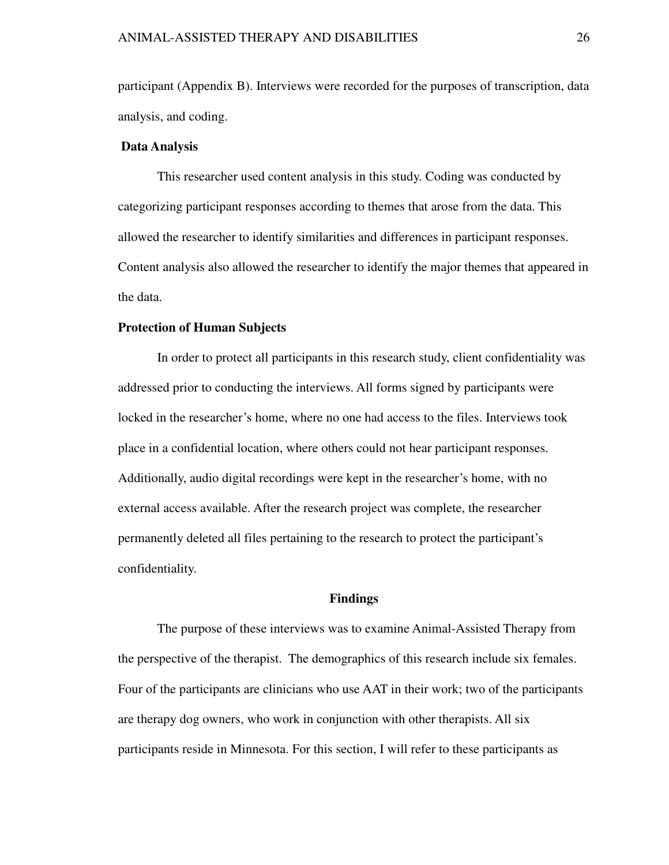participant (Appendix B). Interviews were recorded for the purposes of transcription, data analysis, and coding.

#### **Data Analysis**

This researcher used content analysis in this study. Coding was conducted by categorizing participant responses according to themes that arose from the data. This allowed the researcher to identify similarities and differences in participant responses. Content analysis also allowed the researcher to identify the major themes that appeared in the data.

# **Protection of Human Subjects**

In order to protect all participants in this research study, client confidentiality was addressed prior to conducting the interviews. All forms signed by participants were locked in the researcher's home, where no one had access to the files. Interviews took place in a confidential location, where others could not hear participant responses. Additionally, audio digital recordings were kept in the researcher's home, with no external access available. After the research project was complete, the researcher permanently deleted all files pertaining to the research to protect the participant's confidentiality.

#### **Findings**

 The purpose of these interviews was to examine Animal-Assisted Therapy from the perspective of the therapist. The demographics of this research include six females. Four of the participants are clinicians who use AAT in their work; two of the participants are therapy dog owners, who work in conjunction with other therapists. All six participants reside in Minnesota. For this section, I will refer to these participants as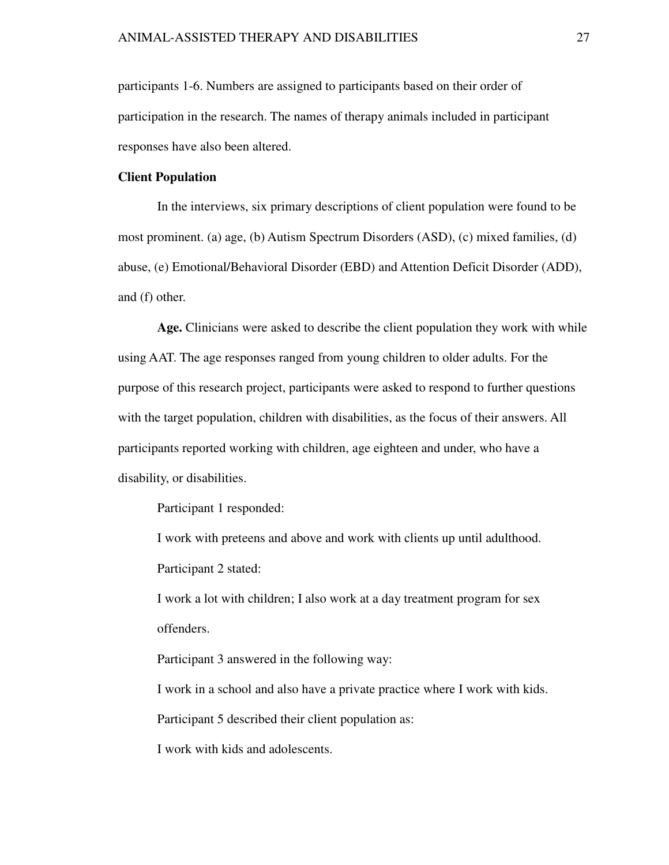participants 1-6. Numbers are assigned to participants based on their order of participation in the research. The names of therapy animals included in participant responses have also been altered.

#### **Client Population**

 In the interviews, six primary descriptions of client population were found to be most prominent. (a) age, (b) Autism Spectrum Disorders (ASD), (c) mixed families, (d) abuse, (e) Emotional/Behavioral Disorder (EBD) and Attention Deficit Disorder (ADD), and (f) other.

 **Age.** Clinicians were asked to describe the client population they work with while using AAT. The age responses ranged from young children to older adults. For the purpose of this research project, participants were asked to respond to further questions with the target population, children with disabilities, as the focus of their answers. All participants reported working with children, age eighteen and under, who have a disability, or disabilities.

Participant 1 responded:

I work with preteens and above and work with clients up until adulthood. Participant 2 stated:

I work a lot with children; I also work at a day treatment program for sex offenders.

Participant 3 answered in the following way:

I work in a school and also have a private practice where I work with kids.

Participant 5 described their client population as:

I work with kids and adolescents.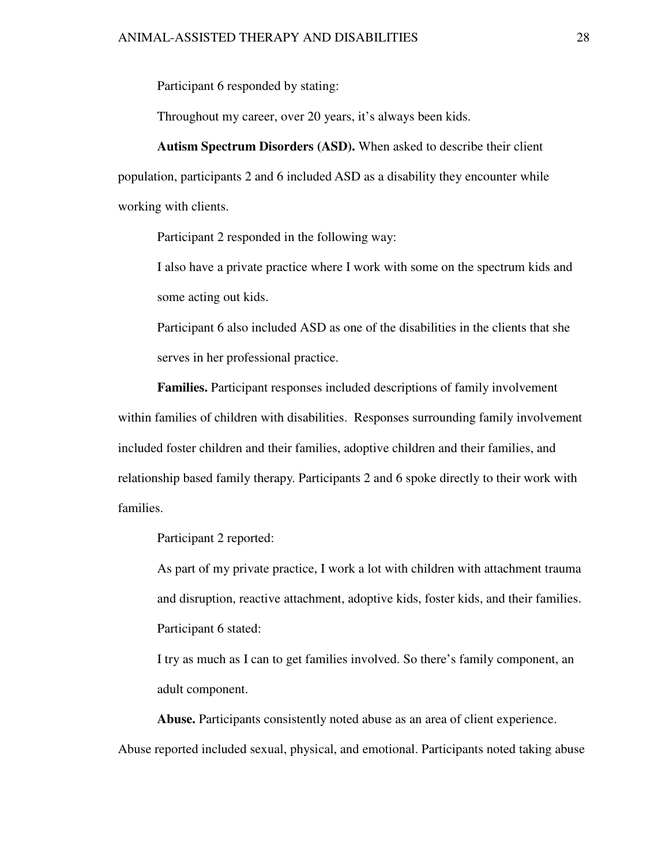Participant 6 responded by stating:

Throughout my career, over 20 years, it's always been kids.

**Autism Spectrum Disorders (ASD).** When asked to describe their client population, participants 2 and 6 included ASD as a disability they encounter while working with clients.

Participant 2 responded in the following way:

I also have a private practice where I work with some on the spectrum kids and some acting out kids.

Participant 6 also included ASD as one of the disabilities in the clients that she serves in her professional practice.

 **Families.** Participant responses included descriptions of family involvement within families of children with disabilities. Responses surrounding family involvement included foster children and their families, adoptive children and their families, and relationship based family therapy. Participants 2 and 6 spoke directly to their work with families.

Participant 2 reported:

As part of my private practice, I work a lot with children with attachment trauma and disruption, reactive attachment, adoptive kids, foster kids, and their families. Participant 6 stated:

I try as much as I can to get families involved. So there's family component, an adult component.

 **Abuse.** Participants consistently noted abuse as an area of client experience. Abuse reported included sexual, physical, and emotional. Participants noted taking abuse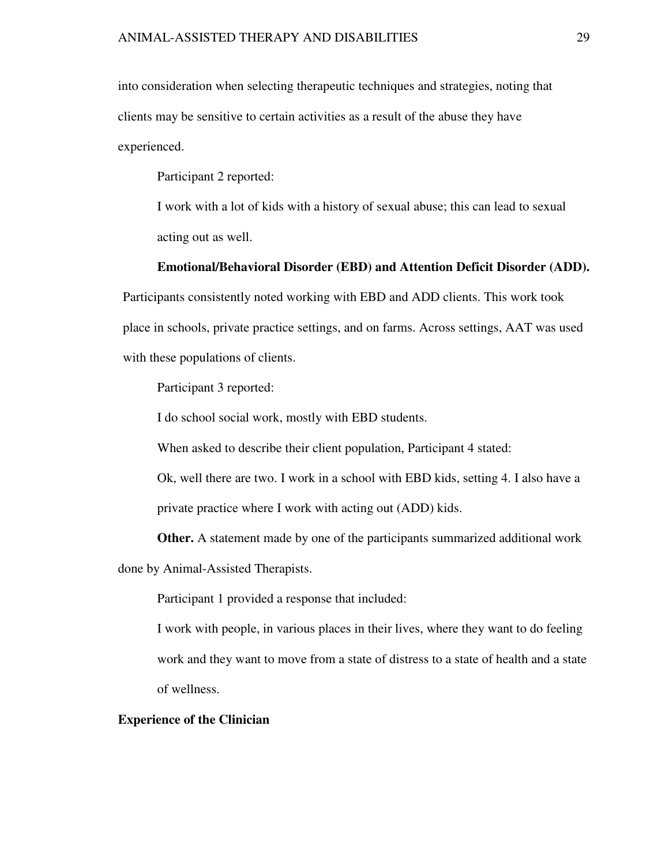into consideration when selecting therapeutic techniques and strategies, noting that clients may be sensitive to certain activities as a result of the abuse they have experienced.

Participant 2 reported:

I work with a lot of kids with a history of sexual abuse; this can lead to sexual acting out as well.

#### **Emotional/Behavioral Disorder (EBD) and Attention Deficit Disorder (ADD).**

Participants consistently noted working with EBD and ADD clients. This work took place in schools, private practice settings, and on farms. Across settings, AAT was used with these populations of clients.

Participant 3 reported:

I do school social work, mostly with EBD students.

When asked to describe their client population, Participant 4 stated:

Ok, well there are two. I work in a school with EBD kids, setting 4. I also have a private practice where I work with acting out (ADD) kids.

**Other.** A statement made by one of the participants summarized additional work done by Animal-Assisted Therapists.

Participant 1 provided a response that included:

I work with people, in various places in their lives, where they want to do feeling work and they want to move from a state of distress to a state of health and a state of wellness.

# **Experience of the Clinician**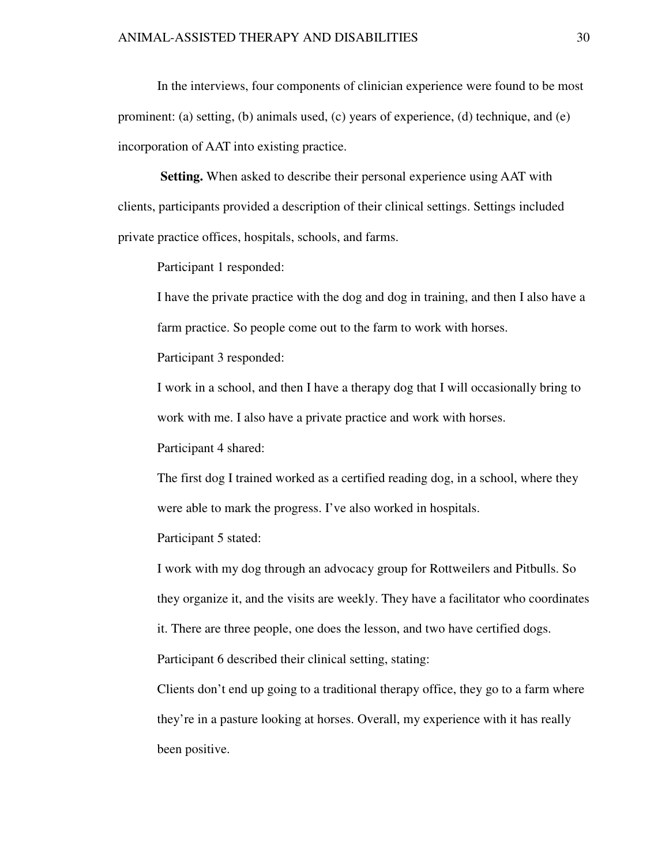In the interviews, four components of clinician experience were found to be most prominent: (a) setting, (b) animals used, (c) years of experience, (d) technique, and (e) incorporation of AAT into existing practice.

 **Setting.** When asked to describe their personal experience using AAT with clients, participants provided a description of their clinical settings. Settings included private practice offices, hospitals, schools, and farms.

Participant 1 responded:

I have the private practice with the dog and dog in training, and then I also have a farm practice. So people come out to the farm to work with horses.

Participant 3 responded:

I work in a school, and then I have a therapy dog that I will occasionally bring to work with me. I also have a private practice and work with horses.

Participant 4 shared:

The first dog I trained worked as a certified reading dog, in a school, where they were able to mark the progress. I've also worked in hospitals.

Participant 5 stated:

I work with my dog through an advocacy group for Rottweilers and Pitbulls. So they organize it, and the visits are weekly. They have a facilitator who coordinates

it. There are three people, one does the lesson, and two have certified dogs.

Participant 6 described their clinical setting, stating:

Clients don't end up going to a traditional therapy office, they go to a farm where they're in a pasture looking at horses. Overall, my experience with it has really been positive.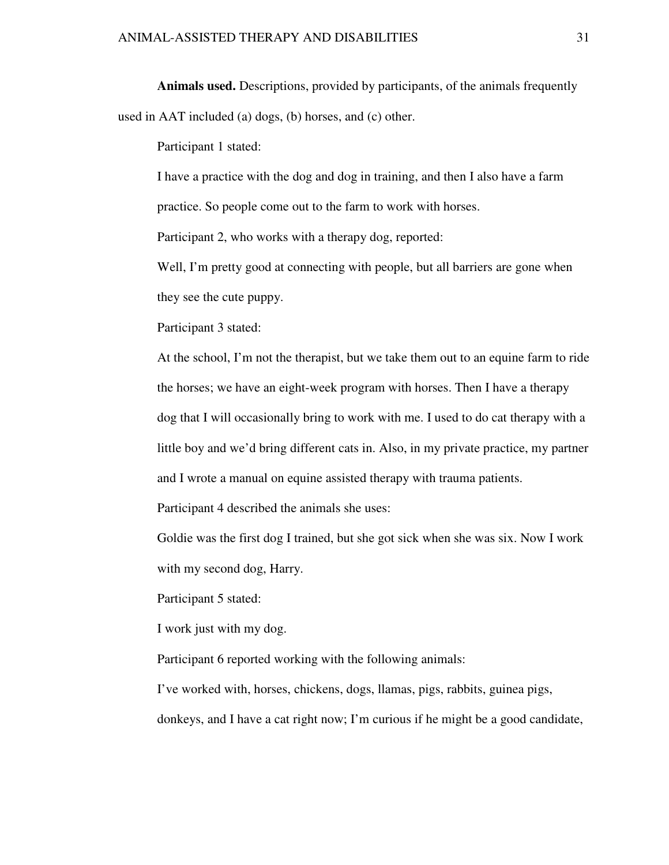**Animals used.** Descriptions, provided by participants, of the animals frequently used in AAT included (a) dogs, (b) horses, and (c) other.

Participant 1 stated:

I have a practice with the dog and dog in training, and then I also have a farm practice. So people come out to the farm to work with horses.

Participant 2, who works with a therapy dog, reported:

Well, I'm pretty good at connecting with people, but all barriers are gone when they see the cute puppy.

Participant 3 stated:

At the school, I'm not the therapist, but we take them out to an equine farm to ride the horses; we have an eight-week program with horses. Then I have a therapy dog that I will occasionally bring to work with me. I used to do cat therapy with a little boy and we'd bring different cats in. Also, in my private practice, my partner and I wrote a manual on equine assisted therapy with trauma patients.

Participant 4 described the animals she uses:

Goldie was the first dog I trained, but she got sick when she was six. Now I work with my second dog, Harry.

Participant 5 stated:

I work just with my dog.

Participant 6 reported working with the following animals:

I've worked with, horses, chickens, dogs, llamas, pigs, rabbits, guinea pigs,

donkeys, and I have a cat right now; I'm curious if he might be a good candidate,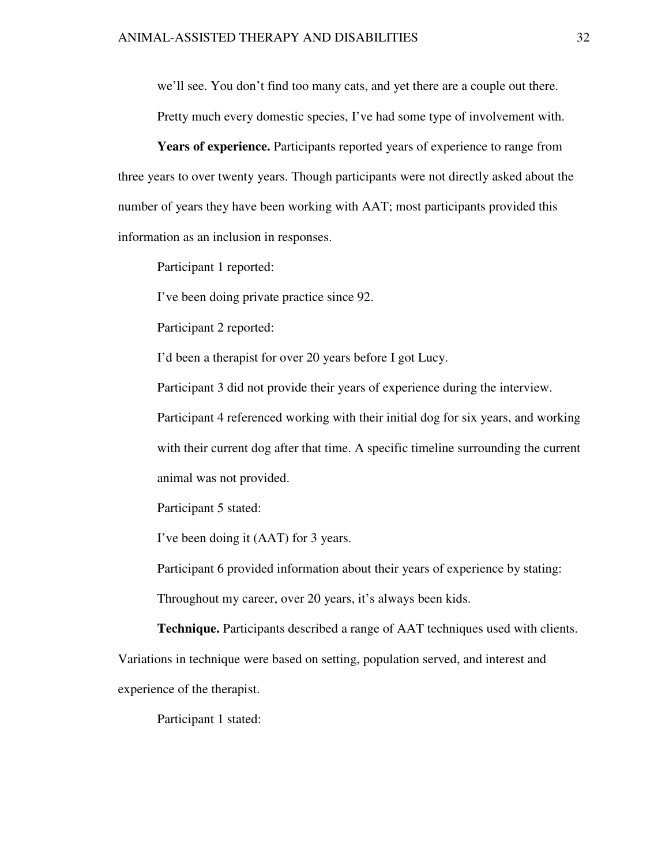we'll see. You don't find too many cats, and yet there are a couple out there.

Pretty much every domestic species, I've had some type of involvement with.

**Years of experience.** Participants reported years of experience to range from three years to over twenty years. Though participants were not directly asked about the number of years they have been working with AAT; most participants provided this information as an inclusion in responses.

Participant 1 reported:

I've been doing private practice since 92.

Participant 2 reported:

I'd been a therapist for over 20 years before I got Lucy.

Participant 3 did not provide their years of experience during the interview.

Participant 4 referenced working with their initial dog for six years, and working with their current dog after that time. A specific timeline surrounding the current animal was not provided.

Participant 5 stated:

I've been doing it (AAT) for 3 years.

Participant 6 provided information about their years of experience by stating:

Throughout my career, over 20 years, it's always been kids.

**Technique.** Participants described a range of AAT techniques used with clients.

Variations in technique were based on setting, population served, and interest and experience of the therapist.

Participant 1 stated: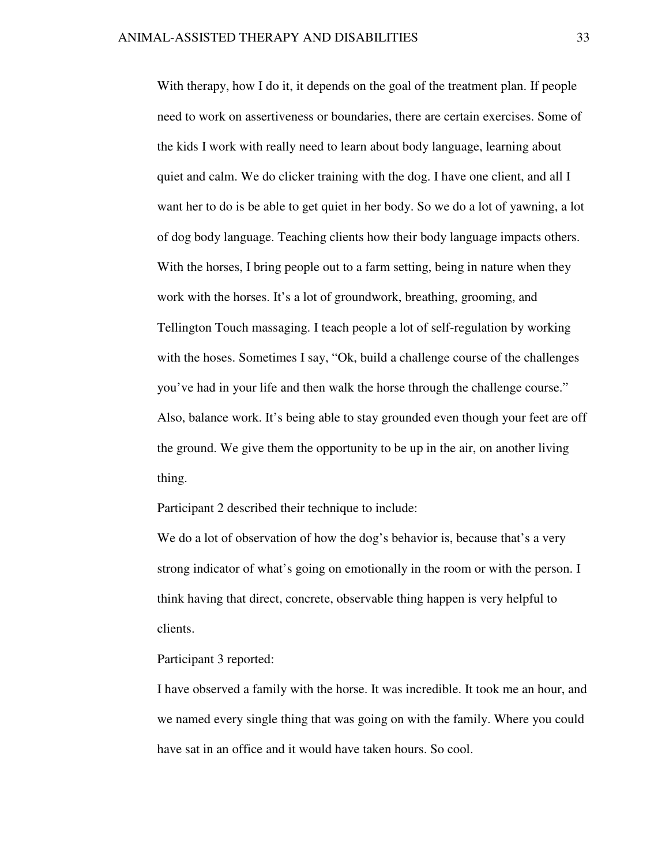With therapy, how I do it, it depends on the goal of the treatment plan. If people need to work on assertiveness or boundaries, there are certain exercises. Some of the kids I work with really need to learn about body language, learning about quiet and calm. We do clicker training with the dog. I have one client, and all I want her to do is be able to get quiet in her body. So we do a lot of yawning, a lot of dog body language. Teaching clients how their body language impacts others. With the horses, I bring people out to a farm setting, being in nature when they work with the horses. It's a lot of groundwork, breathing, grooming, and Tellington Touch massaging. I teach people a lot of self-regulation by working with the hoses. Sometimes I say, "Ok, build a challenge course of the challenges you've had in your life and then walk the horse through the challenge course." Also, balance work. It's being able to stay grounded even though your feet are off the ground. We give them the opportunity to be up in the air, on another living thing.

Participant 2 described their technique to include:

We do a lot of observation of how the dog's behavior is, because that's a very strong indicator of what's going on emotionally in the room or with the person. I think having that direct, concrete, observable thing happen is very helpful to clients.

Participant 3 reported:

I have observed a family with the horse. It was incredible. It took me an hour, and we named every single thing that was going on with the family. Where you could have sat in an office and it would have taken hours. So cool.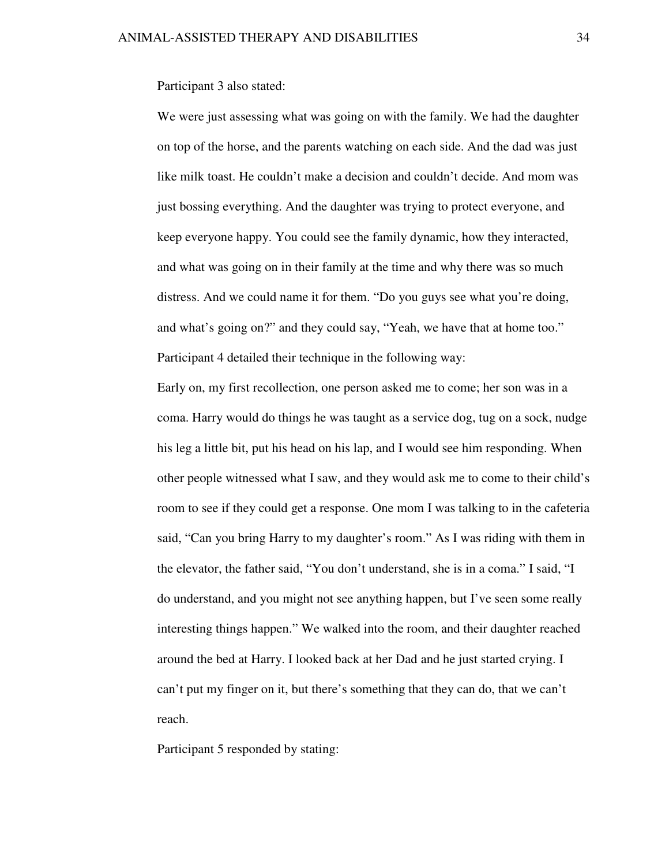Participant 3 also stated:

We were just assessing what was going on with the family. We had the daughter on top of the horse, and the parents watching on each side. And the dad was just like milk toast. He couldn't make a decision and couldn't decide. And mom was just bossing everything. And the daughter was trying to protect everyone, and keep everyone happy. You could see the family dynamic, how they interacted, and what was going on in their family at the time and why there was so much distress. And we could name it for them. "Do you guys see what you're doing, and what's going on?" and they could say, "Yeah, we have that at home too." Participant 4 detailed their technique in the following way:

Early on, my first recollection, one person asked me to come; her son was in a coma. Harry would do things he was taught as a service dog, tug on a sock, nudge his leg a little bit, put his head on his lap, and I would see him responding. When other people witnessed what I saw, and they would ask me to come to their child's room to see if they could get a response. One mom I was talking to in the cafeteria said, "Can you bring Harry to my daughter's room." As I was riding with them in the elevator, the father said, "You don't understand, she is in a coma." I said, "I do understand, and you might not see anything happen, but I've seen some really interesting things happen." We walked into the room, and their daughter reached around the bed at Harry. I looked back at her Dad and he just started crying. I can't put my finger on it, but there's something that they can do, that we can't reach.

Participant 5 responded by stating: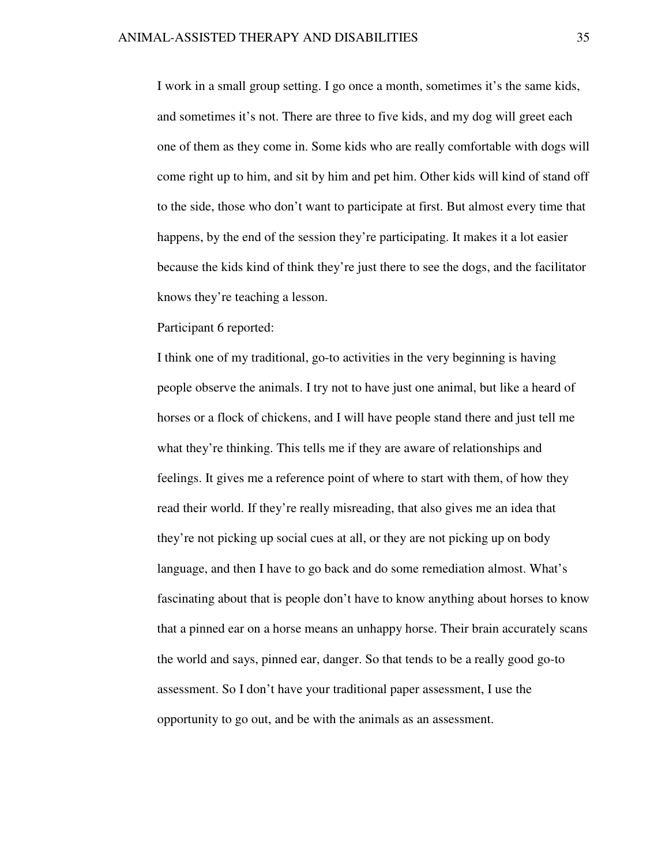I work in a small group setting. I go once a month, sometimes it's the same kids, and sometimes it's not. There are three to five kids, and my dog will greet each one of them as they come in. Some kids who are really comfortable with dogs will come right up to him, and sit by him and pet him. Other kids will kind of stand off to the side, those who don't want to participate at first. But almost every time that happens, by the end of the session they're participating. It makes it a lot easier because the kids kind of think they're just there to see the dogs, and the facilitator knows they're teaching a lesson.

# Participant 6 reported:

I think one of my traditional, go-to activities in the very beginning is having people observe the animals. I try not to have just one animal, but like a heard of horses or a flock of chickens, and I will have people stand there and just tell me what they're thinking. This tells me if they are aware of relationships and feelings. It gives me a reference point of where to start with them, of how they read their world. If they're really misreading, that also gives me an idea that they're not picking up social cues at all, or they are not picking up on body language, and then I have to go back and do some remediation almost. What's fascinating about that is people don't have to know anything about horses to know that a pinned ear on a horse means an unhappy horse. Their brain accurately scans the world and says, pinned ear, danger. So that tends to be a really good go-to assessment. So I don't have your traditional paper assessment, I use the opportunity to go out, and be with the animals as an assessment.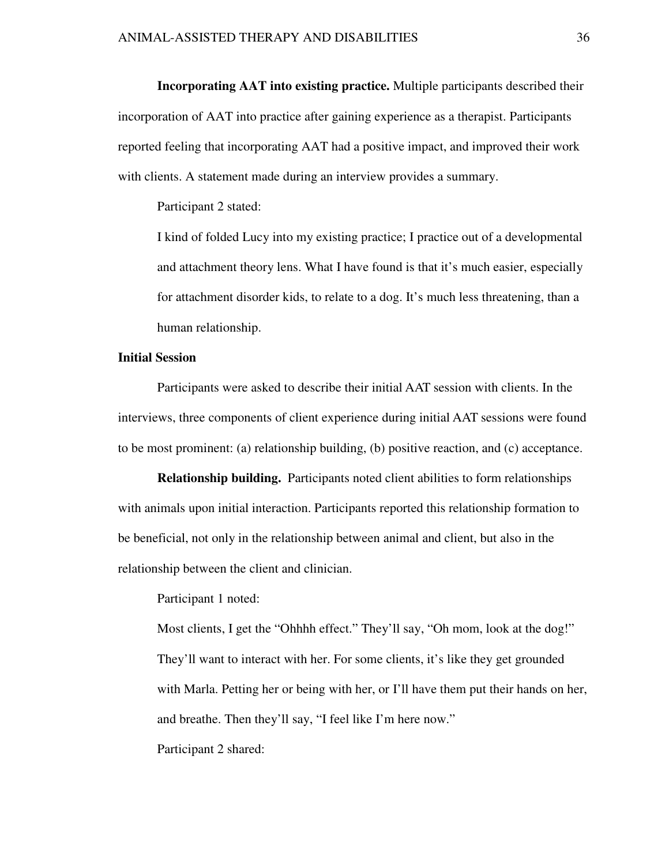**Incorporating AAT into existing practice.** Multiple participants described their incorporation of AAT into practice after gaining experience as a therapist. Participants reported feeling that incorporating AAT had a positive impact, and improved their work

with clients. A statement made during an interview provides a summary.

Participant 2 stated:

I kind of folded Lucy into my existing practice; I practice out of a developmental and attachment theory lens. What I have found is that it's much easier, especially for attachment disorder kids, to relate to a dog. It's much less threatening, than a human relationship.

# **Initial Session**

 Participants were asked to describe their initial AAT session with clients. In the interviews, three components of client experience during initial AAT sessions were found to be most prominent: (a) relationship building, (b) positive reaction, and (c) acceptance.

**Relationship building.** Participants noted client abilities to form relationships with animals upon initial interaction. Participants reported this relationship formation to be beneficial, not only in the relationship between animal and client, but also in the relationship between the client and clinician.

Participant 1 noted:

Most clients, I get the "Ohhhh effect." They'll say, "Oh mom, look at the dog!" They'll want to interact with her. For some clients, it's like they get grounded with Marla. Petting her or being with her, or I'll have them put their hands on her, and breathe. Then they'll say, "I feel like I'm here now." Participant 2 shared: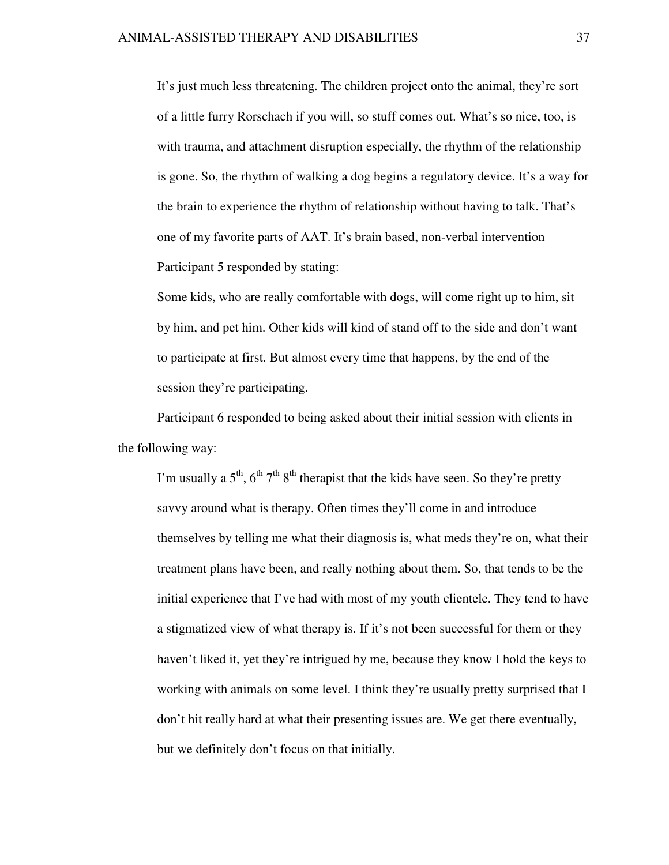It's just much less threatening. The children project onto the animal, they're sort of a little furry Rorschach if you will, so stuff comes out. What's so nice, too, is with trauma, and attachment disruption especially, the rhythm of the relationship is gone. So, the rhythm of walking a dog begins a regulatory device. It's a way for the brain to experience the rhythm of relationship without having to talk. That's one of my favorite parts of AAT. It's brain based, non-verbal intervention Participant 5 responded by stating:

Some kids, who are really comfortable with dogs, will come right up to him, sit by him, and pet him. Other kids will kind of stand off to the side and don't want to participate at first. But almost every time that happens, by the end of the session they're participating.

Participant 6 responded to being asked about their initial session with clients in the following way:

I'm usually a  $5<sup>th</sup>$ ,  $6<sup>th</sup>$ ,  $7<sup>th</sup>$   $8<sup>th</sup>$  therapist that the kids have seen. So they're pretty savvy around what is therapy. Often times they'll come in and introduce themselves by telling me what their diagnosis is, what meds they're on, what their treatment plans have been, and really nothing about them. So, that tends to be the initial experience that I've had with most of my youth clientele. They tend to have a stigmatized view of what therapy is. If it's not been successful for them or they haven't liked it, yet they're intrigued by me, because they know I hold the keys to working with animals on some level. I think they're usually pretty surprised that I don't hit really hard at what their presenting issues are. We get there eventually, but we definitely don't focus on that initially.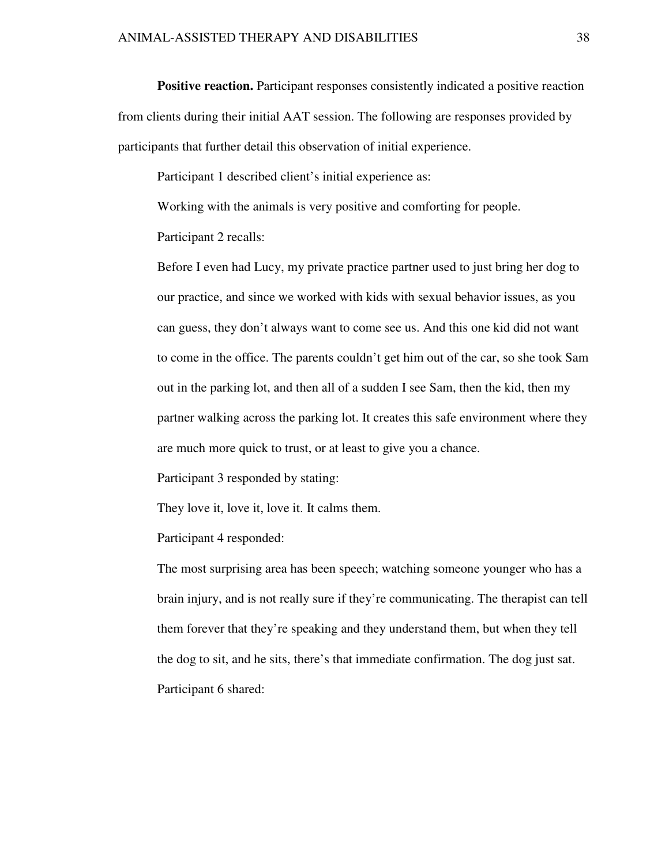**Positive reaction.** Participant responses consistently indicated a positive reaction from clients during their initial AAT session. The following are responses provided by participants that further detail this observation of initial experience.

Participant 1 described client's initial experience as:

Working with the animals is very positive and comforting for people.

Participant 2 recalls:

Before I even had Lucy, my private practice partner used to just bring her dog to our practice, and since we worked with kids with sexual behavior issues, as you can guess, they don't always want to come see us. And this one kid did not want to come in the office. The parents couldn't get him out of the car, so she took Sam out in the parking lot, and then all of a sudden I see Sam, then the kid, then my partner walking across the parking lot. It creates this safe environment where they are much more quick to trust, or at least to give you a chance.

Participant 3 responded by stating:

They love it, love it, love it. It calms them.

Participant 4 responded:

The most surprising area has been speech; watching someone younger who has a brain injury, and is not really sure if they're communicating. The therapist can tell them forever that they're speaking and they understand them, but when they tell the dog to sit, and he sits, there's that immediate confirmation. The dog just sat. Participant 6 shared: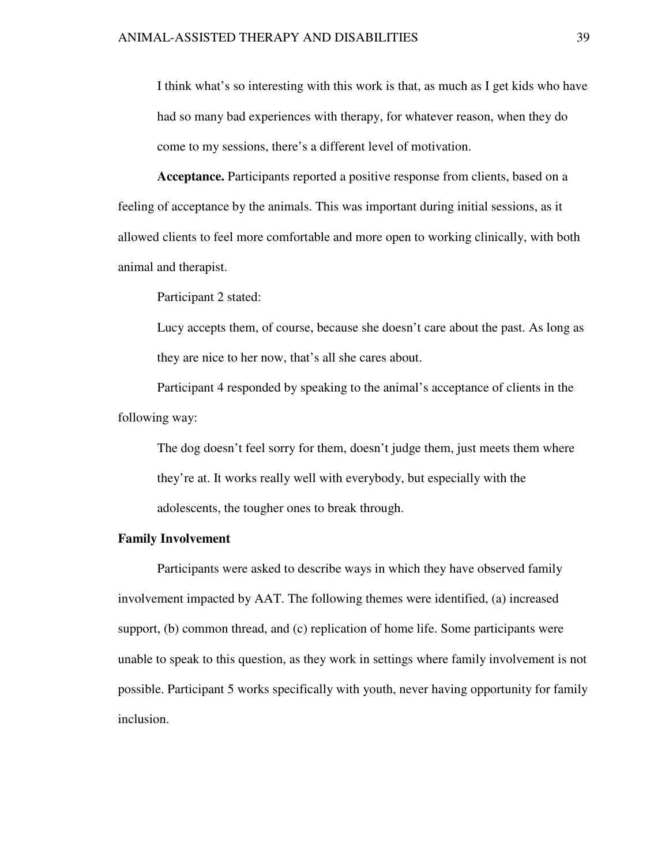I think what's so interesting with this work is that, as much as I get kids who have had so many bad experiences with therapy, for whatever reason, when they do come to my sessions, there's a different level of motivation.

**Acceptance.** Participants reported a positive response from clients, based on a feeling of acceptance by the animals. This was important during initial sessions, as it allowed clients to feel more comfortable and more open to working clinically, with both animal and therapist.

Participant 2 stated:

Lucy accepts them, of course, because she doesn't care about the past. As long as they are nice to her now, that's all she cares about.

Participant 4 responded by speaking to the animal's acceptance of clients in the following way:

The dog doesn't feel sorry for them, doesn't judge them, just meets them where they're at. It works really well with everybody, but especially with the adolescents, the tougher ones to break through.

# **Family Involvement**

Participants were asked to describe ways in which they have observed family involvement impacted by AAT. The following themes were identified, (a) increased support, (b) common thread, and (c) replication of home life. Some participants were unable to speak to this question, as they work in settings where family involvement is not possible. Participant 5 works specifically with youth, never having opportunity for family inclusion.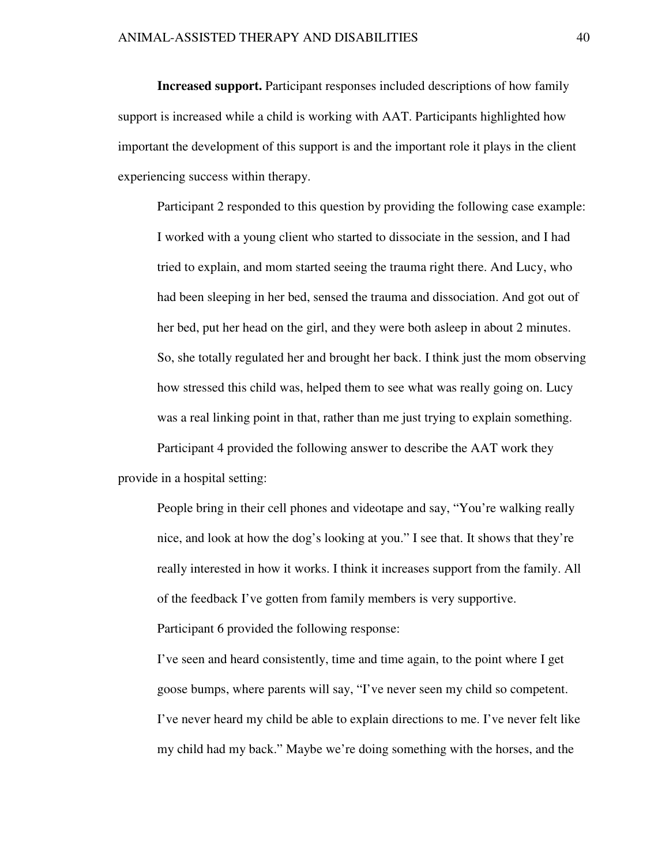**Increased support.** Participant responses included descriptions of how family support is increased while a child is working with AAT. Participants highlighted how important the development of this support is and the important role it plays in the client experiencing success within therapy.

Participant 2 responded to this question by providing the following case example: I worked with a young client who started to dissociate in the session, and I had tried to explain, and mom started seeing the trauma right there. And Lucy, who had been sleeping in her bed, sensed the trauma and dissociation. And got out of her bed, put her head on the girl, and they were both asleep in about 2 minutes. So, she totally regulated her and brought her back. I think just the mom observing how stressed this child was, helped them to see what was really going on. Lucy was a real linking point in that, rather than me just trying to explain something. Participant 4 provided the following answer to describe the AAT work they

provide in a hospital setting:

People bring in their cell phones and videotape and say, "You're walking really nice, and look at how the dog's looking at you." I see that. It shows that they're really interested in how it works. I think it increases support from the family. All of the feedback I've gotten from family members is very supportive. Participant 6 provided the following response:

I've seen and heard consistently, time and time again, to the point where I get goose bumps, where parents will say, "I've never seen my child so competent. I've never heard my child be able to explain directions to me. I've never felt like my child had my back." Maybe we're doing something with the horses, and the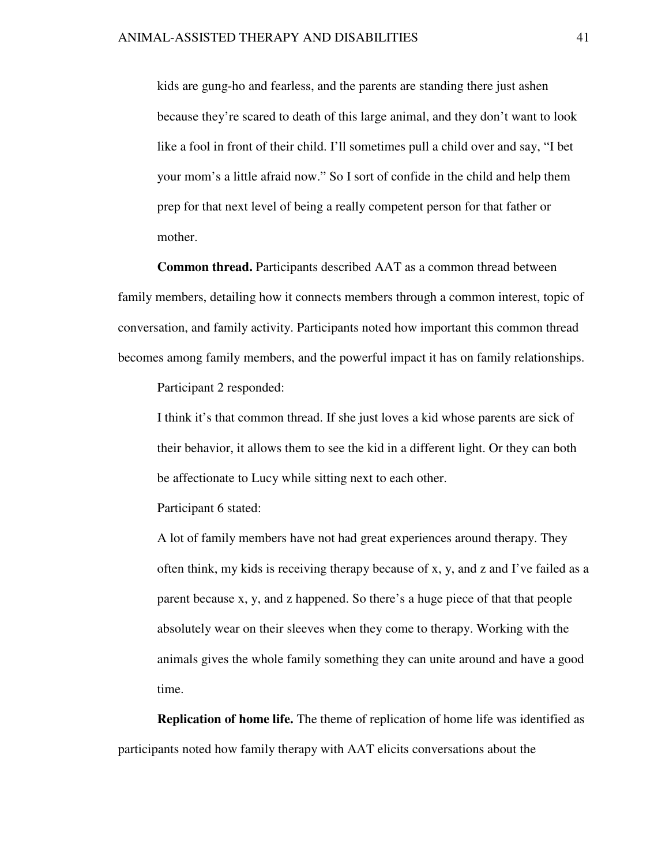kids are gung-ho and fearless, and the parents are standing there just ashen because they're scared to death of this large animal, and they don't want to look like a fool in front of their child. I'll sometimes pull a child over and say, "I bet your mom's a little afraid now." So I sort of confide in the child and help them prep for that next level of being a really competent person for that father or mother.

**Common thread.** Participants described AAT as a common thread between family members, detailing how it connects members through a common interest, topic of conversation, and family activity. Participants noted how important this common thread becomes among family members, and the powerful impact it has on family relationships.

Participant 2 responded:

I think it's that common thread. If she just loves a kid whose parents are sick of their behavior, it allows them to see the kid in a different light. Or they can both be affectionate to Lucy while sitting next to each other.

Participant 6 stated:

A lot of family members have not had great experiences around therapy. They often think, my kids is receiving therapy because of x, y, and z and I've failed as a parent because x, y, and z happened. So there's a huge piece of that that people absolutely wear on their sleeves when they come to therapy. Working with the animals gives the whole family something they can unite around and have a good time.

**Replication of home life.** The theme of replication of home life was identified as participants noted how family therapy with AAT elicits conversations about the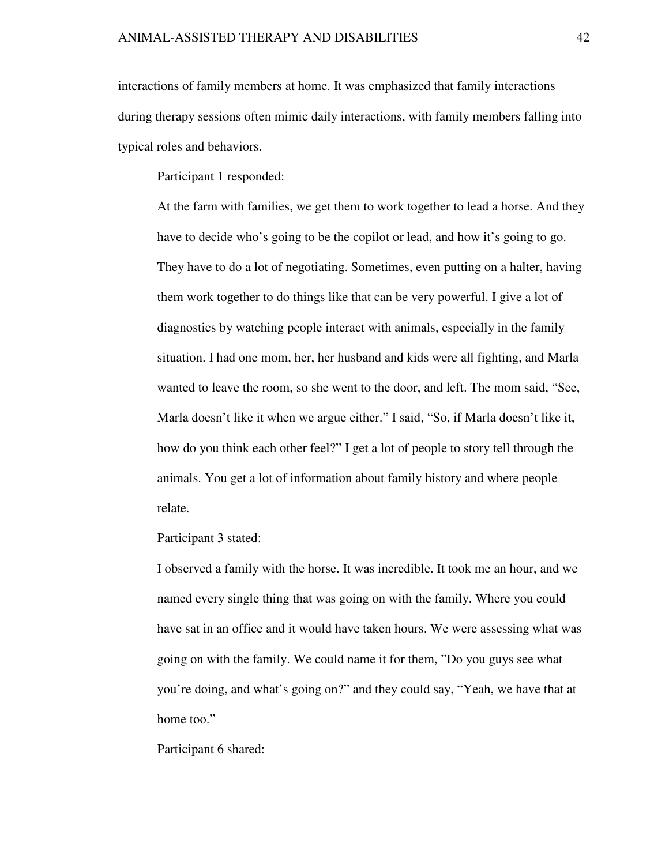interactions of family members at home. It was emphasized that family interactions during therapy sessions often mimic daily interactions, with family members falling into typical roles and behaviors.

Participant 1 responded:

At the farm with families, we get them to work together to lead a horse. And they have to decide who's going to be the copilot or lead, and how it's going to go. They have to do a lot of negotiating. Sometimes, even putting on a halter, having them work together to do things like that can be very powerful. I give a lot of diagnostics by watching people interact with animals, especially in the family situation. I had one mom, her, her husband and kids were all fighting, and Marla wanted to leave the room, so she went to the door, and left. The mom said, "See, Marla doesn't like it when we argue either." I said, "So, if Marla doesn't like it, how do you think each other feel?" I get a lot of people to story tell through the animals. You get a lot of information about family history and where people relate.

Participant 3 stated:

I observed a family with the horse. It was incredible. It took me an hour, and we named every single thing that was going on with the family. Where you could have sat in an office and it would have taken hours. We were assessing what was going on with the family. We could name it for them, "Do you guys see what you're doing, and what's going on?" and they could say, "Yeah, we have that at home too."

Participant 6 shared: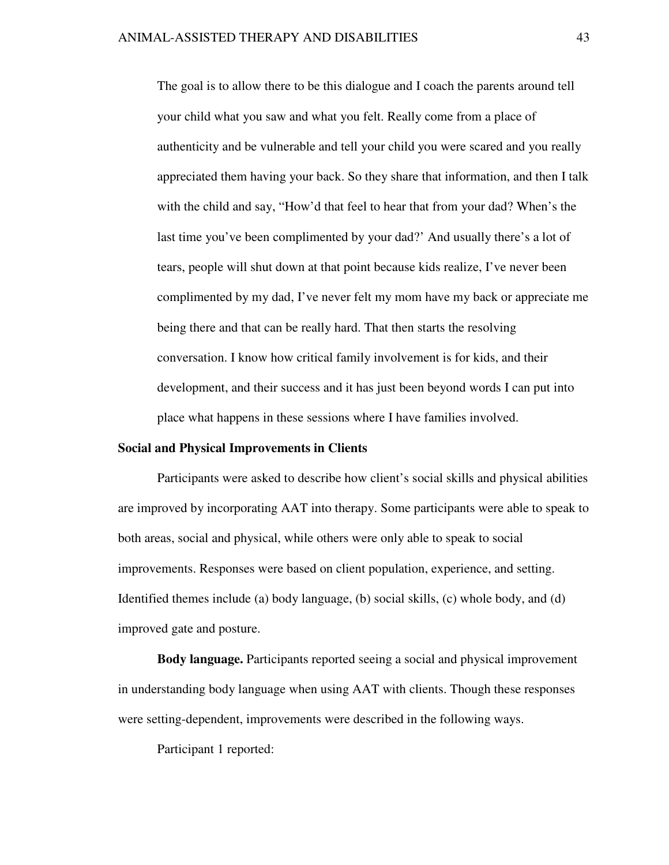The goal is to allow there to be this dialogue and I coach the parents around tell your child what you saw and what you felt. Really come from a place of authenticity and be vulnerable and tell your child you were scared and you really appreciated them having your back. So they share that information, and then I talk with the child and say, "How'd that feel to hear that from your dad? When's the last time you've been complimented by your dad?' And usually there's a lot of tears, people will shut down at that point because kids realize, I've never been complimented by my dad, I've never felt my mom have my back or appreciate me being there and that can be really hard. That then starts the resolving conversation. I know how critical family involvement is for kids, and their development, and their success and it has just been beyond words I can put into place what happens in these sessions where I have families involved.

#### **Social and Physical Improvements in Clients**

Participants were asked to describe how client's social skills and physical abilities are improved by incorporating AAT into therapy. Some participants were able to speak to both areas, social and physical, while others were only able to speak to social improvements. Responses were based on client population, experience, and setting. Identified themes include (a) body language, (b) social skills, (c) whole body, and (d) improved gate and posture.

**Body language.** Participants reported seeing a social and physical improvement in understanding body language when using AAT with clients. Though these responses were setting-dependent, improvements were described in the following ways.

Participant 1 reported: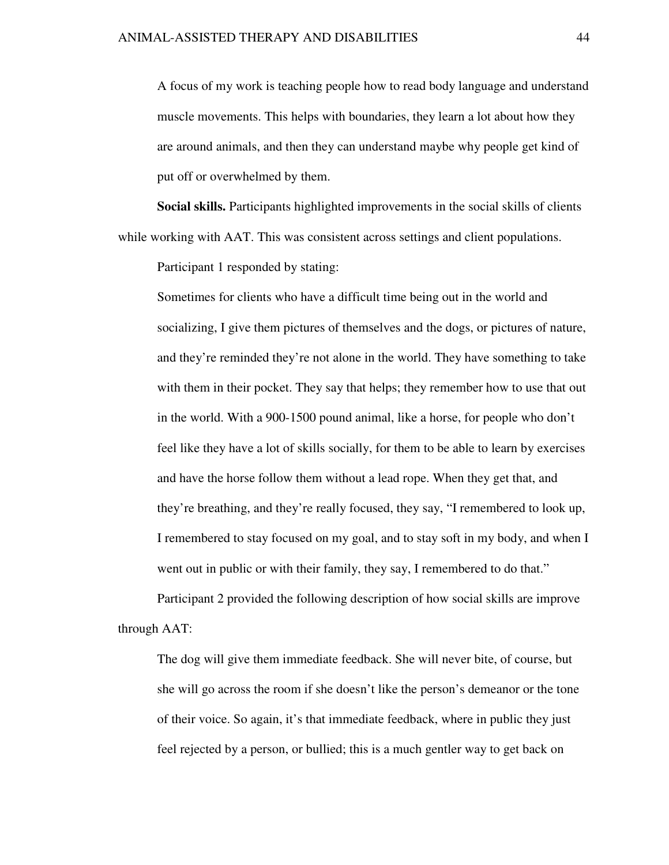A focus of my work is teaching people how to read body language and understand muscle movements. This helps with boundaries, they learn a lot about how they are around animals, and then they can understand maybe why people get kind of put off or overwhelmed by them.

**Social skills.** Participants highlighted improvements in the social skills of clients while working with AAT. This was consistent across settings and client populations.

Participant 1 responded by stating:

Sometimes for clients who have a difficult time being out in the world and socializing, I give them pictures of themselves and the dogs, or pictures of nature, and they're reminded they're not alone in the world. They have something to take with them in their pocket. They say that helps; they remember how to use that out in the world. With a 900-1500 pound animal, like a horse, for people who don't feel like they have a lot of skills socially, for them to be able to learn by exercises and have the horse follow them without a lead rope. When they get that, and they're breathing, and they're really focused, they say, "I remembered to look up, I remembered to stay focused on my goal, and to stay soft in my body, and when I went out in public or with their family, they say, I remembered to do that."

Participant 2 provided the following description of how social skills are improve through AAT:

The dog will give them immediate feedback. She will never bite, of course, but she will go across the room if she doesn't like the person's demeanor or the tone of their voice. So again, it's that immediate feedback, where in public they just feel rejected by a person, or bullied; this is a much gentler way to get back on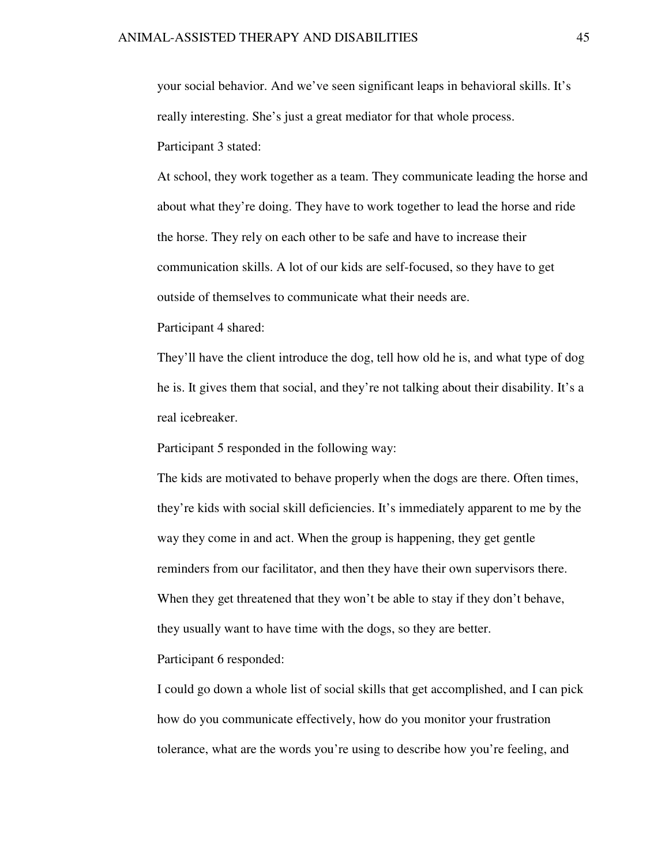your social behavior. And we've seen significant leaps in behavioral skills. It's really interesting. She's just a great mediator for that whole process. Participant 3 stated:

At school, they work together as a team. They communicate leading the horse and about what they're doing. They have to work together to lead the horse and ride the horse. They rely on each other to be safe and have to increase their communication skills. A lot of our kids are self-focused, so they have to get outside of themselves to communicate what their needs are.

Participant 4 shared:

They'll have the client introduce the dog, tell how old he is, and what type of dog he is. It gives them that social, and they're not talking about their disability. It's a real icebreaker.

Participant 5 responded in the following way:

The kids are motivated to behave properly when the dogs are there. Often times, they're kids with social skill deficiencies. It's immediately apparent to me by the way they come in and act. When the group is happening, they get gentle reminders from our facilitator, and then they have their own supervisors there. When they get threatened that they won't be able to stay if they don't behave, they usually want to have time with the dogs, so they are better. Participant 6 responded:

I could go down a whole list of social skills that get accomplished, and I can pick how do you communicate effectively, how do you monitor your frustration tolerance, what are the words you're using to describe how you're feeling, and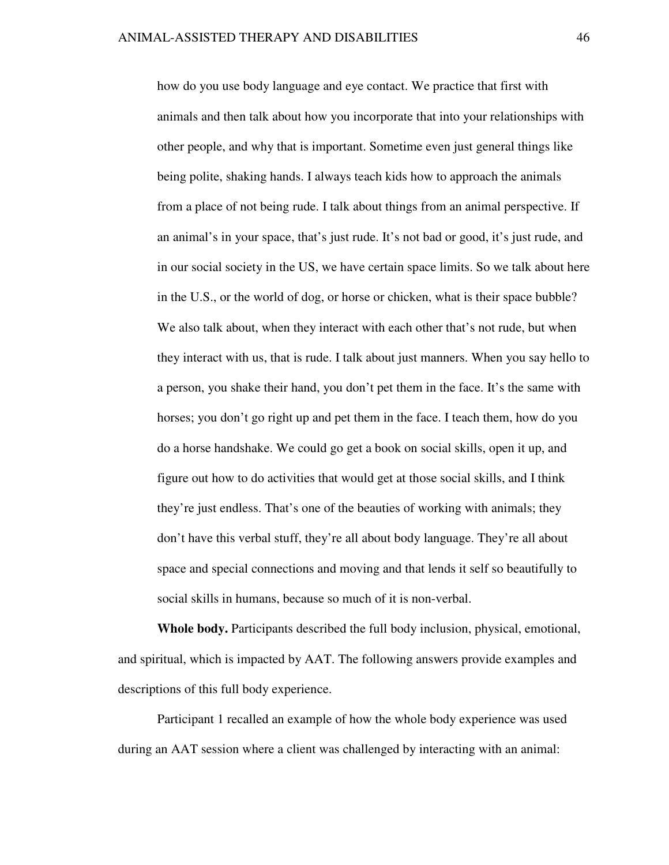how do you use body language and eye contact. We practice that first with animals and then talk about how you incorporate that into your relationships with other people, and why that is important. Sometime even just general things like being polite, shaking hands. I always teach kids how to approach the animals from a place of not being rude. I talk about things from an animal perspective. If an animal's in your space, that's just rude. It's not bad or good, it's just rude, and in our social society in the US, we have certain space limits. So we talk about here in the U.S., or the world of dog, or horse or chicken, what is their space bubble? We also talk about, when they interact with each other that's not rude, but when they interact with us, that is rude. I talk about just manners. When you say hello to a person, you shake their hand, you don't pet them in the face. It's the same with horses; you don't go right up and pet them in the face. I teach them, how do you do a horse handshake. We could go get a book on social skills, open it up, and figure out how to do activities that would get at those social skills, and I think they're just endless. That's one of the beauties of working with animals; they don't have this verbal stuff, they're all about body language. They're all about space and special connections and moving and that lends it self so beautifully to social skills in humans, because so much of it is non-verbal.

**Whole body.** Participants described the full body inclusion, physical, emotional, and spiritual, which is impacted by AAT. The following answers provide examples and descriptions of this full body experience.

Participant 1 recalled an example of how the whole body experience was used during an AAT session where a client was challenged by interacting with an animal: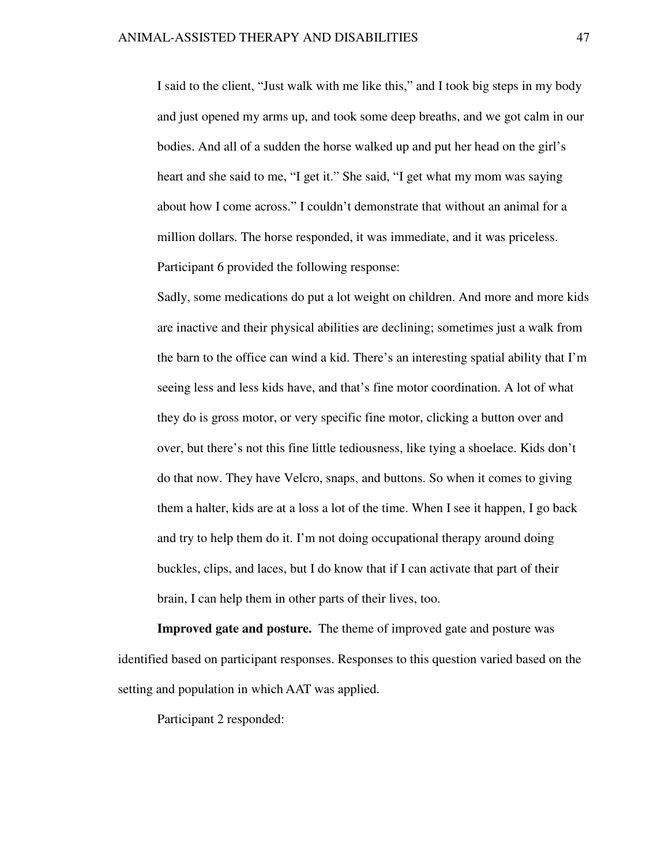I said to the client, "Just walk with me like this," and I took big steps in my body and just opened my arms up, and took some deep breaths, and we got calm in our bodies. And all of a sudden the horse walked up and put her head on the girl's heart and she said to me, "I get it." She said, "I get what my mom was saying about how I come across." I couldn't demonstrate that without an animal for a million dollars. The horse responded, it was immediate, and it was priceless. Participant 6 provided the following response:

Sadly, some medications do put a lot weight on children. And more and more kids are inactive and their physical abilities are declining; sometimes just a walk from the barn to the office can wind a kid. There's an interesting spatial ability that I'm seeing less and less kids have, and that's fine motor coordination. A lot of what they do is gross motor, or very specific fine motor, clicking a button over and over, but there's not this fine little tediousness, like tying a shoelace. Kids don't do that now. They have Velcro, snaps, and buttons. So when it comes to giving them a halter, kids are at a loss a lot of the time. When I see it happen, I go back and try to help them do it. I'm not doing occupational therapy around doing buckles, clips, and laces, but I do know that if I can activate that part of their brain, I can help them in other parts of their lives, too.

**Improved gate and posture.** The theme of improved gate and posture was identified based on participant responses. Responses to this question varied based on the setting and population in which AAT was applied.

Participant 2 responded: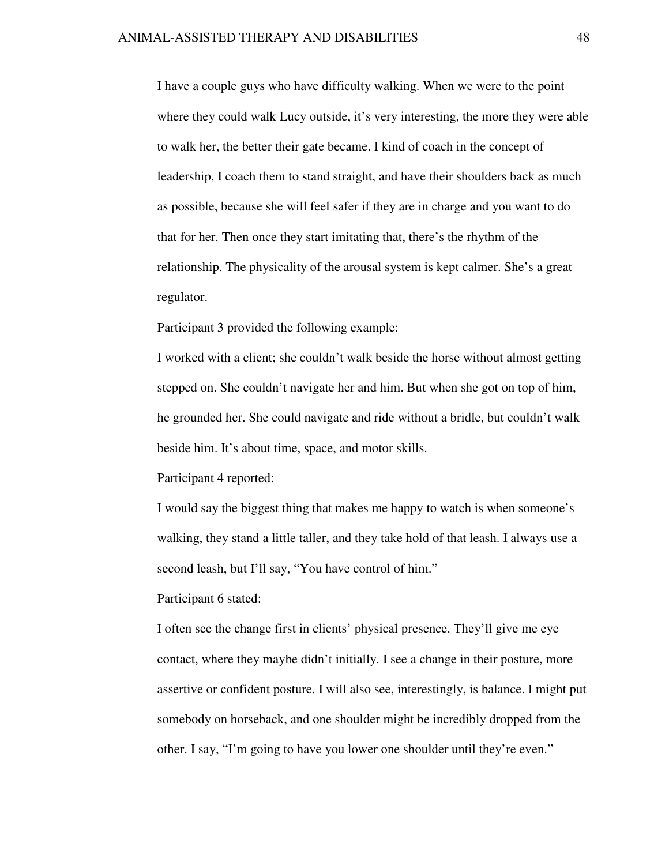I have a couple guys who have difficulty walking. When we were to the point where they could walk Lucy outside, it's very interesting, the more they were able to walk her, the better their gate became. I kind of coach in the concept of leadership, I coach them to stand straight, and have their shoulders back as much as possible, because she will feel safer if they are in charge and you want to do that for her. Then once they start imitating that, there's the rhythm of the relationship. The physicality of the arousal system is kept calmer. She's a great regulator.

Participant 3 provided the following example:

I worked with a client; she couldn't walk beside the horse without almost getting stepped on. She couldn't navigate her and him. But when she got on top of him, he grounded her. She could navigate and ride without a bridle, but couldn't walk beside him. It's about time, space, and motor skills.

Participant 4 reported:

I would say the biggest thing that makes me happy to watch is when someone's walking, they stand a little taller, and they take hold of that leash. I always use a second leash, but I'll say, "You have control of him."

Participant 6 stated:

I often see the change first in clients' physical presence. They'll give me eye contact, where they maybe didn't initially. I see a change in their posture, more assertive or confident posture. I will also see, interestingly, is balance. I might put somebody on horseback, and one shoulder might be incredibly dropped from the other. I say, "I'm going to have you lower one shoulder until they're even."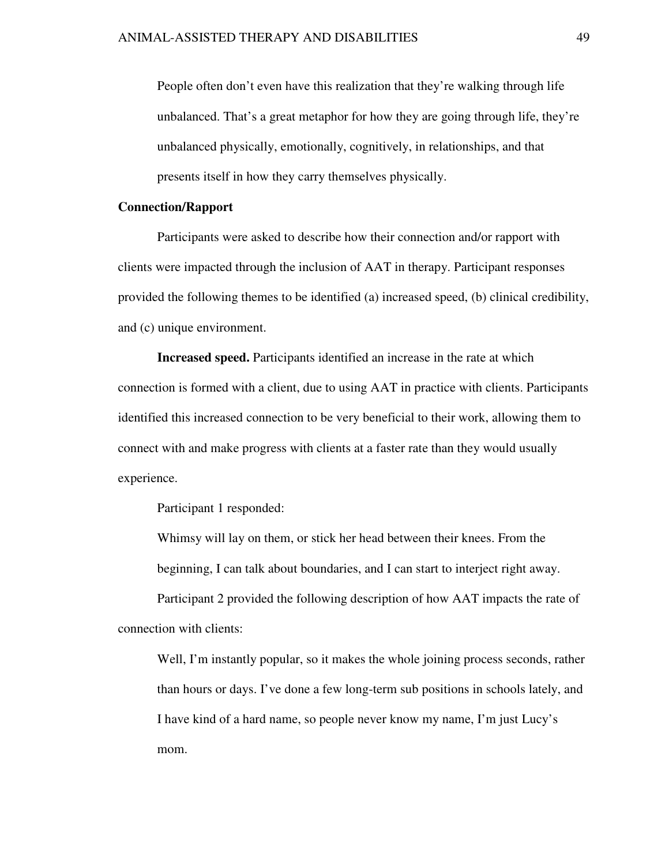People often don't even have this realization that they're walking through life unbalanced. That's a great metaphor for how they are going through life, they're unbalanced physically, emotionally, cognitively, in relationships, and that presents itself in how they carry themselves physically.

#### **Connection/Rapport**

Participants were asked to describe how their connection and/or rapport with clients were impacted through the inclusion of AAT in therapy. Participant responses provided the following themes to be identified (a) increased speed, (b) clinical credibility, and (c) unique environment.

**Increased speed.** Participants identified an increase in the rate at which connection is formed with a client, due to using AAT in practice with clients. Participants identified this increased connection to be very beneficial to their work, allowing them to connect with and make progress with clients at a faster rate than they would usually experience.

Participant 1 responded:

Whimsy will lay on them, or stick her head between their knees. From the beginning, I can talk about boundaries, and I can start to interject right away.

Participant 2 provided the following description of how AAT impacts the rate of connection with clients:

Well, I'm instantly popular, so it makes the whole joining process seconds, rather than hours or days. I've done a few long-term sub positions in schools lately, and I have kind of a hard name, so people never know my name, I'm just Lucy's mom.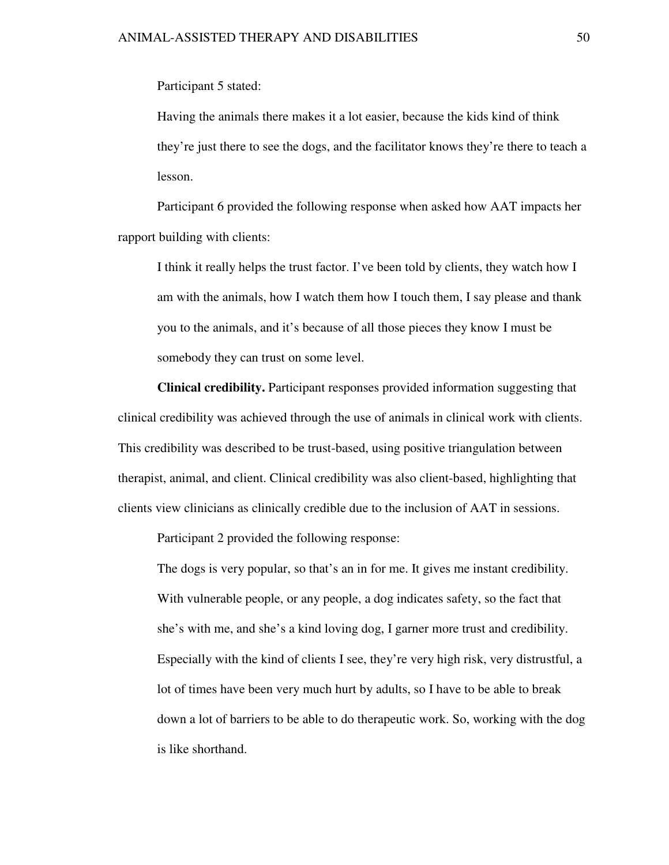Participant 5 stated:

Having the animals there makes it a lot easier, because the kids kind of think they're just there to see the dogs, and the facilitator knows they're there to teach a lesson.

Participant 6 provided the following response when asked how AAT impacts her rapport building with clients:

I think it really helps the trust factor. I've been told by clients, they watch how I am with the animals, how I watch them how I touch them, I say please and thank you to the animals, and it's because of all those pieces they know I must be somebody they can trust on some level.

**Clinical credibility.** Participant responses provided information suggesting that clinical credibility was achieved through the use of animals in clinical work with clients. This credibility was described to be trust-based, using positive triangulation between therapist, animal, and client. Clinical credibility was also client-based, highlighting that clients view clinicians as clinically credible due to the inclusion of AAT in sessions.

Participant 2 provided the following response:

The dogs is very popular, so that's an in for me. It gives me instant credibility. With vulnerable people, or any people, a dog indicates safety, so the fact that she's with me, and she's a kind loving dog, I garner more trust and credibility. Especially with the kind of clients I see, they're very high risk, very distrustful, a lot of times have been very much hurt by adults, so I have to be able to break down a lot of barriers to be able to do therapeutic work. So, working with the dog is like shorthand.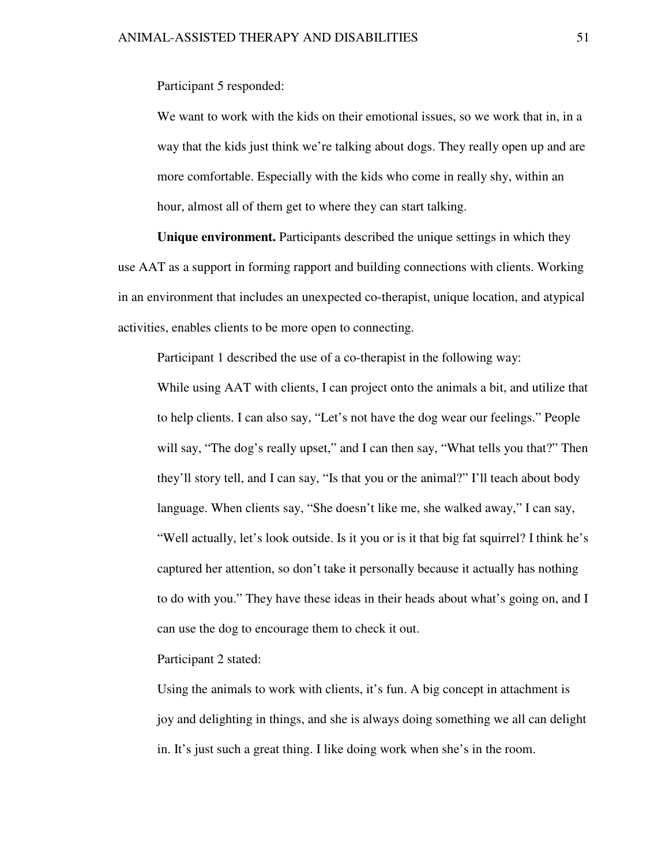Participant 5 responded:

We want to work with the kids on their emotional issues, so we work that in, in a way that the kids just think we're talking about dogs. They really open up and are more comfortable. Especially with the kids who come in really shy, within an hour, almost all of them get to where they can start talking.

**Unique environment.** Participants described the unique settings in which they use AAT as a support in forming rapport and building connections with clients. Working in an environment that includes an unexpected co-therapist, unique location, and atypical activities, enables clients to be more open to connecting.

Participant 1 described the use of a co-therapist in the following way:

While using AAT with clients, I can project onto the animals a bit, and utilize that to help clients. I can also say, "Let's not have the dog wear our feelings." People will say, "The dog's really upset," and I can then say, "What tells you that?" Then they'll story tell, and I can say, "Is that you or the animal?" I'll teach about body language. When clients say, "She doesn't like me, she walked away," I can say, "Well actually, let's look outside. Is it you or is it that big fat squirrel? I think he's captured her attention, so don't take it personally because it actually has nothing to do with you." They have these ideas in their heads about what's going on, and I can use the dog to encourage them to check it out.

Participant 2 stated:

Using the animals to work with clients, it's fun. A big concept in attachment is joy and delighting in things, and she is always doing something we all can delight in. It's just such a great thing. I like doing work when she's in the room.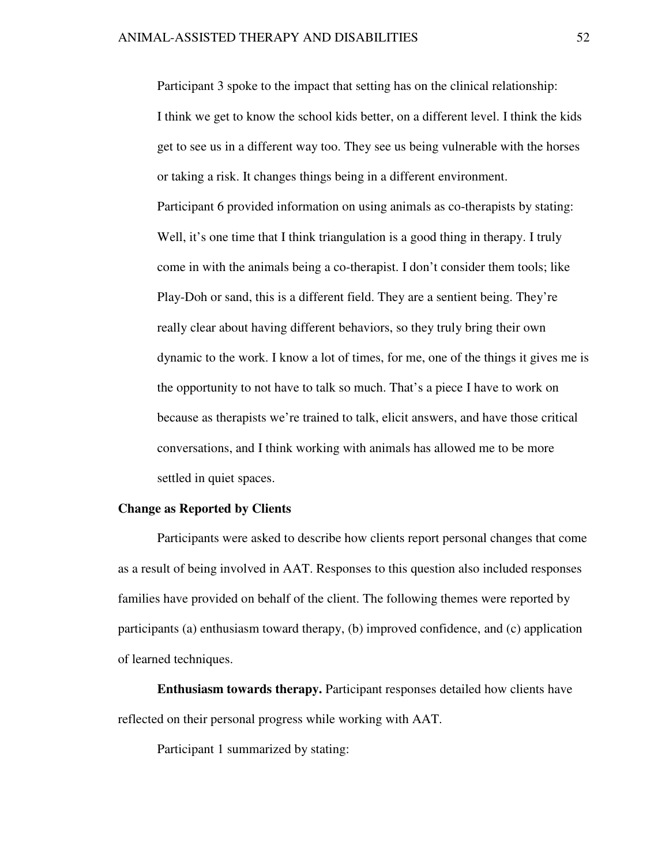Participant 3 spoke to the impact that setting has on the clinical relationship: I think we get to know the school kids better, on a different level. I think the kids get to see us in a different way too. They see us being vulnerable with the horses or taking a risk. It changes things being in a different environment. Participant 6 provided information on using animals as co-therapists by stating: Well, it's one time that I think triangulation is a good thing in therapy. I truly come in with the animals being a co-therapist. I don't consider them tools; like Play-Doh or sand, this is a different field. They are a sentient being. They're really clear about having different behaviors, so they truly bring their own dynamic to the work. I know a lot of times, for me, one of the things it gives me is the opportunity to not have to talk so much. That's a piece I have to work on because as therapists we're trained to talk, elicit answers, and have those critical conversations, and I think working with animals has allowed me to be more settled in quiet spaces.

## **Change as Reported by Clients**

Participants were asked to describe how clients report personal changes that come as a result of being involved in AAT. Responses to this question also included responses families have provided on behalf of the client. The following themes were reported by participants (a) enthusiasm toward therapy, (b) improved confidence, and (c) application of learned techniques.

**Enthusiasm towards therapy.** Participant responses detailed how clients have reflected on their personal progress while working with AAT.

Participant 1 summarized by stating: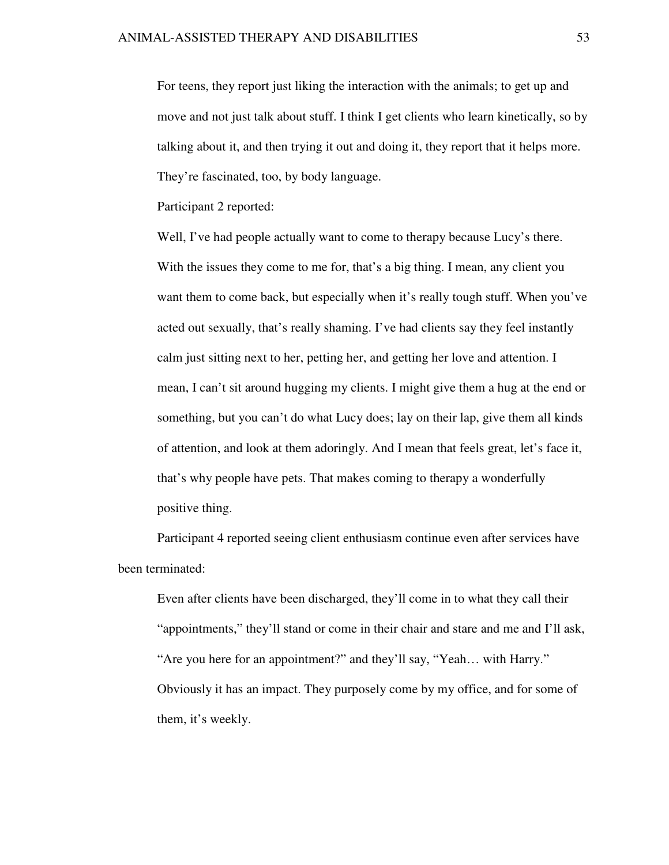For teens, they report just liking the interaction with the animals; to get up and move and not just talk about stuff. I think I get clients who learn kinetically, so by talking about it, and then trying it out and doing it, they report that it helps more. They're fascinated, too, by body language.

Participant 2 reported:

Well, I've had people actually want to come to therapy because Lucy's there. With the issues they come to me for, that's a big thing. I mean, any client you want them to come back, but especially when it's really tough stuff. When you've acted out sexually, that's really shaming. I've had clients say they feel instantly calm just sitting next to her, petting her, and getting her love and attention. I mean, I can't sit around hugging my clients. I might give them a hug at the end or something, but you can't do what Lucy does; lay on their lap, give them all kinds of attention, and look at them adoringly. And I mean that feels great, let's face it, that's why people have pets. That makes coming to therapy a wonderfully positive thing.

Participant 4 reported seeing client enthusiasm continue even after services have been terminated:

Even after clients have been discharged, they'll come in to what they call their "appointments," they'll stand or come in their chair and stare and me and I'll ask, "Are you here for an appointment?" and they'll say, "Yeah… with Harry." Obviously it has an impact. They purposely come by my office, and for some of them, it's weekly.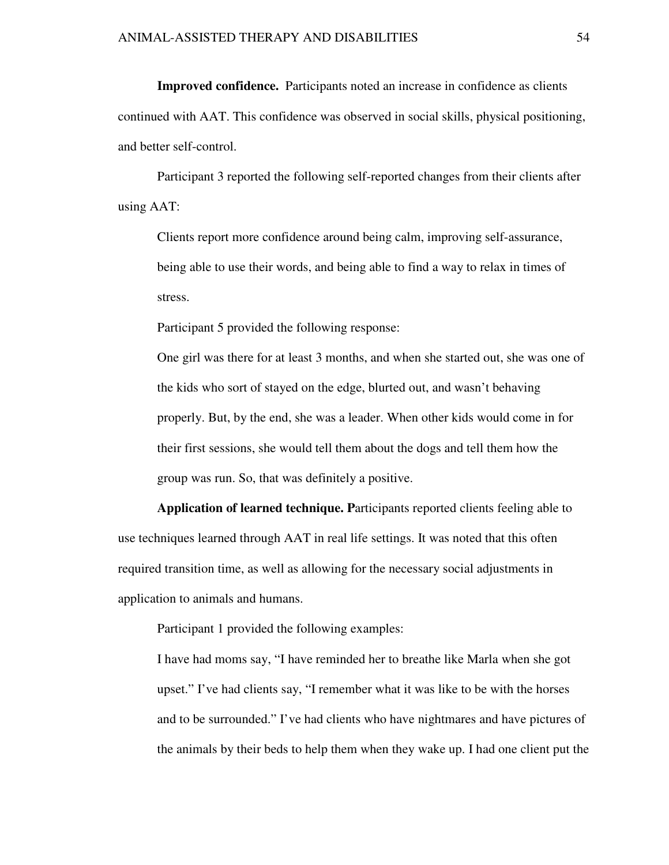**Improved confidence.** Participants noted an increase in confidence as clients continued with AAT. This confidence was observed in social skills, physical positioning, and better self-control.

Participant 3 reported the following self-reported changes from their clients after using AAT:

Clients report more confidence around being calm, improving self-assurance, being able to use their words, and being able to find a way to relax in times of stress.

Participant 5 provided the following response:

One girl was there for at least 3 months, and when she started out, she was one of the kids who sort of stayed on the edge, blurted out, and wasn't behaving properly. But, by the end, she was a leader. When other kids would come in for their first sessions, she would tell them about the dogs and tell them how the group was run. So, that was definitely a positive.

**Application of learned technique. P**articipants reported clients feeling able to use techniques learned through AAT in real life settings. It was noted that this often required transition time, as well as allowing for the necessary social adjustments in application to animals and humans.

Participant 1 provided the following examples:

I have had moms say, "I have reminded her to breathe like Marla when she got upset." I've had clients say, "I remember what it was like to be with the horses and to be surrounded." I've had clients who have nightmares and have pictures of the animals by their beds to help them when they wake up. I had one client put the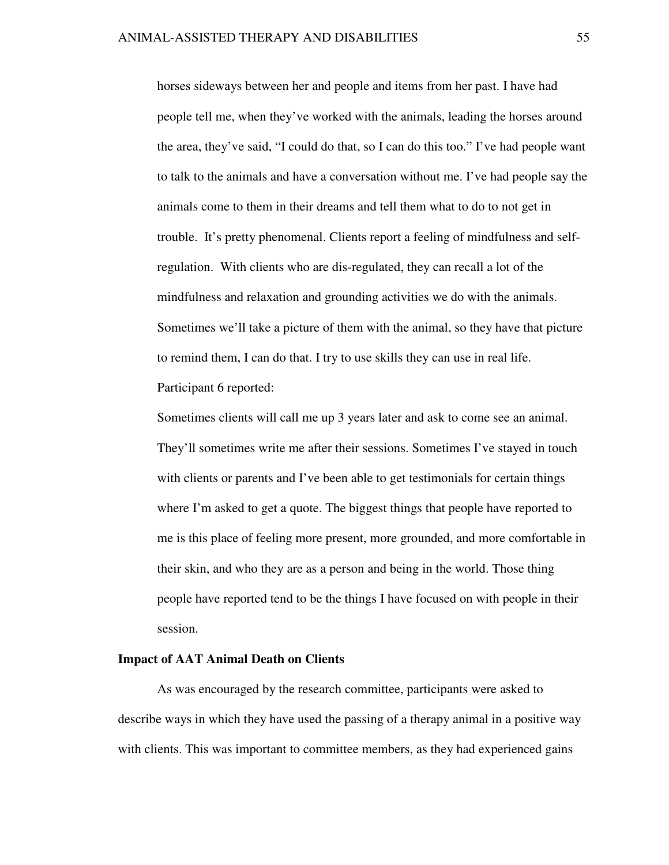horses sideways between her and people and items from her past. I have had people tell me, when they've worked with the animals, leading the horses around the area, they've said, "I could do that, so I can do this too." I've had people want to talk to the animals and have a conversation without me. I've had people say the animals come to them in their dreams and tell them what to do to not get in trouble. It's pretty phenomenal. Clients report a feeling of mindfulness and selfregulation. With clients who are dis-regulated, they can recall a lot of the mindfulness and relaxation and grounding activities we do with the animals. Sometimes we'll take a picture of them with the animal, so they have that picture to remind them, I can do that. I try to use skills they can use in real life. Participant 6 reported:

Sometimes clients will call me up 3 years later and ask to come see an animal. They'll sometimes write me after their sessions. Sometimes I've stayed in touch with clients or parents and I've been able to get testimonials for certain things where I'm asked to get a quote. The biggest things that people have reported to me is this place of feeling more present, more grounded, and more comfortable in their skin, and who they are as a person and being in the world. Those thing people have reported tend to be the things I have focused on with people in their session.

# **Impact of AAT Animal Death on Clients**

As was encouraged by the research committee, participants were asked to describe ways in which they have used the passing of a therapy animal in a positive way with clients. This was important to committee members, as they had experienced gains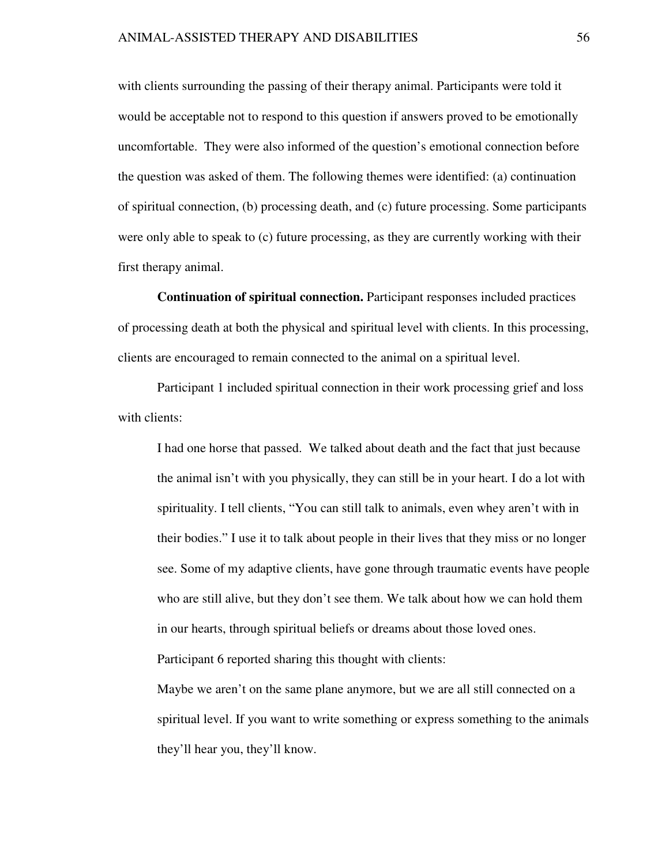with clients surrounding the passing of their therapy animal. Participants were told it would be acceptable not to respond to this question if answers proved to be emotionally uncomfortable. They were also informed of the question's emotional connection before the question was asked of them. The following themes were identified: (a) continuation of spiritual connection, (b) processing death, and (c) future processing. Some participants were only able to speak to (c) future processing, as they are currently working with their first therapy animal.

**Continuation of spiritual connection.** Participant responses included practices of processing death at both the physical and spiritual level with clients. In this processing, clients are encouraged to remain connected to the animal on a spiritual level.

 Participant 1 included spiritual connection in their work processing grief and loss with clients:

I had one horse that passed. We talked about death and the fact that just because the animal isn't with you physically, they can still be in your heart. I do a lot with spirituality. I tell clients, "You can still talk to animals, even whey aren't with in their bodies." I use it to talk about people in their lives that they miss or no longer see. Some of my adaptive clients, have gone through traumatic events have people who are still alive, but they don't see them. We talk about how we can hold them in our hearts, through spiritual beliefs or dreams about those loved ones. Participant 6 reported sharing this thought with clients:

Maybe we aren't on the same plane anymore, but we are all still connected on a spiritual level. If you want to write something or express something to the animals they'll hear you, they'll know.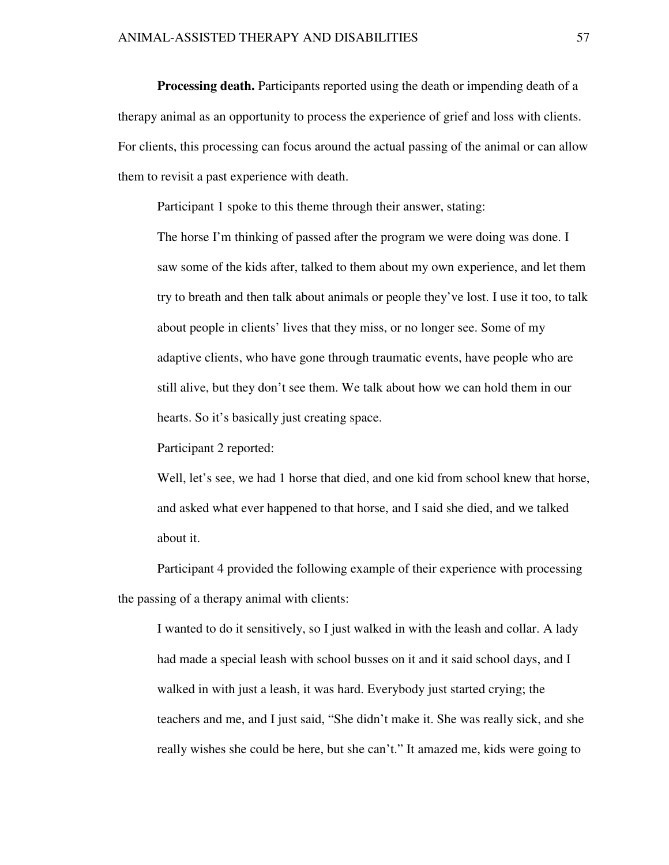**Processing death.** Participants reported using the death or impending death of a therapy animal as an opportunity to process the experience of grief and loss with clients. For clients, this processing can focus around the actual passing of the animal or can allow them to revisit a past experience with death.

Participant 1 spoke to this theme through their answer, stating:

The horse I'm thinking of passed after the program we were doing was done. I saw some of the kids after, talked to them about my own experience, and let them try to breath and then talk about animals or people they've lost. I use it too, to talk about people in clients' lives that they miss, or no longer see. Some of my adaptive clients, who have gone through traumatic events, have people who are still alive, but they don't see them. We talk about how we can hold them in our hearts. So it's basically just creating space.

Participant 2 reported:

Well, let's see, we had 1 horse that died, and one kid from school knew that horse, and asked what ever happened to that horse, and I said she died, and we talked about it.

Participant 4 provided the following example of their experience with processing the passing of a therapy animal with clients:

I wanted to do it sensitively, so I just walked in with the leash and collar. A lady had made a special leash with school busses on it and it said school days, and I walked in with just a leash, it was hard. Everybody just started crying; the teachers and me, and I just said, "She didn't make it. She was really sick, and she really wishes she could be here, but she can't." It amazed me, kids were going to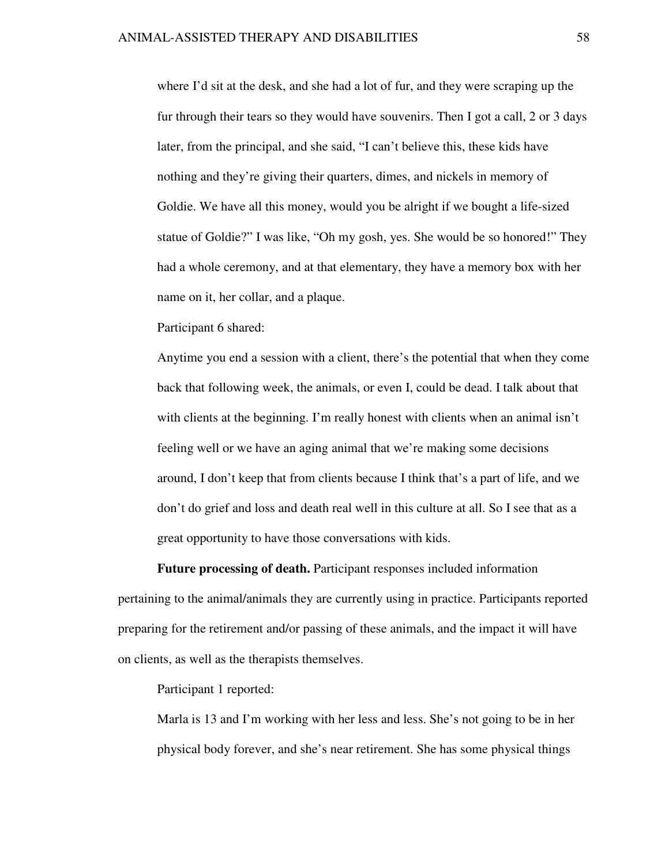where I'd sit at the desk, and she had a lot of fur, and they were scraping up the fur through their tears so they would have souvenirs. Then I got a call, 2 or 3 days later, from the principal, and she said, "I can't believe this, these kids have nothing and they're giving their quarters, dimes, and nickels in memory of Goldie. We have all this money, would you be alright if we bought a life-sized statue of Goldie?" I was like, "Oh my gosh, yes. She would be so honored!" They had a whole ceremony, and at that elementary, they have a memory box with her name on it, her collar, and a plaque.

Participant 6 shared:

Anytime you end a session with a client, there's the potential that when they come back that following week, the animals, or even I, could be dead. I talk about that with clients at the beginning. I'm really honest with clients when an animal isn't feeling well or we have an aging animal that we're making some decisions around, I don't keep that from clients because I think that's a part of life, and we don't do grief and loss and death real well in this culture at all. So I see that as a great opportunity to have those conversations with kids.

**Future processing of death.** Participant responses included information pertaining to the animal/animals they are currently using in practice. Participants reported preparing for the retirement and/or passing of these animals, and the impact it will have on clients, as well as the therapists themselves.

Participant 1 reported:

Marla is 13 and I'm working with her less and less. She's not going to be in her physical body forever, and she's near retirement. She has some physical things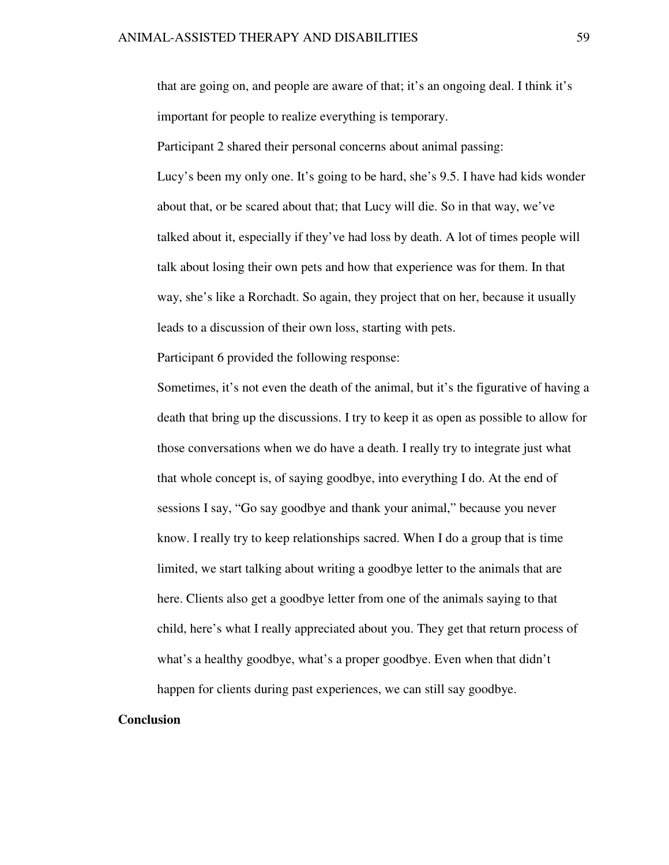that are going on, and people are aware of that; it's an ongoing deal. I think it's important for people to realize everything is temporary.

Participant 2 shared their personal concerns about animal passing: Lucy's been my only one. It's going to be hard, she's 9.5. I have had kids wonder about that, or be scared about that; that Lucy will die. So in that way, we've talked about it, especially if they've had loss by death. A lot of times people will talk about losing their own pets and how that experience was for them. In that way, she's like a Rorchadt. So again, they project that on her, because it usually leads to a discussion of their own loss, starting with pets.

Participant 6 provided the following response:

Sometimes, it's not even the death of the animal, but it's the figurative of having a death that bring up the discussions. I try to keep it as open as possible to allow for those conversations when we do have a death. I really try to integrate just what that whole concept is, of saying goodbye, into everything I do. At the end of sessions I say, "Go say goodbye and thank your animal," because you never know. I really try to keep relationships sacred. When I do a group that is time limited, we start talking about writing a goodbye letter to the animals that are here. Clients also get a goodbye letter from one of the animals saying to that child, here's what I really appreciated about you. They get that return process of what's a healthy goodbye, what's a proper goodbye. Even when that didn't happen for clients during past experiences, we can still say goodbye.

# **Conclusion**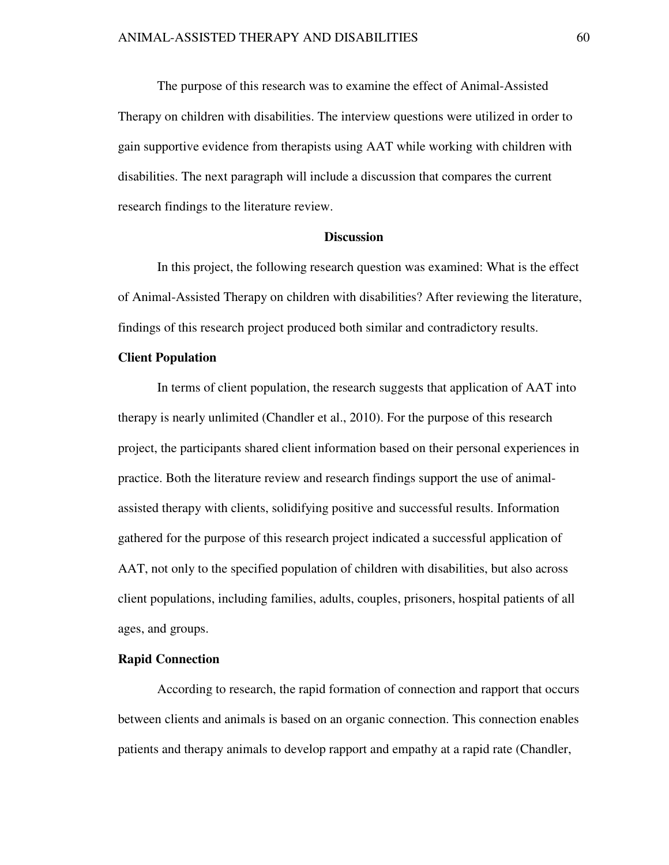The purpose of this research was to examine the effect of Animal-Assisted Therapy on children with disabilities. The interview questions were utilized in order to gain supportive evidence from therapists using AAT while working with children with disabilities. The next paragraph will include a discussion that compares the current research findings to the literature review.

#### **Discussion**

 In this project, the following research question was examined: What is the effect of Animal-Assisted Therapy on children with disabilities? After reviewing the literature, findings of this research project produced both similar and contradictory results.

# **Client Population**

 In terms of client population, the research suggests that application of AAT into therapy is nearly unlimited (Chandler et al., 2010). For the purpose of this research project, the participants shared client information based on their personal experiences in practice. Both the literature review and research findings support the use of animalassisted therapy with clients, solidifying positive and successful results. Information gathered for the purpose of this research project indicated a successful application of AAT, not only to the specified population of children with disabilities, but also across client populations, including families, adults, couples, prisoners, hospital patients of all ages, and groups.

# **Rapid Connection**

 According to research, the rapid formation of connection and rapport that occurs between clients and animals is based on an organic connection. This connection enables patients and therapy animals to develop rapport and empathy at a rapid rate (Chandler,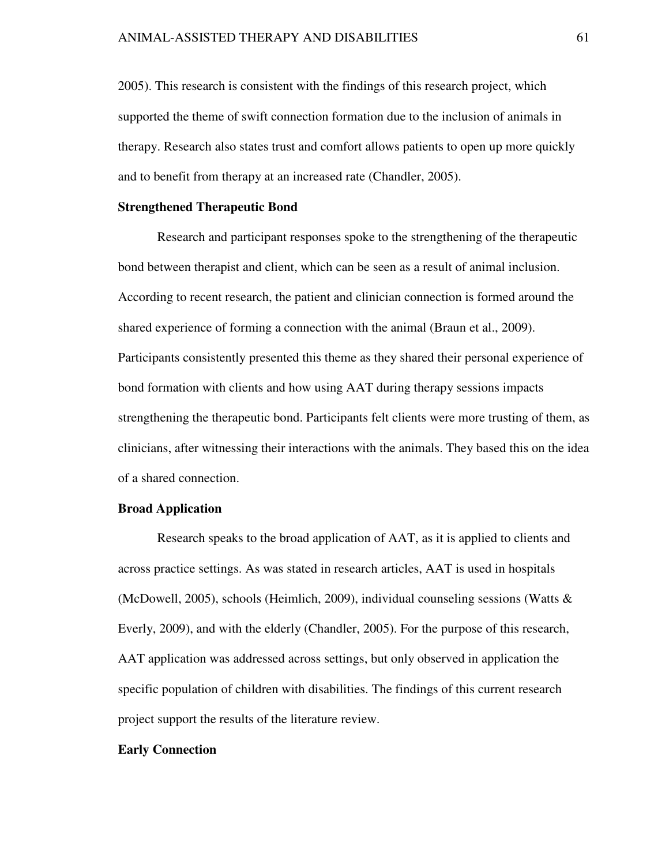2005). This research is consistent with the findings of this research project, which supported the theme of swift connection formation due to the inclusion of animals in therapy. Research also states trust and comfort allows patients to open up more quickly and to benefit from therapy at an increased rate (Chandler, 2005).

## **Strengthened Therapeutic Bond**

 Research and participant responses spoke to the strengthening of the therapeutic bond between therapist and client, which can be seen as a result of animal inclusion. According to recent research, the patient and clinician connection is formed around the shared experience of forming a connection with the animal (Braun et al., 2009). Participants consistently presented this theme as they shared their personal experience of bond formation with clients and how using AAT during therapy sessions impacts strengthening the therapeutic bond. Participants felt clients were more trusting of them, as clinicians, after witnessing their interactions with the animals. They based this on the idea of a shared connection.

# **Broad Application**

 Research speaks to the broad application of AAT, as it is applied to clients and across practice settings. As was stated in research articles, AAT is used in hospitals (McDowell, 2005), schools (Heimlich, 2009), individual counseling sessions (Watts & Everly, 2009), and with the elderly (Chandler, 2005). For the purpose of this research, AAT application was addressed across settings, but only observed in application the specific population of children with disabilities. The findings of this current research project support the results of the literature review.

#### **Early Connection**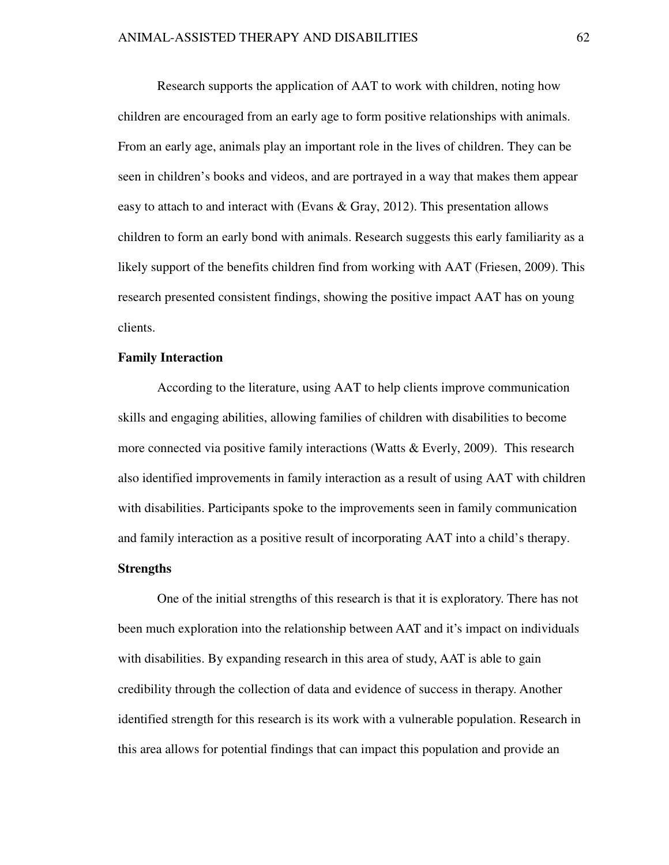Research supports the application of AAT to work with children, noting how children are encouraged from an early age to form positive relationships with animals. From an early age, animals play an important role in the lives of children. They can be seen in children's books and videos, and are portrayed in a way that makes them appear easy to attach to and interact with (Evans  $\&$  Gray, 2012). This presentation allows children to form an early bond with animals. Research suggests this early familiarity as a likely support of the benefits children find from working with AAT (Friesen, 2009). This research presented consistent findings, showing the positive impact AAT has on young clients.

# **Family Interaction**

According to the literature, using AAT to help clients improve communication skills and engaging abilities, allowing families of children with disabilities to become more connected via positive family interactions (Watts & Everly, 2009). This research also identified improvements in family interaction as a result of using AAT with children with disabilities. Participants spoke to the improvements seen in family communication and family interaction as a positive result of incorporating AAT into a child's therapy.

# **Strengths**

 One of the initial strengths of this research is that it is exploratory. There has not been much exploration into the relationship between AAT and it's impact on individuals with disabilities. By expanding research in this area of study, AAT is able to gain credibility through the collection of data and evidence of success in therapy. Another identified strength for this research is its work with a vulnerable population. Research in this area allows for potential findings that can impact this population and provide an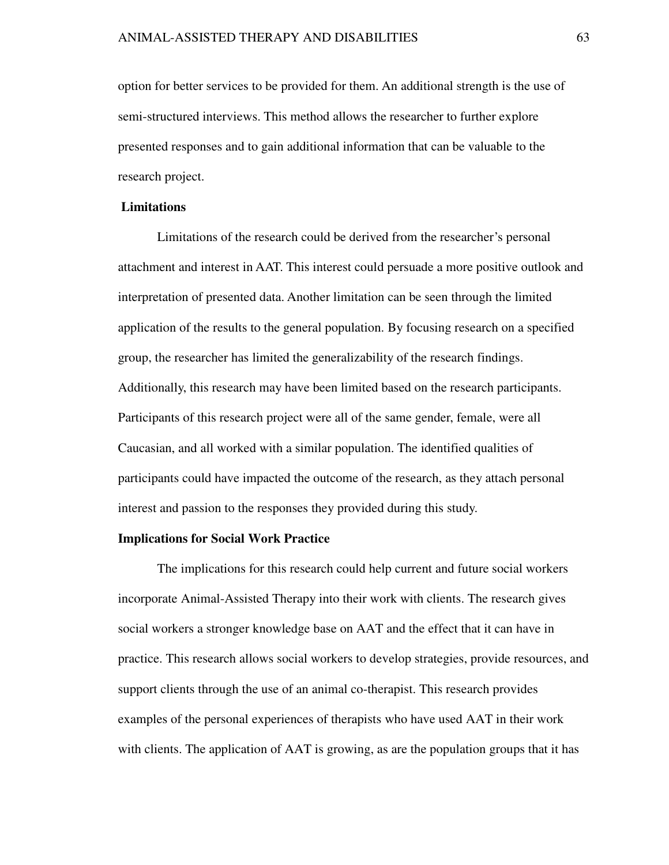option for better services to be provided for them. An additional strength is the use of semi-structured interviews. This method allows the researcher to further explore presented responses and to gain additional information that can be valuable to the research project.

## **Limitations**

Limitations of the research could be derived from the researcher's personal attachment and interest in AAT. This interest could persuade a more positive outlook and interpretation of presented data. Another limitation can be seen through the limited application of the results to the general population. By focusing research on a specified group, the researcher has limited the generalizability of the research findings. Additionally, this research may have been limited based on the research participants. Participants of this research project were all of the same gender, female, were all Caucasian, and all worked with a similar population. The identified qualities of participants could have impacted the outcome of the research, as they attach personal interest and passion to the responses they provided during this study.

#### **Implications for Social Work Practice**

 The implications for this research could help current and future social workers incorporate Animal-Assisted Therapy into their work with clients. The research gives social workers a stronger knowledge base on AAT and the effect that it can have in practice. This research allows social workers to develop strategies, provide resources, and support clients through the use of an animal co-therapist. This research provides examples of the personal experiences of therapists who have used AAT in their work with clients. The application of AAT is growing, as are the population groups that it has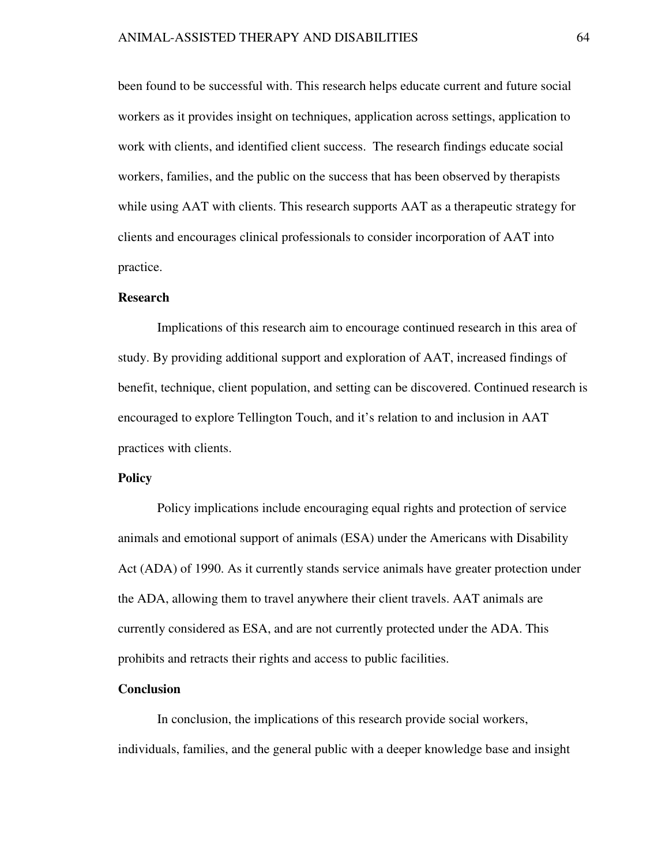### ANIMAL-ASSISTED THERAPY AND DISABILITIES 64

been found to be successful with. This research helps educate current and future social workers as it provides insight on techniques, application across settings, application to work with clients, and identified client success. The research findings educate social workers, families, and the public on the success that has been observed by therapists while using AAT with clients. This research supports AAT as a therapeutic strategy for clients and encourages clinical professionals to consider incorporation of AAT into practice.

# **Research**

 Implications of this research aim to encourage continued research in this area of study. By providing additional support and exploration of AAT, increased findings of benefit, technique, client population, and setting can be discovered. Continued research is encouraged to explore Tellington Touch, and it's relation to and inclusion in AAT practices with clients.

# **Policy**

Policy implications include encouraging equal rights and protection of service animals and emotional support of animals (ESA) under the Americans with Disability Act (ADA) of 1990. As it currently stands service animals have greater protection under the ADA, allowing them to travel anywhere their client travels. AAT animals are currently considered as ESA, and are not currently protected under the ADA. This prohibits and retracts their rights and access to public facilities.

#### **Conclusion**

In conclusion, the implications of this research provide social workers, individuals, families, and the general public with a deeper knowledge base and insight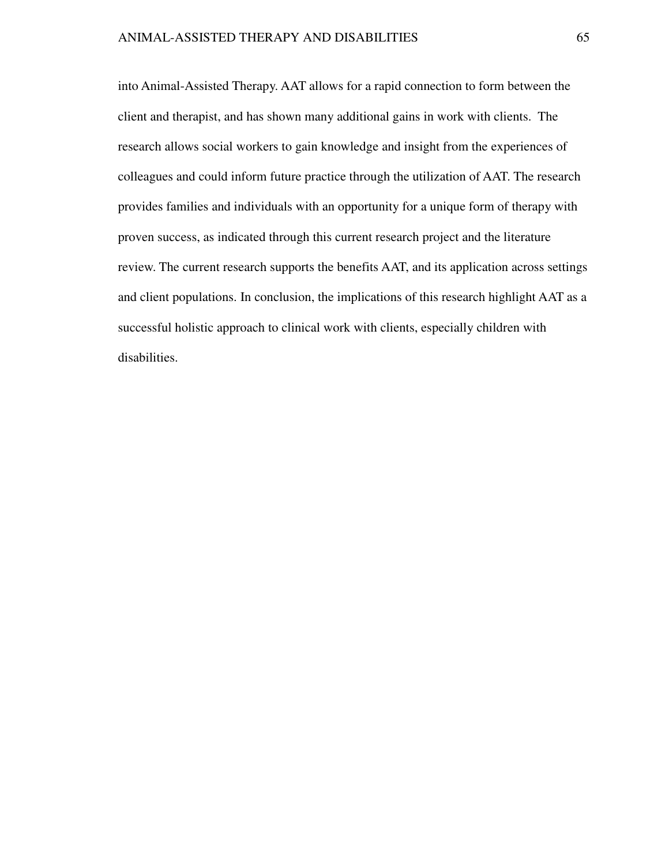into Animal-Assisted Therapy. AAT allows for a rapid connection to form between the client and therapist, and has shown many additional gains in work with clients. The research allows social workers to gain knowledge and insight from the experiences of colleagues and could inform future practice through the utilization of AAT. The research provides families and individuals with an opportunity for a unique form of therapy with proven success, as indicated through this current research project and the literature review. The current research supports the benefits AAT, and its application across settings and client populations. In conclusion, the implications of this research highlight AAT as a successful holistic approach to clinical work with clients, especially children with disabilities.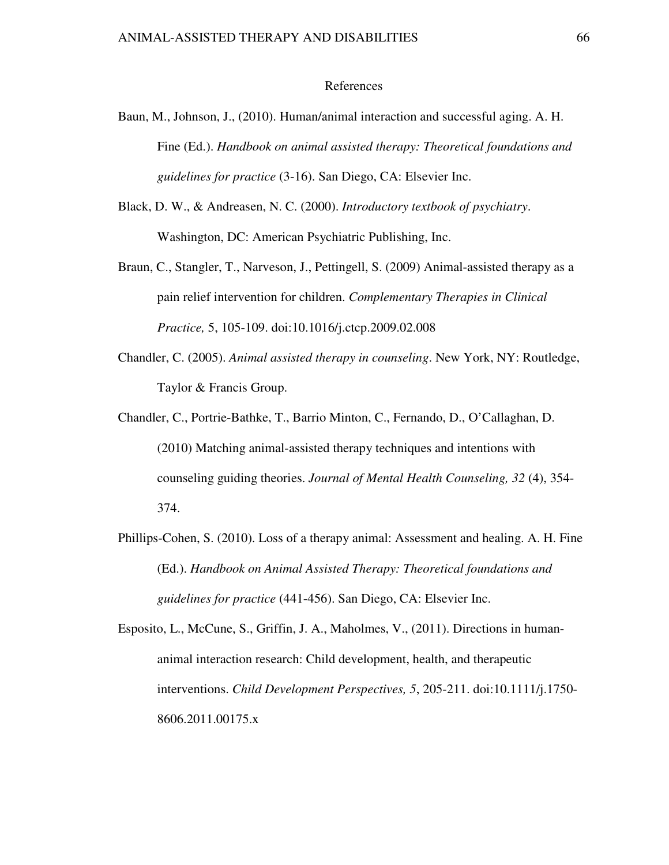#### References

- Baun, M., Johnson, J., (2010). Human/animal interaction and successful aging. A. H. Fine (Ed.). *Handbook on animal assisted therapy: Theoretical foundations and guidelines for practice* (3-16). San Diego, CA: Elsevier Inc.
- Black, D. W., & Andreasen, N. C. (2000). *Introductory textbook of psychiatry*. Washington, DC: American Psychiatric Publishing, Inc.
- Braun, C., Stangler, T., Narveson, J., Pettingell, S. (2009) Animal-assisted therapy as a pain relief intervention for children. *Complementary Therapies in Clinical Practice,* 5, 105-109. doi:10.1016/j.ctcp.2009.02.008
- Chandler, C. (2005). *Animal assisted therapy in counseling*. New York, NY: Routledge, Taylor & Francis Group.
- Chandler, C., Portrie-Bathke, T., Barrio Minton, C., Fernando, D., O'Callaghan, D. (2010) Matching animal-assisted therapy techniques and intentions with counseling guiding theories. *Journal of Mental Health Counseling, 32* (4), 354- 374.
- Phillips-Cohen, S. (2010). Loss of a therapy animal: Assessment and healing. A. H. Fine (Ed.). *Handbook on Animal Assisted Therapy: Theoretical foundations and guidelines for practice* (441-456). San Diego, CA: Elsevier Inc.

Esposito, L., McCune, S., Griffin, J. A., Maholmes, V., (2011). Directions in humananimal interaction research: Child development, health, and therapeutic interventions. *Child Development Perspectives, 5*, 205-211. doi:10.1111/j.1750- 8606.2011.00175.x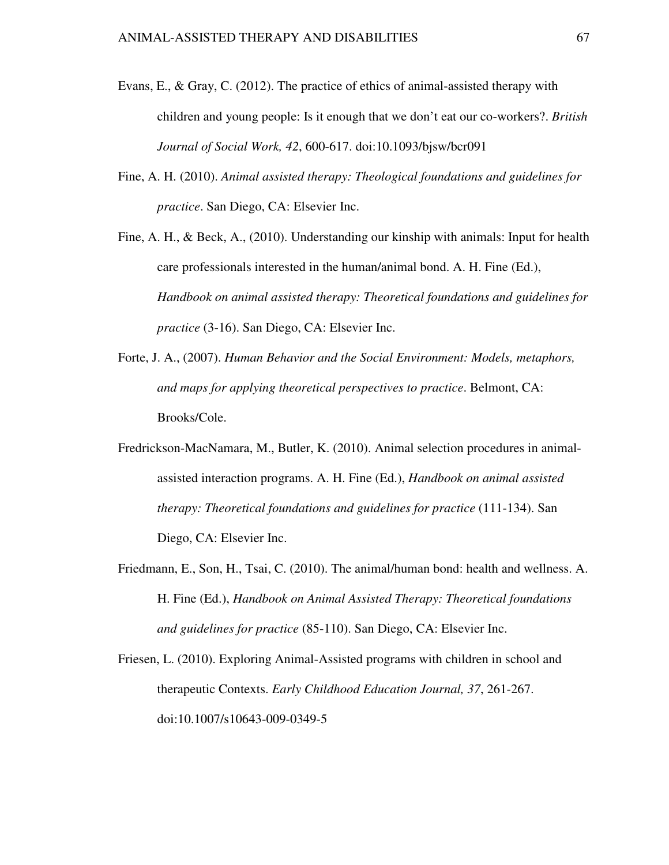- Evans, E., & Gray, C. (2012). The practice of ethics of animal-assisted therapy with children and young people: Is it enough that we don't eat our co-workers?. *British Journal of Social Work, 42*, 600-617. doi:10.1093/bjsw/bcr091
- Fine, A. H. (2010). *Animal assisted therapy: Theological foundations and guidelines for practice*. San Diego, CA: Elsevier Inc.
- Fine, A. H., & Beck, A., (2010). Understanding our kinship with animals: Input for health care professionals interested in the human/animal bond. A. H. Fine (Ed.), *Handbook on animal assisted therapy: Theoretical foundations and guidelines for practice* (3-16). San Diego, CA: Elsevier Inc.
- Forte, J. A., (2007). *Human Behavior and the Social Environment: Models, metaphors, and maps for applying theoretical perspectives to practice*. Belmont, CA: Brooks/Cole.
- Fredrickson-MacNamara, M., Butler, K. (2010). Animal selection procedures in animalassisted interaction programs. A. H. Fine (Ed.), *Handbook on animal assisted therapy: Theoretical foundations and guidelines for practice* (111-134). San Diego, CA: Elsevier Inc.
- Friedmann, E., Son, H., Tsai, C. (2010). The animal/human bond: health and wellness. A. H. Fine (Ed.), *Handbook on Animal Assisted Therapy: Theoretical foundations and guidelines for practice* (85-110). San Diego, CA: Elsevier Inc.
- Friesen, L. (2010). Exploring Animal-Assisted programs with children in school and therapeutic Contexts. *Early Childhood Education Journal, 37*, 261-267. doi:10.1007/s10643-009-0349-5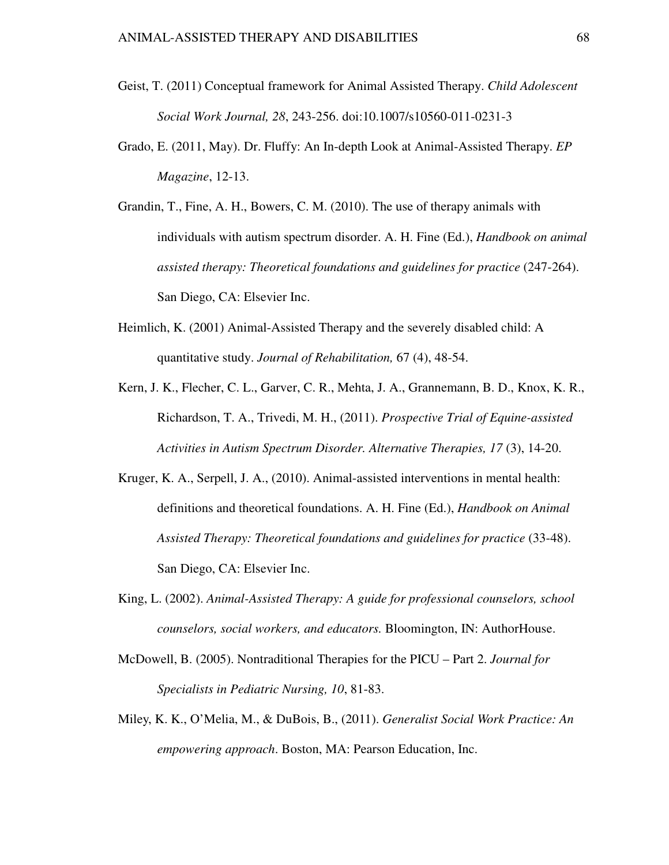- Geist, T. (2011) Conceptual framework for Animal Assisted Therapy. *Child Adolescent Social Work Journal, 28*, 243-256. doi:10.1007/s10560-011-0231-3
- Grado, E. (2011, May). Dr. Fluffy: An In-depth Look at Animal-Assisted Therapy. *EP Magazine*, 12-13.
- Grandin, T., Fine, A. H., Bowers, C. M. (2010). The use of therapy animals with individuals with autism spectrum disorder. A. H. Fine (Ed.), *Handbook on animal assisted therapy: Theoretical foundations and guidelines for practice* (247-264). San Diego, CA: Elsevier Inc.
- Heimlich, K. (2001) Animal-Assisted Therapy and the severely disabled child: A quantitative study. *Journal of Rehabilitation,* 67 (4), 48-54.
- Kern, J. K., Flecher, C. L., Garver, C. R., Mehta, J. A., Grannemann, B. D., Knox, K. R., Richardson, T. A., Trivedi, M. H., (2011). *Prospective Trial of Equine-assisted Activities in Autism Spectrum Disorder. Alternative Therapies, 17* (3), 14-20.
- Kruger, K. A., Serpell, J. A., (2010). Animal-assisted interventions in mental health: definitions and theoretical foundations. A. H. Fine (Ed.), *Handbook on Animal Assisted Therapy: Theoretical foundations and guidelines for practice* (33-48). San Diego, CA: Elsevier Inc.
- King, L. (2002). *Animal-Assisted Therapy: A guide for professional counselors, school counselors, social workers, and educators.* Bloomington, IN: AuthorHouse.
- McDowell, B. (2005). Nontraditional Therapies for the PICU Part 2. *Journal for Specialists in Pediatric Nursing, 10*, 81-83.
- Miley, K. K., O'Melia, M., & DuBois, B., (2011). *Generalist Social Work Practice: An empowering approach*. Boston, MA: Pearson Education, Inc.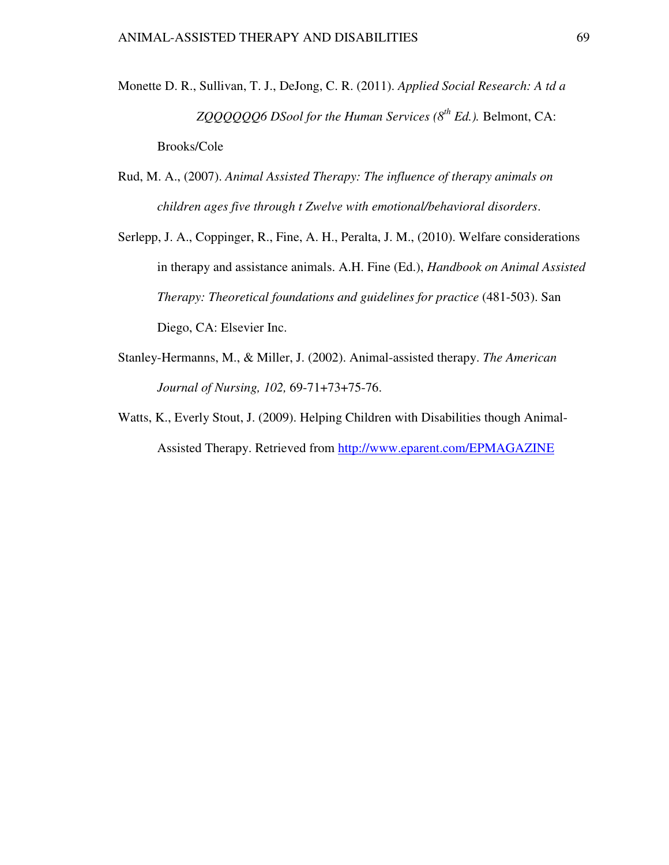- Monette D. R., Sullivan, T. J., DeJong, C. R. (2011). *Applied Social Research: A td a ZQQQQQQ6 DSool for the Human Services (8th Ed.).* Belmont, CA: Brooks/Cole
- Rud, M. A., (2007). *Animal Assisted Therapy: The influence of therapy animals on children ages five through t Zwelve with emotional/behavioral disorders*.
- Serlepp, J. A., Coppinger, R., Fine, A. H., Peralta, J. M., (2010). Welfare considerations in therapy and assistance animals. A.H. Fine (Ed.), *Handbook on Animal Assisted Therapy: Theoretical foundations and guidelines for practice* (481-503). San Diego, CA: Elsevier Inc.
- Stanley-Hermanns, M., & Miller, J. (2002). Animal-assisted therapy. *The American Journal of Nursing, 102,* 69-71+73+75-76.
- Watts, K., Everly Stout, J. (2009). Helping Children with Disabilities though Animal-Assisted Therapy. Retrieved from http://www.eparent.com/EPMAGAZINE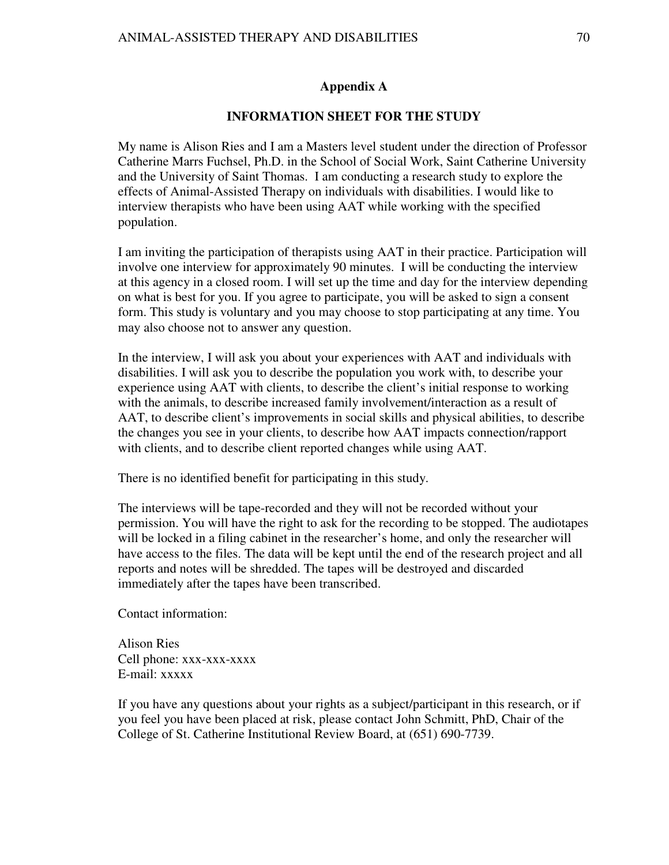# **Appendix A**

# **INFORMATION SHEET FOR THE STUDY**

My name is Alison Ries and I am a Masters level student under the direction of Professor Catherine Marrs Fuchsel, Ph.D. in the School of Social Work, Saint Catherine University and the University of Saint Thomas. I am conducting a research study to explore the effects of Animal-Assisted Therapy on individuals with disabilities. I would like to interview therapists who have been using AAT while working with the specified population.

I am inviting the participation of therapists using AAT in their practice. Participation will involve one interview for approximately 90 minutes. I will be conducting the interview at this agency in a closed room. I will set up the time and day for the interview depending on what is best for you. If you agree to participate, you will be asked to sign a consent form. This study is voluntary and you may choose to stop participating at any time. You may also choose not to answer any question.

In the interview, I will ask you about your experiences with AAT and individuals with disabilities. I will ask you to describe the population you work with, to describe your experience using AAT with clients, to describe the client's initial response to working with the animals, to describe increased family involvement/interaction as a result of AAT, to describe client's improvements in social skills and physical abilities, to describe the changes you see in your clients, to describe how AAT impacts connection/rapport with clients, and to describe client reported changes while using AAT.

There is no identified benefit for participating in this study.

The interviews will be tape-recorded and they will not be recorded without your permission. You will have the right to ask for the recording to be stopped. The audiotapes will be locked in a filing cabinet in the researcher's home, and only the researcher will have access to the files. The data will be kept until the end of the research project and all reports and notes will be shredded. The tapes will be destroyed and discarded immediately after the tapes have been transcribed.

Contact information:

Alison Ries Cell phone: xxx-xxx-xxxx E-mail: xxxxx

If you have any questions about your rights as a subject/participant in this research, or if you feel you have been placed at risk, please contact John Schmitt, PhD, Chair of the College of St. Catherine Institutional Review Board, at (651) 690-7739.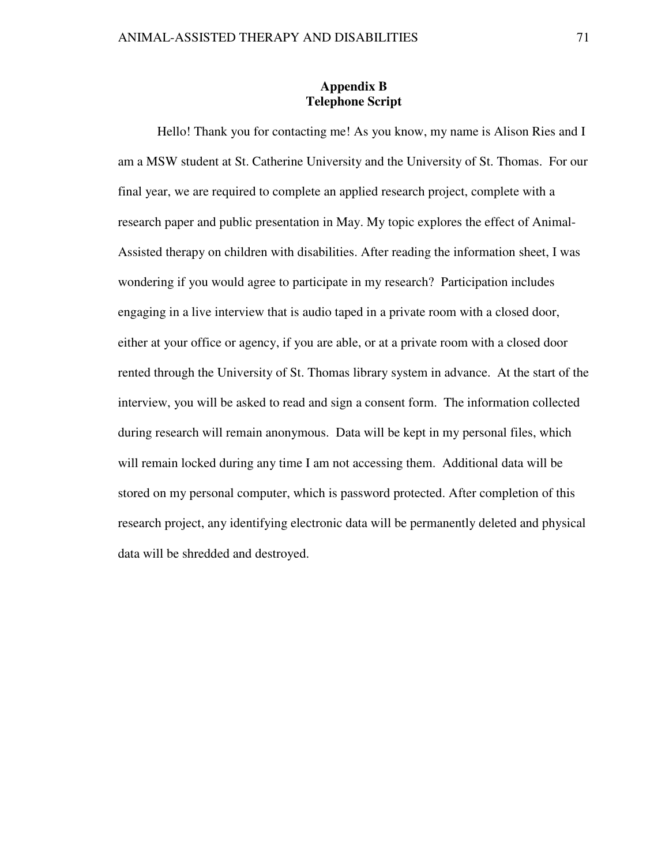# **Appendix B Telephone Script**

 Hello! Thank you for contacting me! As you know, my name is Alison Ries and I am a MSW student at St. Catherine University and the University of St. Thomas. For our final year, we are required to complete an applied research project, complete with a research paper and public presentation in May. My topic explores the effect of Animal-Assisted therapy on children with disabilities. After reading the information sheet, I was wondering if you would agree to participate in my research? Participation includes engaging in a live interview that is audio taped in a private room with a closed door, either at your office or agency, if you are able, or at a private room with a closed door rented through the University of St. Thomas library system in advance. At the start of the interview, you will be asked to read and sign a consent form. The information collected during research will remain anonymous. Data will be kept in my personal files, which will remain locked during any time I am not accessing them. Additional data will be stored on my personal computer, which is password protected. After completion of this research project, any identifying electronic data will be permanently deleted and physical data will be shredded and destroyed.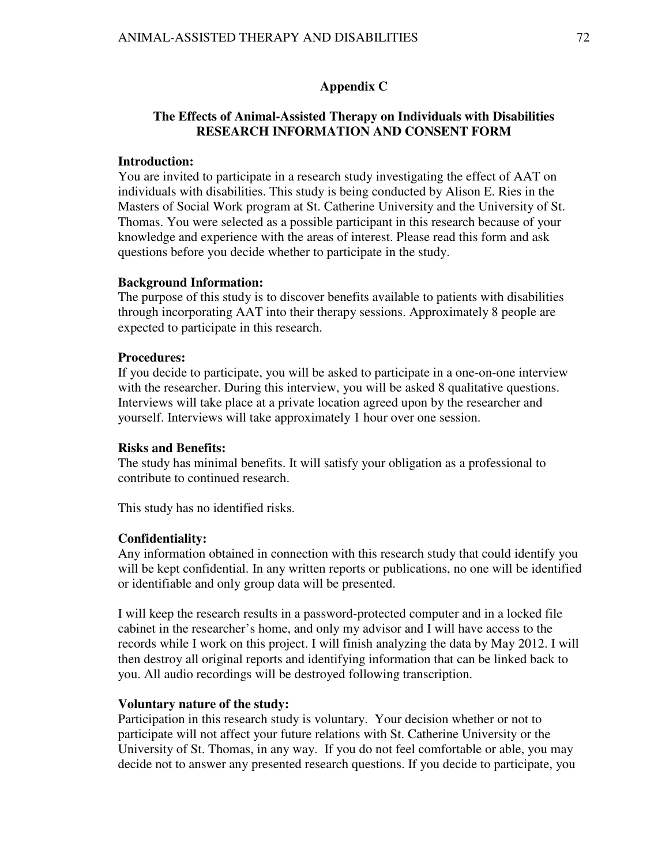## **Appendix C**

# **The Effects of Animal-Assisted Therapy on Individuals with Disabilities RESEARCH INFORMATION AND CONSENT FORM**

# **Introduction:**

You are invited to participate in a research study investigating the effect of AAT on individuals with disabilities. This study is being conducted by Alison E. Ries in the Masters of Social Work program at St. Catherine University and the University of St. Thomas. You were selected as a possible participant in this research because of your knowledge and experience with the areas of interest. Please read this form and ask questions before you decide whether to participate in the study.

### **Background Information:**

The purpose of this study is to discover benefits available to patients with disabilities through incorporating AAT into their therapy sessions. Approximately 8 people are expected to participate in this research.

## **Procedures:**

If you decide to participate, you will be asked to participate in a one-on-one interview with the researcher. During this interview, you will be asked 8 qualitative questions. Interviews will take place at a private location agreed upon by the researcher and yourself. Interviews will take approximately 1 hour over one session.

### **Risks and Benefits:**

The study has minimal benefits. It will satisfy your obligation as a professional to contribute to continued research.

This study has no identified risks.

### **Confidentiality:**

Any information obtained in connection with this research study that could identify you will be kept confidential. In any written reports or publications, no one will be identified or identifiable and only group data will be presented.

I will keep the research results in a password-protected computer and in a locked file cabinet in the researcher's home, and only my advisor and I will have access to the records while I work on this project. I will finish analyzing the data by May 2012. I will then destroy all original reports and identifying information that can be linked back to you. All audio recordings will be destroyed following transcription.

## **Voluntary nature of the study:**

Participation in this research study is voluntary. Your decision whether or not to participate will not affect your future relations with St. Catherine University or the University of St. Thomas, in any way. If you do not feel comfortable or able, you may decide not to answer any presented research questions. If you decide to participate, you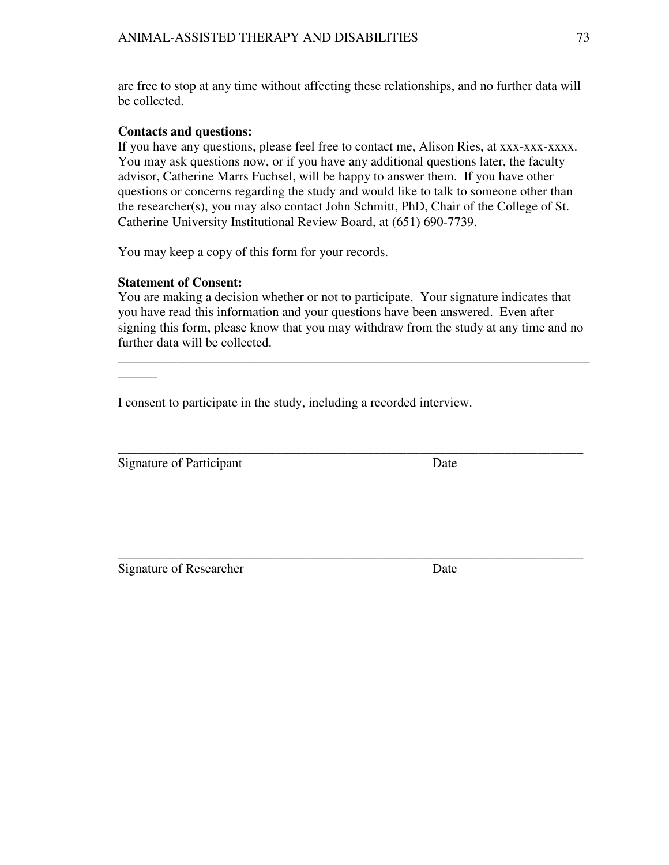are free to stop at any time without affecting these relationships, and no further data will be collected.

# **Contacts and questions:**

If you have any questions, please feel free to contact me, Alison Ries, at xxx-xxx-xxxx. You may ask questions now, or if you have any additional questions later, the faculty advisor, Catherine Marrs Fuchsel, will be happy to answer them. If you have other questions or concerns regarding the study and would like to talk to someone other than the researcher(s), you may also contact John Schmitt, PhD, Chair of the College of St. Catherine University Institutional Review Board, at (651) 690-7739.

You may keep a copy of this form for your records.

# **Statement of Consent:**

You are making a decision whether or not to participate. Your signature indicates that you have read this information and your questions have been answered. Even after signing this form, please know that you may withdraw from the study at any time and no further data will be collected.

\_\_\_\_\_\_\_\_\_\_\_\_\_\_\_\_\_\_\_\_\_\_\_\_\_\_\_\_\_\_\_\_\_\_\_\_\_\_\_\_\_\_\_\_\_\_\_\_\_\_\_\_\_\_\_\_\_\_\_\_\_\_\_\_\_\_\_\_\_\_\_\_

\_\_\_\_\_\_\_\_\_\_\_\_\_\_\_\_\_\_\_\_\_\_\_\_\_\_\_\_\_\_\_\_\_\_\_\_\_\_\_\_\_\_\_\_\_\_\_\_\_\_\_\_\_\_\_\_\_\_\_\_\_\_\_\_\_\_\_\_\_\_\_

I consent to participate in the study, including a recorded interview.

Signature of Participant Date

 $\overline{\phantom{a}}$ 

\_\_\_\_\_\_\_\_\_\_\_\_\_\_\_\_\_\_\_\_\_\_\_\_\_\_\_\_\_\_\_\_\_\_\_\_\_\_\_\_\_\_\_\_\_\_\_\_\_\_\_\_\_\_\_\_\_\_\_\_\_\_\_\_\_\_\_\_\_\_\_ Signature of Researcher Date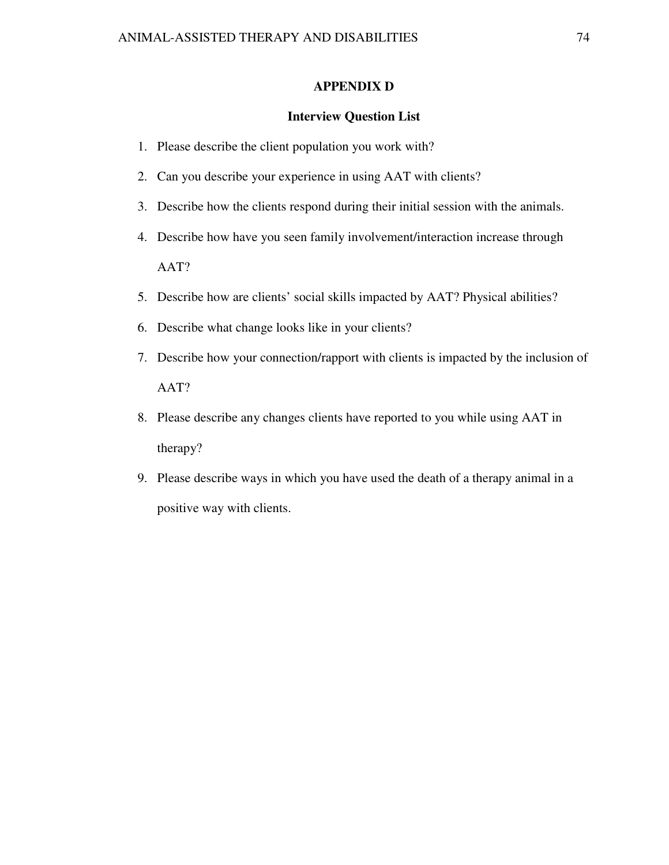## **APPENDIX D**

#### **Interview Question List**

- 1. Please describe the client population you work with?
- 2. Can you describe your experience in using AAT with clients?
- 3. Describe how the clients respond during their initial session with the animals.
- 4. Describe how have you seen family involvement/interaction increase through AAT?
- 5. Describe how are clients' social skills impacted by AAT? Physical abilities?
- 6. Describe what change looks like in your clients?
- 7. Describe how your connection/rapport with clients is impacted by the inclusion of AAT?
- 8. Please describe any changes clients have reported to you while using AAT in therapy?
- 9. Please describe ways in which you have used the death of a therapy animal in a positive way with clients.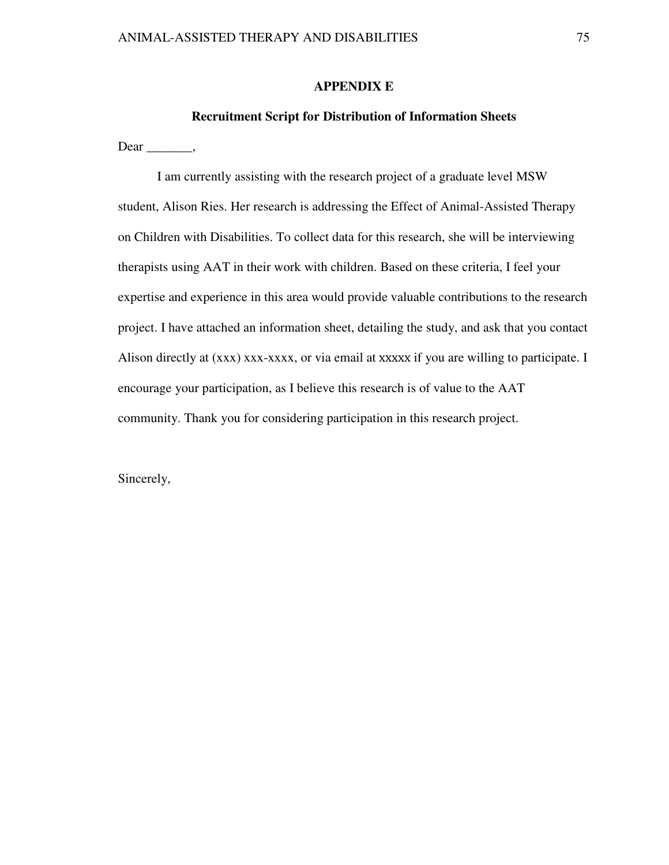# **APPENDIX E**

## **Recruitment Script for Distribution of Information Sheets**

Dear \_\_\_\_\_\_\_\_,

I am currently assisting with the research project of a graduate level MSW student, Alison Ries. Her research is addressing the Effect of Animal-Assisted Therapy on Children with Disabilities. To collect data for this research, she will be interviewing therapists using AAT in their work with children. Based on these criteria, I feel your expertise and experience in this area would provide valuable contributions to the research project. I have attached an information sheet, detailing the study, and ask that you contact Alison directly at (xxx) xxx-xxxx, or via email at xxxxx if you are willing to participate. I encourage your participation, as I believe this research is of value to the AAT community. Thank you for considering participation in this research project.

Sincerely,